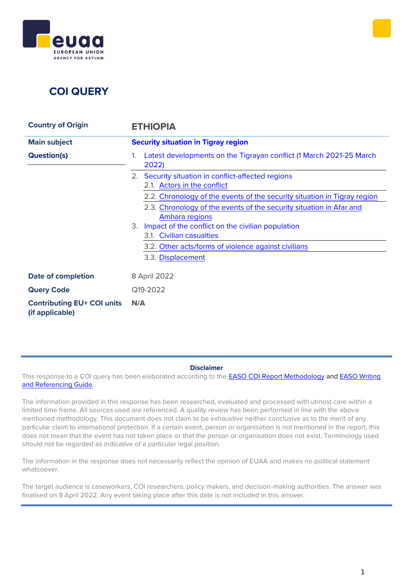



| <b>Country of Origin</b>                             | <b>ETHIOPIA</b>                                                                       |
|------------------------------------------------------|---------------------------------------------------------------------------------------|
| <b>Main subject</b>                                  | <b>Security situation in Tigray region</b>                                            |
| <b>Question(s)</b>                                   | Latest developments on the Tigrayan conflict (1 March 2021-25 March<br>1.<br>2022)    |
|                                                      | Security situation in conflict-affected regions<br>2.1. Actors in the conflict        |
|                                                      | 2.2. Chronology of the events of the security situation in Tigray region              |
|                                                      | 2.3. Chronology of the events of the security situation in Afar and<br>Amhara regions |
|                                                      | 3.<br>Impact of the conflict on the civilian population<br>3.1. Civilian casualties   |
|                                                      | 3.2. Other acts/forms of violence against civilians                                   |
|                                                      | 3.3. Displacement                                                                     |
| <b>Date of completion</b>                            | 8 April 2022                                                                          |
| <b>Query Code</b>                                    | Q19-2022                                                                              |
| <b>Contributing EU+ COI units</b><br>(if applicable) | N/A                                                                                   |

#### **Disclaimer**

This response to a COI query has been elaborated according to the **[EASO COI Report Methodology](https://coi.easo.europa.eu/administration/easo/PLib/2019_EASO_COI_Report_Methodology.pdf) and EASO Writing** [and Referencing Guide](https://coi.easo.europa.eu/administration/easo/PLib/2019_EASO_COI_Writing_and_Referencing_Guide.pdf)*.* 

The information provided in this response has been researched, evaluated and processed with utmost care within a limited time frame. All sources used are referenced. A quality review has been performed in line with the above mentioned methodology. This document does not claim to be exhaustive neither conclusive as to the merit of any particular claim to international protection. If a certain event, person or organisation is not mentioned in the report, this does not mean that the event has not taken place or that the person or organisation does not exist. Terminology used should not be regarded as indicative of a particular legal position.

The information in the response does not necessarily reflect the opinion of EUAA and makes no political statement whatsoever.

The target audience is caseworkers, COI researchers, policy makers, and decision-making authorities. The answer was finalised on 8 April 2022. Any event taking place after this date is not included in this answer.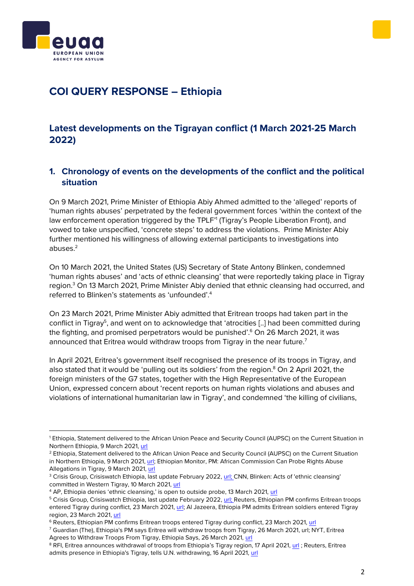



# **COI QUERY RESPONSE – Ethiopia**

## <span id="page-1-0"></span>**Latest developments on the Tigrayan conflict (1 March 2021-25 March 2022)**

## **1. Chronology of events on the developments of the conflict and the political situation**

On 9 March 2021, Prime Minister of Ethiopia Abiy Ahmed admitted to the 'alleged' reports of 'human rights abuses' perpetrated by the federal government forces 'within the context of the law enforcement operation triggered by the TPLF<sup>"</sup> (Tigray's People Liberation Front), and vowed to take unspecified, 'concrete steps' to address the violations. Prime Minister Abiy further mentioned his willingness of allowing external participants to investigations into abuses.<sup>2</sup>

On 10 March 2021, the United States (US) Secretary of State Antony Blinken, condemned 'human rights abuses' and 'acts of ethnic cleansing' that were reportedly taking place in Tigray region.<sup>3</sup> On 13 March 2021, Prime Minister Abiy denied that ethnic cleansing had occurred, and referred to Blinken's statements as 'unfounded'.<sup>4</sup>

On 23 March 2021, Prime Minister Abiy admitted that Eritrean troops had taken part in the conflict in Tigray<sup>5</sup>, and went on to acknowledge that 'atrocities [..] had been committed during the fighting, and promised perpetrators would be punished'. <sup>6</sup> On 26 March 2021, it was announced that Eritrea would withdraw troops from Tigray in the near future.<sup>7</sup>

In April 2021, Eritrea's government itself recognised the presence of its troops in Tigray, and also stated that it would be 'pulling out its soldiers' from the region. $8$  On 2 April 2021, the foreign ministers of the G7 states, together with the High Representative of the European Union, expressed concern about 'recent reports on human rights violations and abuses and violations of international humanitarian law in Tigray', and condemned 'the killing of civilians,

<sup>1</sup> Ethiopia, Statement delivered to the African Union Peace and Security Council (AUPSC) on the Current Situation in Northern Ethiopia, 9 March 2021, [url](https://www.ethioembassy.org.uk/prime-minister-abiys-statement-on-the-current-situation-in-northern-ethiopia/)

<sup>&</sup>lt;sup>2</sup> Ethiopia, Statement delivered to the African Union Peace and Security Council (AUPSC) on the Current Situation in Northern Ethiopia, 9 March 2021, [url;](https://www.ethioembassy.org.uk/prime-minister-abiys-statement-on-the-current-situation-in-northern-ethiopia/) Ethiopian Monitor, PM: African Commission Can Probe Rights Abuse Allegations in Tigray, 9 March 2021, [url](https://ethiopianmonitor.com/2021/03/09/pm-african-commission-can-probe-rights-abuse-allegations-in-tigray/)

<sup>&</sup>lt;sup>3</sup> Crisis Group, Crisiswatch Ethiopia, last update February 2022, [url;](https://www.crisisgroup.org/crisiswatch/database?location%5B%5D=121&date_range=custom&from_month=03&from_year=2021&to_month=03&to_year=2022) CNN, Blinken: Acts of 'ethnic cleansing' committed in Western Tigray, 10 March 2021, [url](https://edition.cnn.com/2021/03/10/politics/blinken-tigray-ethnic-cleansing/index.html)

<sup>4</sup> AP, Ethiopia denies 'ethnic cleansing,' is open to outside probe, 13 March 2021, [url](https://apnews.com/article/world-news-race-and-ethnicity-antony-blinken-ethiopia-uganda-1e1b536ccc1cd686db75ae2040bbdfc0)

<sup>5</sup> Crisis Group, Crisiswatch Ethiopia, last update February 2022, [url;](https://www.crisisgroup.org/crisiswatch/database?location%5B%5D=121&date_range=custom&from_month=03&from_year=2021&to_month=03&to_year=2022) Reuters, Ethiopian PM confirms Eritrean troops entered Tigray during conflict, 23 March 2021, [url;](https://www.reuters.com/world/ethiopian-pm-confirms-eritrean-troops-entered-tigray-during-recent-conflict-2021-03-23/) Al Jazeera, Ethiopia PM admits Eritrean soldiers entered Tigray region, 23 March 2021[, url](https://www.aljazeera.com/news/2021/3/23/ethiopia-pm-abiy-ahmed-says-atrocities-committed-in-tigray)

<sup>&</sup>lt;sup>6</sup> Reuters, Ethiopian PM confirms Eritrean troops entered Tigray during conflict, 23 March 2021[, url](https://www.reuters.com/world/ethiopian-pm-confirms-eritrean-troops-entered-tigray-during-recent-conflict-2021-03-23/)

<sup>7</sup> Guardian (The), Ethiopia's PM says Eritrea will withdraw troops from Tigray, 26 March 2021, url; NYT, Eritrea Agrees to Withdraw Troops From Tigray, Ethiopia Says, 26 March 2021, [url](https://www.nytimes.com/2021/03/26/world/africa/eritrea-troops-tigray-ethiopia.html)

<sup>&</sup>lt;sup>8</sup> RFI, Eritrea announces withdrawal of troops from Ethiopia's Tigray region, 17 April 2021, [url](https://www.rfi.fr/en/africa/20210417-eritrea-announces-withdrawal-of-troops-from-ethiopia-s-tigray-region); Reuters, Eritrea admits presence in Ethiopia's Tigray, tells U.N. withdrawing, 16 April 2021, [url](https://www.reuters.com/world/africa/eritrea-admits-presence-ethiopias-tigray-tells-un-withdrawing-2021-04-16/)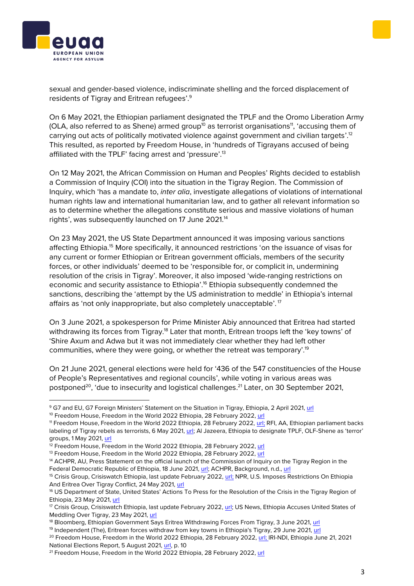



sexual and gender-based violence, indiscriminate shelling and the forced displacement of residents of Tigray and Eritrean refugees'.<sup>9</sup>

On 6 May 2021, the Ethiopian parliament designated the TPLF and the Oromo Liberation Army (OLA, also referred to as Shene) armed group<sup>10</sup> as terrorist organisations<sup>11</sup>, 'accusing them of carrying out acts of politically motivated violence against government and civilian targets'.<sup>12</sup> This resulted, as reported by Freedom House, in 'hundreds of Tigrayans accused of being affiliated with the TPLF' facing arrest and 'pressure'.<sup>13</sup>

On 12 May 2021, the African Commission on Human and Peoples' Rights decided to establish a Commission of Inquiry (COI) into the situation in the Tigray Region. The Commission of Inquiry, which 'has a mandate to, *inter alia*, investigate allegations of violations of international human rights law and international humanitarian law, and to gather all relevant information so as to determine whether the allegations constitute serious and massive violations of human rights', was subsequently launched on 17 June 2021.<sup>14</sup>

On 23 May 2021, the US State Department announced it was imposing various sanctions affecting Ethiopia.<sup>15</sup> More specifically, it announced restrictions 'on the issuance of visas for any current or former Ethiopian or Eritrean government officials, members of the security forces, or other individuals' deemed to be 'responsible for, or complicit in, undermining resolution of the crisis in Tigray'. Moreover, it also imposed 'wide-ranging restrictions on economic and security assistance to Ethiopia'.<sup>16</sup> Ethiopia subsequently condemned the sanctions, describing the 'attempt by the US administration to meddle' in Ethiopia's internal affairs as 'not only inappropriate, but also completely unacceptable'.<sup>17</sup>

On 3 June 2021, a spokesperson for Prime Minister Abiy announced that Eritrea had started withdrawing its forces from Tigray.<sup>18</sup> Later that month, Eritrean troops left the 'key towns' of 'Shire Axum and Adwa but it was not immediately clear whether they had left other communities, where they were going, or whether the retreat was temporary'. 19

On 21 June 2021, general elections were held for '436 of the 547 constituencies of the House of People's Representatives and regional councils', while voting in various areas was postponed<sup>20</sup>, 'due to insecurity and logistical challenges.<sup>21</sup> Later, on 30 September 2021,

<sup>9</sup> G7 and EU, G7 Foreign Ministers' Statement on the Situation in Tigray, Ethiopia, 2 April 2021, [url](https://www.state.gov/g7-foreign-ministers-statement-on-the-situation-in-tigray-ethiopia?ct=t%28EMAIL_CAMPAIGN_2021_MAR_31_COPY_01%29&goal=0_846c9d83bb-19178d3677-109584977)

<sup>&</sup>lt;sup>10</sup> Freedom House, Freedom in the World 2022 Ethiopia, 28 February 2022[, url](https://freedomhouse.org/country/ethiopia/freedom-world/2022)

<sup>11</sup> Freedom House, Freedom in the World 2022 Ethiopia, 28 February 2022, [url;](https://freedomhouse.org/country/ethiopia/freedom-world/2022) RFI, AA, Ethiopian parliament backs labeling of Tigray rebels as terrorists, 6 May 2021, [url;](https://www.aa.com.tr/en/africa/ethiopian-parliament-backs-labeling-of-tigray-rebels-as-terrorists/2231764) Al Jazeera, Ethiopia to designate TPLF, OLF-Shene as 'terror' groups, 1 May 2021[, url](https://www.aljazeera.com/news/2021/5/1/ethiopia-to-designate-tplf-olf-shene-as-terror-groups)

 $\frac{12}{12}$  Freedom House, Freedom in the World 2022 Ethiopia, 28 February 2022[, url](https://freedomhouse.org/country/ethiopia/freedom-world/2022)

<sup>&</sup>lt;sup>13</sup> Freedom House, Freedom in the World 2022 Ethiopia, 28 February 2022, [url](https://freedomhouse.org/country/ethiopia/freedom-world/2022)

<sup>&</sup>lt;sup>14</sup> ACHPR, AU, Press Statement on the official launch of the Commission of Inquiry on the Tigray Region in the Federal Democratic Republic of Ethiopia, 18 June 2021, [url;](https://reliefweb.int/sites/reliefweb.int/files/resources/40424-pr-press_release_coi_eng.pdf) ACHPR, Background, n.d., [url](https://inquiry.achpr.org/background-3/)

<sup>&</sup>lt;sup>15</sup> Crisis Group, Crisiswatch Ethiopia, last update February 2022, [url;](https://www.crisisgroup.org/crisiswatch/database?location%5B%5D=121&date_range=custom&from_month=03&from_year=2021&to_month=03&to_year=2022) NPR, U.S. Imposes Restrictions On Ethiopia And Eritrea Over Tigray Conflict, 24 May 2021, [url](https://www.npr.org/2021/05/24/999696377/u-s-imposes-restrictions-on-ethiopia-and-eritrea-over-tigray-conflict?t=1648121127465)

<sup>16</sup> US Department of State, United States' Actions To Press for the Resolution of the Crisis in the Tigray Region of Ethiopia, 23 May 2021, [url](https://www.state.gov/united-states-actions-to-press-for-the-resolution-of-the-crisis-in-the-tigray-region-of-ethiopia/)

<sup>&</sup>lt;sup>17</sup> Crisis Group, Crisiswatch Ethiopia, last update February 2022[, url;](https://www.crisisgroup.org/crisiswatch/database?location%5B%5D=121&date_range=custom&from_month=03&from_year=2021&to_month=03&to_year=2022) US News, Ethiopia Accuses United States of Meddling Over Tigray, 23 May 2021[, url](https://www.usnews.com/news/world/articles/2021-05-23/us-imposes-restrictions-on-ethiopia-assistance-over-tigray)

<sup>&</sup>lt;sup>18</sup> Bloomberg, Ethiopian Government Says Eritrea Withdrawing Forces From Tigray, 3 June 2021, [url](https://www.bloomberg.com/news/articles/2021-06-03/ethiopian-government-says-eritrea-withdrawing-forces-from-tigray)

<sup>&</sup>lt;sup>19</sup> Independent (The), Eritrean forces withdraw from key towns in Ethiopia's Tigray, 29 June 2021, [url](https://www.independent.co.uk/news/eritrean-forces-withdraw-from-key-towns-in-ethiopias-tigray-ethiopia-kenya-abiy-ahmed-shire-united-nations-b1874742.html)

<sup>&</sup>lt;sup>20</sup> Freedom House, Freedom in the World 2022 Ethiopia, 28 February 2022, [url;](https://freedomhouse.org/country/ethiopia/freedom-world/2022) IRI-NDI, Ethiopia June 21, 2021 National Elections Report, 5 August 2021, [url,](https://www.ndi.org/sites/default/files/LEOME%20Report%20of%20the%20June%2021%20Elections-krf0806-R3%20%281%29.pdf) p. 10

<sup>&</sup>lt;sup>21</sup> Freedom House, Freedom in the World 2022 Ethiopia, 28 February 2022[, url](https://freedomhouse.org/country/ethiopia/freedom-world/2022)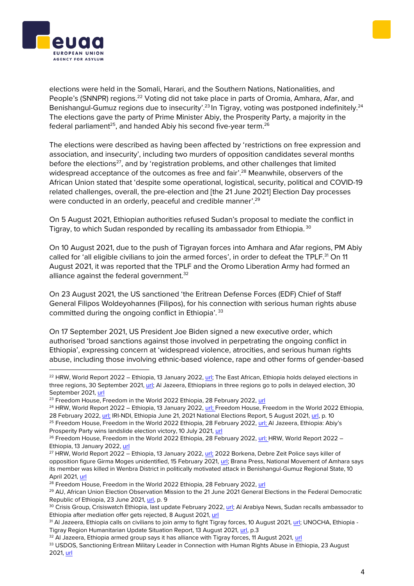



elections were held in the Somali, Harari, and the Southern Nations, Nationalities, and People's (SNNPR) regions.<sup>22</sup> Voting did not take place in parts of Oromia, Amhara, Afar, and Benishangul-Gumuz regions due to insecurity'.<sup>23</sup> In Tigray, voting was postponed indefinitely.<sup>24</sup> The elections gave the party of Prime Minister Abiy, the Prosperity Party, a majority in the federal parliament $^{25}$ , and handed Abiy his second five-year term. $^{26}$ 

The elections were described as having been affected by 'restrictions on free expression and association, and insecurity', including two murders of opposition candidates several months before the elections<sup>27</sup>, and by 'registration problems, and other challenges that limited widespread acceptance of the outcomes as free and fair'.<sup>28</sup> Meanwhile, observers of the African Union stated that 'despite some operational, logistical, security, political and COVID-19 related challenges, overall, the pre-election and [the 21 June 2021] Election Day processes were conducted in an orderly, peaceful and credible manner'.<sup>29</sup>

On 5 August 2021, Ethiopian authorities refused Sudan's proposal to mediate the conflict in Tigray, to which Sudan responded by recalling its ambassador from Ethiopia. 30

On 10 August 2021, due to the push of Tigrayan forces into Amhara and Afar regions, PM Abiy called for 'all eligible civilians to join the armed forces', in order to defeat the TPLF.<sup>31</sup> On 11 August 2021, it was reported that the TPLF and the Oromo Liberation Army had formed an alliance against the federal government.<sup>32</sup>

On 23 August 2021, the US sanctioned 'the Eritrean Defense Forces (EDF) Chief of Staff General Filipos Woldeyohannes (Filipos), for his connection with serious human rights abuse committed during the ongoing conflict in Ethiopia'.<sup>33</sup>

On 17 September 2021, US President Joe Biden signed a new executive order, which authorised 'broad sanctions against those involved in perpetrating the ongoing conflict in Ethiopia', expressing concern at 'widespread violence, atrocities, and serious human rights abuse, including those involving ethnic-based violence, rape and other forms of gender-based

<sup>&</sup>lt;sup>22</sup> HRW, World Report 2022 – Ethiopia, 13 January 2022[, url;](https://www.hrw.org/world-report/2022/country-chapters/ethiopia) The East African, Ethiopia holds delayed elections in three regions, 30 September 2021, [url;](https://www.theeastafrican.co.ke/tea/rest-of-africa/ethiopia-holds-delayed-elections-in-three-regions-3568380) Al Jazeera, Ethiopians in three regions go to polls in delayed election, 30 September 2021[, url](https://www.aljazeera.com/news/2021/9/30/ethiopians-in-three-regions-vote-in-delayed-election)

<sup>&</sup>lt;sup>23</sup> Freedom House, Freedom in the World 2022 Ethiopia, 28 February 2022[, url](https://freedomhouse.org/country/ethiopia/freedom-world/2022)

<sup>&</sup>lt;sup>24</sup> HRW, World Report 2022 – Ethiopia, 13 January 2022, [url;](https://www.hrw.org/world-report/2022/country-chapters/ethiopia) Freedom House, Freedom in the World 2022 Ethiopia, 28 February 2022, [url;](https://freedomhouse.org/country/ethiopia/freedom-world/2022) IRI-NDI, Ethiopia June 21, 2021 National Elections Report, 5 August 2021, [url,](https://www.ndi.org/sites/default/files/LEOME%20Report%20of%20the%20June%2021%20Elections-krf0806-R3%20%281%29.pdf) p. 10

<sup>&</sup>lt;sup>25</sup> Freedom House, Freedom in the World 2022 Ethiopia, 28 February 2022, [url;](https://freedomhouse.org/country/ethiopia/freedom-world/2022) Al Jazeera, Ethiopia: Abiy's Prosperity Party wins landslide election victory, 10 July 2021, [url](https://www.aljazeera.com/news/2021/7/10/ethiopias-ruling-party-wins-national-election-in-landslide)

<sup>&</sup>lt;sup>26</sup> Freedom House, Freedom in the World 2022 Ethiopia, 28 February 2022, [url;](https://freedomhouse.org/country/ethiopia/freedom-world/2022) HRW, World Report 2022 – Ethiopia, 13 January 2022[, url](https://www.hrw.org/world-report/2022/country-chapters/ethiopia)

<sup>&</sup>lt;sup>27</sup> HRW, World Report 2022 – Ethiopia, 13 January 2022, [url;](https://www.hrw.org/world-report/2022/country-chapters/ethiopia) 2022 Borkena, Debre Zeit Police says killer of opposition figure Girma Moges unidentified, 15 February 2021[, url;](https://borkena.com/2021/02/15/debre-zeit-police-says-killer-of-opposition-figure-girma-moges-unidentified/) Brana Press, National Movement of Amhara says its member was killed in Wenbra District in politically motivated attack in Benishangul-Gumuz Regional State, 10 April 2021, [url](http://www.branapress.com/2021/04/10/national-movement-of-amhara-says-its-member-was-killed-in-wenbra-district-in-politically-motivated-attack-in-benishangul-gumuz-regional-state/)

<sup>&</sup>lt;sup>28</sup> Freedom House, Freedom in the World 2022 Ethiopia, 28 February 2022, [url](https://freedomhouse.org/country/ethiopia/freedom-world/2022)

<sup>&</sup>lt;sup>29</sup> AU, African Union Election Observation Mission to the 21 June 2021 General Elections in the Federal Democratic Republic of Ethiopia, 23 June 2021[, url,](https://au.int/sites/default/files/pressreleases/40474-pr-Preliminary_Statement_African_Union_Election_Observation_Mission_to_the_.1_0.pdf) p. 9

<sup>&</sup>lt;sup>30</sup> Crisis Group, Crisiswatch Ethiopia, last update February 2022[, url;](https://www.crisisgroup.org/crisiswatch/database?location%5B%5D=121&date_range=custom&from_month=03&from_year=2021&to_month=03&to_year=2022) Al Arabiya News, Sudan recalls ambassador to Ethiopia after mediation offer gets rejected, 8 August 2021, [url](https://english.alarabiya.net/News/world/2021/08/08/Sudan-recalls-ambassador-to-Ethiopia-after-mediation-offer-gets-rejected)

<sup>&</sup>lt;sup>31</sup> Al Jazeera, Ethiopia calls on civilians to join army to fight Tigray forces, 10 August 2021[, url;](https://www.aljazeera.com/news/2021/8/10/ethiopia-calls-on-civilians-to-join-army-to-fight-tigray-rebels) UNOCHA, Ethiopia -Tigray Region Humanitarian Update Situation Report, 13 August 2021[, url,](https://reliefweb.int/sites/reliefweb.int/files/resources/Situation%20Report%20-%20Ethiopia%20-%20Tigray%20Region%20Humanitarian%20Update%20-%2013%20Aug%202021.pdf) p.3

<sup>&</sup>lt;sup>32</sup> Al Jazeera, Ethiopia armed group says it has alliance with Tigray forces, 11 August 2021, [url](https://www.aljazeera.com/news/2021/8/11/ethiopia-armed-group-says-it-has-alliance-with-tigray-forces)

<sup>33</sup> USDOS, Sanctioning Eritrean Military Leader in Connection with Human Rights Abuse in Ethiopia, 23 August 2021[, url](https://www.state.gov/sanctioning-eritrean-military-leader-in-connection-with-human-rights-abuse-in-ethiopia/)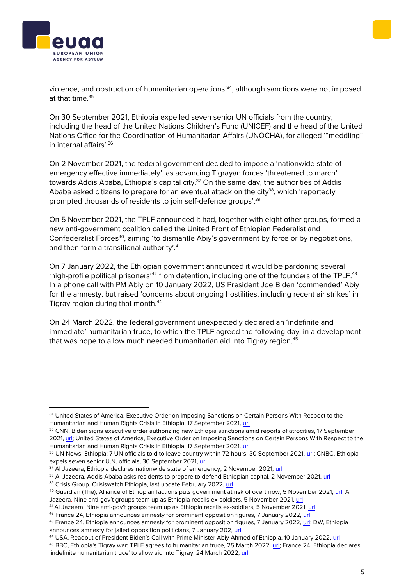violence, and obstruction of humanitarian operations' 34 , although sanctions were not imposed at that time  $35$ 

On 30 September 2021, Ethiopia expelled seven senior UN officials from the country, including the head of the United Nations Children's Fund (UNICEF) and the head of the United Nations Office for the Coordination of Humanitarian Affairs (UNOCHA), for alleged '"meddling" in internal affairs' 36

On 2 November 2021, the federal government decided to impose a 'nationwide state of emergency effective immediately', as advancing Tigrayan forces 'threatened to march' towards Addis Ababa, Ethiopia's capital city.<sup>37</sup> On the same day, the authorities of Addis Ababa asked citizens to prepare for an eventual attack on the city $38$ , which 'reportedly prompted thousands of residents to join self-defence groups'.<sup>39</sup>

On 5 November 2021, the TPLF announced it had, together with eight other groups, formed a new anti-government coalition called the United Front of Ethiopian Federalist and Confederalist Forces<sup>40</sup>, aiming 'to dismantle Abiy's government by force or by negotiations, and then form a transitional authority'.<sup>41</sup>

On 7 January 2022, the Ethiopian government announced it would be pardoning several 'high-profile political prisoners'<sup>42</sup> from detention, including one of the founders of the TPLF.<sup>43</sup> In a phone call with PM Abiy on 10 January 2022, US President Joe Biden 'commended' Abiy for the amnesty, but raised 'concerns about ongoing hostilities, including recent air strikes' in Tigray region during that month.<sup>44</sup>

On 24 March 2022, the federal government unexpectedly declared an 'indefinite and immediate' humanitarian truce, to which the TPLF agreed the following day, in a development that was hope to allow much needed humanitarian aid into Tigray region.<sup>45</sup>





<sup>34</sup> United States of America, Executive Order on Imposing Sanctions on Certain Persons With Respect to the Humanitarian and Human Rights Crisis in Ethiopia, 17 September 2021, [url](https://www.whitehouse.gov/briefing-room/presidential-actions/2021/09/17/executive-order-on-imposing-sanctions-on-certain-persons-with-respect-to-the-humanitarian-and-human-rights-crisis-in-ethiopia/)

<sup>&</sup>lt;sup>35</sup> CNN, Biden signs executive order authorizing new Ethiopia sanctions amid reports of atrocities, 17 September 2021[, url;](https://edition.cnn.com/2021/09/17/politics/biden-ethiopia-eo/index.html) United States of America, Executive Order on Imposing Sanctions on Certain Persons With Respect to the Humanitarian and Human Rights Crisis in Ethiopia, 17 September 2021, [url](https://www.whitehouse.gov/briefing-room/presidential-actions/2021/09/17/executive-order-on-imposing-sanctions-on-certain-persons-with-respect-to-the-humanitarian-and-human-rights-crisis-in-ethiopia/)

<sup>36</sup> UN News, Ethiopia: 7 UN officials told to leave country within 72 hours, 30 September 2021, [url;](https://news.un.org/en/story/2021/09/1101872) CNBC, Ethiopia expels seven senior U.N. officials, 30 September 2021, [url](https://www.cnbc.com/2021/09/30/ethiopia-expels-seven-senior-un-officials-.html)

 $37$  Al Jazeera, Ethiopia declares nationwide state of emergency, 2 November 2021, [url](https://www.aljazeera.com/news/2021/11/2/ethiopia-declares-nationwide-state-of-emergency)

<sup>&</sup>lt;sup>38</sup> Al Jazeera, Addis Ababa asks residents to prepare to defend Ethiopian capital, 2 November 2021, [url](https://www.aljazeera.com/news/2021/11/2/ethiopian-government-tells-residents-to-prepare-to-defend-capital)

<sup>39</sup> Crisis Group, Crisiswatch Ethiopia, last update February 2022, [url](https://www.crisisgroup.org/crisiswatch/database?location%5B%5D=121&date_range=custom&from_month=03&from_year=2021&to_month=03&to_year=2022)

<sup>40</sup> Guardian (The), Alliance of Ethiopian factions puts government at risk of overthrow, 5 November 2021, [url;](https://www.theguardian.com/world/2021/nov/05/nine-ethiopian-factions-to-form-alliance-against-government) Al Jazeera, Nine anti-gov't groups team up as Ethiopia recalls ex-soldiers, 5 November 2021, [url](https://www.aljazeera.com/news/2021/11/5/nine-anti-abiy-groups-team-up-as-ethiopia-recalls-ex-soldiers)

<sup>&</sup>lt;sup>41</sup> Al Jazeera, Nine anti-gov't groups team up as Ethiopia recalls ex-soldiers, 5 November 2021[, url](https://www.aljazeera.com/news/2021/11/5/nine-anti-abiy-groups-team-up-as-ethiopia-recalls-ex-soldiers)

<sup>42</sup> France 24, Ethiopia announces amnesty for prominent opposition figures, 7 January 2022, [url](https://www.france24.com/en/africa/20220107-ethiopia-announces-amnesty-for-prominent-opposition-figures)

<sup>&</sup>lt;sup>43</sup> France 24, Ethiopia announces amnesty for prominent opposition figures, 7 January 2022, [url;](https://www.france24.com/en/africa/20220107-ethiopia-announces-amnesty-for-prominent-opposition-figures) DW, Ethiopia announces amnesty for jailed opposition politicians, 7 January 202, [url](https://www.dw.com/en/ethiopia-announces-amnesty-for-jailed-opposition-politicians/a-60362558)

<sup>44</sup> USA, Readout of President Biden's Call with Prime Minister Abiy Ahmed of Ethiopia, 10 January 2022, [url](https://www.whitehouse.gov/briefing-room/statements-releases/2022/01/10/readout-of-president-bidens-call-with-prime-minister-abiy-ahmed-of-ethiopia/)

<sup>45</sup> BBC, Ethiopia's Tigray war: TPLF agrees to humanitarian truce, 25 March 2022, [url;](https://www.bbc.com/news/world-africa-60861900) France 24, Ethiopia declares 'indefinite humanitarian truce' to allow aid into Tigray, 24 March 2022, [url](https://www.france24.com/en/africa/20220324-ethiopia-declares-indefinite-humanitarian-truce-to-allow-aid-into-tigray)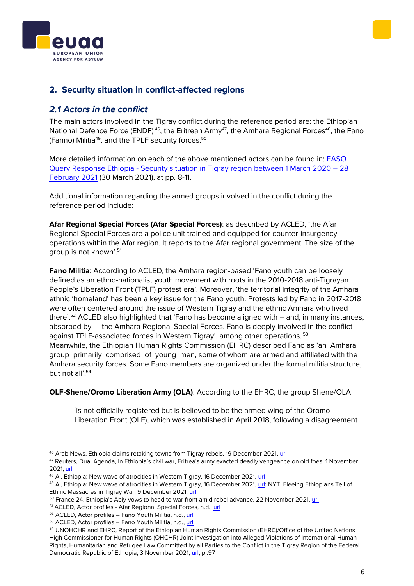## <span id="page-5-1"></span><span id="page-5-0"></span>**2. Security situation in conflict-affected regions**

## *2.1 Actors in the conflict*

The main actors involved in the Tigray conflict during the reference period are: the Ethiopian National Defence Force (ENDF)<sup>46</sup>, the Eritrean Army<sup>47</sup>, the Amhara Regional Forces<sup>48</sup>, the Fano (Fanno) Militia<sup>49</sup>, and the TPLF security forces.<sup>50</sup>

More detailed information on each of the above mentioned actors can be found in: [EASO](https://coi.euaa.europa.eu/administration/easo/PLib/2021_03_Q-02_EASO_COI_QUERY_Ethiopia_Tigray.pdf) Query Response Ethiopia - [Security situation in Tigray region between 1 March 2020](https://coi.euaa.europa.eu/administration/easo/PLib/2021_03_Q-02_EASO_COI_QUERY_Ethiopia_Tigray.pdf) – 28 [February](https://coi.euaa.europa.eu/administration/easo/PLib/2021_03_Q-02_EASO_COI_QUERY_Ethiopia_Tigray.pdf) 2021 (30 March 2021), at pp. 8-11.

Additional information regarding the armed groups involved in the conflict during the reference period include:

**Afar Regional Special Forces (Afar Special Forces)**: as described by ACLED, 'the Afar Regional Special Forces are a police unit trained and equipped for counter-insurgency operations within the Afar region. It reports to the Afar regional government. The size of the group is not known'.<sup>51</sup>

**Fano Militia**: According to ACLED, the Amhara region-based 'Fano youth can be loosely defined as an ethno-nationalist youth movement with roots in the 2010-2018 anti-Tigrayan People's Liberation Front (TPLF) protest era'. Moreover, 'the territorial integrity of the Amhara ethnic 'homeland' has been a key issue for the Fano youth. Protests led by Fano in 2017-2018 were often centered around the issue of Western Tigray and the ethnic Amhara who lived there'.<sup>52</sup> ACLED also highlighted that 'Fano has become aligned with – and, in many instances, absorbed by — the Amhara Regional Special Forces. Fano is deeply involved in the conflict against TPLF-associated forces in Western Tigray', among other operations.<sup>53</sup> Meanwhile, the Ethiopian Human Rights Commission (EHRC) described Fano as 'an Amhara group primarily comprised of young men, some of whom are armed and affiliated with the Amhara security forces. Some Fano members are organized under the formal militia structure, but not all'.<sup>54</sup>

**OLF-Shene/Oromo Liberation Army (OLA)**: According to the EHRC, the group Shene/OLA

'is not officially registered but is believed to be the armed wing of the Oromo Liberation Front (OLF), which was established in April 2018, following a disagreement





<sup>46</sup> Arab News, Ethiopia claims retaking towns from Tigray rebels, 19 December 2021[, url](https://www.arabnews.com/node/1989276/world)

<sup>47</sup> Reuters, Dual Agenda, In Ethiopia's civil war, Eritrea's army exacted deadly vengeance on old foes, 1 November 2021[, url](https://www.reuters.com/investigates/special-report/ethiopia-conflict-eritrea/)

<sup>48</sup> AI, Ethiopia: New wave of atrocities in Western Tigray, 16 December 2021, [url](https://www.amnesty.org/en/latest/news/2021/12/ethiopia-new-wave-of-atrocities-in-western-tigray/)

<sup>49</sup> AI, Ethiopia: New wave of atrocities in Western Tigray, 16 December 2021, [url;](https://www.amnesty.org/en/latest/news/2021/12/ethiopia-new-wave-of-atrocities-in-western-tigray/) NYT, Fleeing Ethiopians Tell of Ethnic Massacres in Tigray War, 9 December 2021[, url](https://www.nytimes.com/2020/12/09/world/africa/ethiopia-tigray-sudan.html)

<sup>&</sup>lt;sup>50</sup> France 24, Ethiopia's Abiy vows to head to war front amid rebel advance, 22 November 2021[, url](https://www.france24.com/en/live-news/20211122-ethiopia-s-abiy-vows-to-head-to-war-front-amid-rebel-advance)

<sup>51</sup> ACLED, Actor profiles - Afar Regional Special Forces, n.d., [url](https://epo.acleddata.com/actor-profiles/#1622661094063-1cecc365-8782)

<sup>52</sup> ACLED, Actor profiles - Fano Youth Militia, n.d., [url](https://epo.acleddata.com/actor-profiles/#1622661094063-1cecc365-8782)

<sup>53</sup> ACLED, Actor profiles - Fano Youth Militia, n.d., [url](https://epo.acleddata.com/actor-profiles/#1622661094063-1cecc365-8782)

<sup>54</sup> UNOHCHR and EHRC, Report of the Ethiopian Human Rights Commission (EHRC)/Office of the United Nations High Commissioner for Human Rights (OHCHR) Joint Investigation into Alleged Violations of International Human Rights, Humanitarian and Refugee Law Committed by all Parties to the Conflict in the Tigray Region of the Federal Democratic Republic of Ethiopia, 3 November 2021, [url,](https://digitallibrary.un.org/record/3947207?ln=en) p..97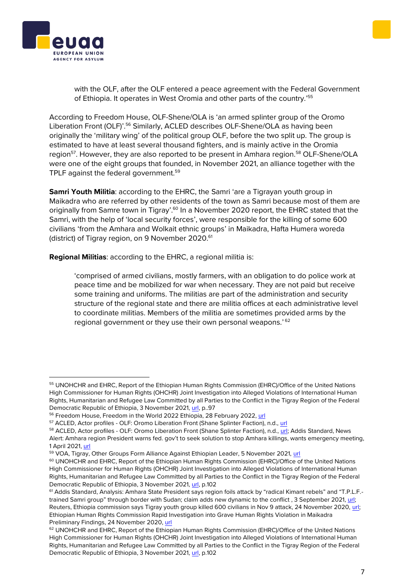#### with the OLF, after the OLF entered a peace agreement with the Federal Government of Ethiopia. It operates in West Oromia and other parts of the country.' 55

According to Freedom House, OLF-Shene/OLA is 'an armed splinter group of the Oromo Liberation Front (OLF)'.<sup>56</sup> Similarly, ACLED describes OLF-Shene/OLA as having been originally the 'military wing' of the political group OLF, before the two split up. The group is estimated to have at least several thousand fighters, and is mainly active in the Oromia region<sup>57</sup>. However, they are also reported to be present in Amhara region.<sup>58</sup> OLF-Shene/OLA were one of the eight groups that founded, in November 2021, an alliance together with the TPLF against the federal government.<sup>59</sup>

**Samri Youth Militia**: according to the EHRC, the Samri 'are a Tigrayan youth group in Maikadra who are referred by other residents of the town as Samri because most of them are originally from Samre town in Tigray'.<sup>60</sup> In a November 2020 report, the EHRC stated that the Samri, with the help of 'local security forces', were responsible for the killing of some 600 civilians 'from the Amhara and Wolkait ethnic groups' in Maikadra, Hafta Humera woreda (district) of Tigray region, on 9 November 2020.<sup>61</sup>

**Regional Militias**: according to the EHRC, a regional militia is:

'comprised of armed civilians, mostly farmers, with an obligation to do police work at peace time and be mobilized for war when necessary. They are not paid but receive some training and uniforms. The militias are part of the administration and security structure of the regional state and there are militia offices at each administrative level to coordinate militias. Members of the militia are sometimes provided arms by the regional government or they use their own personal weapons.'<sup>62</sup>

<sup>59</sup> VOA, Tigray, Other Groups Form Alliance Against Ethiopian Leader, 5 November 2021, [url](https://www.voanews.com/a/tigray-other-groups-form-alliance-against-ethiopian-leader/6301306.html)





<sup>55</sup> UNOHCHR and EHRC, Report of the Ethiopian Human Rights Commission (EHRC)/Office of the United Nations High Commissioner for Human Rights (OHCHR) Joint Investigation into Alleged Violations of International Human Rights, Humanitarian and Refugee Law Committed by all Parties to the Conflict in the Tigray Region of the Federal Democratic Republic of Ethiopia, 3 November 2021, [url,](https://digitallibrary.un.org/record/3947207?ln=en) p..97

<sup>&</sup>lt;sup>56</sup> Freedom House, Freedom in the World 2022 Ethiopia, 28 February 2022, [url](https://freedomhouse.org/country/ethiopia/freedom-world/2022)

<sup>57</sup> ACLED, Actor profiles - OLF: Oromo Liberation Front (Shane Splinter Faction), n.d., [url](https://epo.acleddata.com/actor-profiles/#1622661094063-1cecc365-8782)

<sup>58</sup> ACLED, Actor profiles - OLF: Oromo Liberation Front (Shane Splinter Faction), n.d.[, url;](https://epo.acleddata.com/actor-profiles/#1622661094063-1cecc365-8782) Addis Standard, News Alert: Amhara region President warns fed. gov't to seek solution to stop Amhara killings, wants emergency meeting, 1 April 2021, [url](https://addisstandard.com/news-alert-amhara-region-president-warns-fed-govt-to-seek-solution-to-stop-amhara-killings-wants-emergency-meeting/)

<sup>60</sup> UNOHCHR and EHRC, Report of the Ethiopian Human Rights Commission (EHRC)/Office of the United Nations High Commissioner for Human Rights (OHCHR) Joint Investigation into Alleged Violations of International Human Rights, Humanitarian and Refugee Law Committed by all Parties to the Conflict in the Tigray Region of the Federal Democratic Republic of Ethiopia, 3 November 2021, [url,](https://digitallibrary.un.org/record/3947207?ln=en) p.102

<sup>&</sup>lt;sup>61</sup> Addis Standard, Analysis: Amhara State President says region foils attack by "radical Kimant rebels" and "T.P.L.F.trained Samri group" through border with Sudan; claim adds new dynamic to the conflict , 3 September 2021, [url;](https://addisstandard.com/analysis-amhara-state-president-says-region-foils-attack-by-radical-kimant-rebels-and-t-p-l-f-trained-samri-group-through-border-with-sudan-claim-adds-new-dynami/)  Reuters, Ethiopia commission says Tigray youth group killed 600 civilians in Nov 9 attack, 24 November 2020[, url;](https://www.reuters.com/article/ethiopia-conflict-massacre-idINKBN2841X1)  Ethiopian Human Rights Commission Rapid Investigation into Grave Human Rights Violation in Maikadra Preliminary Findings, 24 November 2020, [url](https://addisstandard.com/wp-content/uploads/2020/11/Maikadra-Preliminary-Findings-English-Final.pdf)

<sup>&</sup>lt;sup>62</sup> UNOHCHR and EHRC, Report of the Ethiopian Human Rights Commission (EHRC)/Office of the United Nations High Commissioner for Human Rights (OHCHR) Joint Investigation into Alleged Violations of International Human Rights, Humanitarian and Refugee Law Committed by all Parties to the Conflict in the Tigray Region of the Federal Democratic Republic of Ethiopia, 3 November 2021, [url,](https://digitallibrary.un.org/record/3947207?ln=en) p.102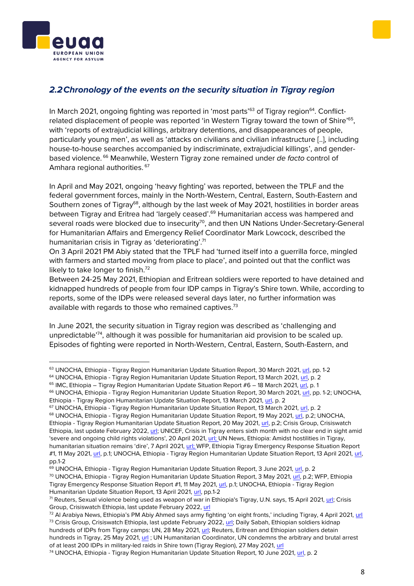



## <span id="page-7-0"></span>*2.2Chronology of the events on the security situation in Tigray region*

In March 2021, ongoing fighting was reported in 'most parts'<sup>63</sup> of Tigray region<sup>64</sup>. Conflictrelated displacement of people was reported 'in Western Tigray toward the town of Shire'<sup>65</sup>, with 'reports of extrajudicial killings, arbitrary detentions, and disappearances of people, particularly young men', as well as 'attacks on civilians and civilian infrastructure [..], including house-to-house searches accompanied by indiscriminate, extrajudicial killings', and genderbased violence. <sup>66</sup> Meanwhile, Western Tigray zone remained under *de facto* control of Amhara regional authorities. <sup>67</sup>

In April and May 2021, ongoing 'heavy fighting' was reported, between the TPLF and the federal government forces, mainly in the North-Western, Central, Eastern, South-Eastern and Southern zones of Tigray<sup>68</sup>, although by the last week of May 2021, hostilities in border areas between Tigray and Eritrea had 'largely ceased'.<sup>69</sup> Humanitarian access was hampered and several roads were blocked due to insecurity<sup>70</sup>, and then UN Nations Under-Secretary-General for Humanitarian Affairs and Emergency Relief Coordinator Mark Lowcock, described the humanitarian crisis in Tigray as 'deteriorating'.<sup>71</sup>

On 3 April 2021 PM Abiy stated that the TPLF had 'turned itself into a guerrilla force, mingled with farmers and started moving from place to place', and pointed out that the conflict was likely to take longer to finish.<sup>72</sup>

Between 24-25 May 2021, Ethiopian and Eritrean soldiers were reported to have detained and kidnapped hundreds of people from four IDP camps in Tigray's Shire town. While, according to reports, some of the IDPs were released several days later, no further information was available with regards to those who remained captives.<sup>73</sup>

In June 2021, the security situation in Tigray region was described as 'challenging and unpredictable<sup>'74</sup>, although it was possible for humanitarian aid provision to be scaled up. Episodes of fighting were reported in North-Western, Central, Eastern, South-Eastern, and

<sup>64</sup> UNOCHA, Ethiopia - Tigray Region Humanitarian Update Situation Report, 13 March 2021, [url,](https://reliefweb.int/sites/reliefweb.int/files/resources/Situation%20Report%20-%20Ethiopia%20-%20Tigray%20Region%20Humanitarian%20Update%20-%2013%20Mar%202021.pdf) p. 2

69 UNOCHA, Ethiopia - Tigray Region Humanitarian Update Situation Report, 3 June 2021, [url,](https://reliefweb.int/sites/reliefweb.int/files/resources/Situation%20Report%20-%20Ethiopia%20-%20Tigray%20Region%20Humanitarian%20Update%20-%203%20Jun%202021.pdf) p. 2

<sup>70</sup> UNOCHA, Ethiopia - Tigray Region Humanitarian Update Situation Report, 3 May 2021, [url,](https://reliefweb.int/sites/reliefweb.int/files/resources/Situation%20Report%20-%20Ethiopia%20-%20Tigray%20Region%20Humanitarian%20Update%20-%2027%20Apr%202021.pdf) p.2; WFP, Ethiopia Tigray Emergency Response Situation Report #1, 11 May 2021, [url,](https://reliefweb.int/sites/reliefweb.int/files/resources/WFP%20Ethiopia%20Tigray%20Emergence%20Response%20External%20Situation%20Report%2024%20April%202021.pdf) p.1; UNOCHA, Ethiopia - Tigray Region Humanitarian Update Situation Report, 13 April 2021, [url,](https://reliefweb.int/sites/reliefweb.int/files/resources/Situation%20Report%20-%20Ethiopia%20-%20Tigray%20Region%20Humanitarian%20Update%20-%2013%20Apr%202021.pdf) pp.1-2

hundreds in Tigray, 25 May 2021, [url](https://www.reuters.com/world/africa/eritrean-ethiopian-soldiers-detain-hundreds-tigray-2021-05-25/) ; UN Humanitarian Coordinator, UN condemns the arbitrary and brutal arrest of at least 200 IDPs in military-led raids in Shire town (Tigray Region), 27 May 2021, [url](https://ethiopia.un.org/en/128792-un-condemns-arbitrary-and-brutal-arrest-least-200-idps-military-led-raids-shire-town-tigray)

<sup>63</sup> UNOCHA, Ethiopia - Tigray Region Humanitarian Update Situation Report, 30 March 2021, [url,](https://reliefweb.int/sites/reliefweb.int/files/resources/Situation%20Report%20-%20Ethiopia%20-%20Tigray%20Region%20Humanitarian%20Update%20-%2022%20Mar%202021.pdf) pp. 1-2

 $65$  IMC, Ethiopia – Tigray Region Humanitarian Update Situation Report  $#6 - 18$  March 2021[, url,](https://reliefweb.int/sites/reliefweb.int/files/resources/IntlMedCorps-TigrayResponse_SitRep06.pdf) p. 1

<sup>&</sup>lt;sup>66</sup> UNOCHA, Ethiopia - Tigray Region Humanitarian Update Situation Report, 30 March 2021, [url,](https://reliefweb.int/sites/reliefweb.int/files/resources/Situation%20Report%20-%20Ethiopia%20-%20Tigray%20Region%20Humanitarian%20Update%20-%2022%20Mar%202021.pdf) pp. 1-2; UNOCHA, Ethiopia - Tigray Region Humanitarian Update Situation Report, 13 March 2021, [url,](https://reliefweb.int/sites/reliefweb.int/files/resources/Situation%20Report%20-%20Ethiopia%20-%20Tigray%20Region%20Humanitarian%20Update%20-%2013%20Mar%202021.pdf) p. 2

<sup>67</sup> UNOCHA, Ethiopia - Tigray Region Humanitarian Update Situation Report, 13 March 2021, [url,](https://reliefweb.int/sites/reliefweb.int/files/resources/Situation%20Report%20-%20Ethiopia%20-%20Tigray%20Region%20Humanitarian%20Update%20-%2013%20Mar%202021.pdf) p. 2

<sup>68</sup> UNOCHA, Ethiopia - Tigray Region Humanitarian Update Situation Report, 19 May 2021, [url,](https://reliefweb.int/sites/reliefweb.int/files/resources/Situation%20Report%20-%20Ethiopia%20-%20Tigray%20Region%20Humanitarian%20Update%20-%2014%20May%202021.pdf) p.2; UNOCHA, Ethiopia - Tigray Region Humanitarian Update Situation Report, 20 May 2021, [url,](https://reliefweb.int/sites/reliefweb.int/files/resources/Situation%20Report%20-%20Ethiopia%20-%20Tigray%20Region%20Humanitarian%20Update%20-%2020%20May%202021.pdf) p.2; Crisis Group, Crisiswatch Ethiopia, last update February 2022[, url;](https://www.crisisgroup.org/crisiswatch/database?location%5B%5D=121&date_range=custom&from_month=03&from_year=2021&to_month=03&to_year=2022) UNICEF, Crisis in Tigray enters sixth month with no clear end in sight amid 'severe and ongoing child rights violations', 20 April 2021[, url;](https://www.unicef.org/press-releases/crisis-tigray-enters-sixth-month-no-clear-end-sight-amid-severe-and-ongoing-child) UN News, Ethiopia: Amidst hostilities in Tigray, humanitarian situation remains 'dire', 7 April 2021, [url;](https://news.un.org/en/story/2021/04/1089282) WFP, Ethiopia Tigray Emergency Response Situation Report #1, 11 May 2021, [url,](https://reliefweb.int/sites/reliefweb.int/files/resources/WFP%20Ethiopia%20Tigray%20Emergence%20Response%20External%20Situation%20Report%2024%20April%202021.pdf) p.1; UNOCHA, Ethiopia - Tigray Region Humanitarian Update Situation Report, 13 April 2021, [url,](https://reliefweb.int/sites/reliefweb.int/files/resources/Situation%20Report%20-%20Ethiopia%20-%20Tigray%20Region%20Humanitarian%20Update%20-%2013%20Apr%202021.pdf) pp.1-2

<sup>71</sup> Reuters, Sexual violence being used as weapon of war in Ethiopia's Tigray, U.N. says, 15 April 2021, [url;](https://www.reuters.com/article/ethiopia-conflict-rape-un-idAFL1N2M82B6) Crisis Group, Crisiswatch Ethiopia, last update February 2022[, url](https://www.crisisgroup.org/crisiswatch/database?location%5B%5D=121&date_range=custom&from_month=03&from_year=2021&to_month=03&to_year=2022)

<sup>72</sup> Al Arabiya News, Ethiopia's PM Abiy Ahmed says army fighting 'on eight fronts,' including Tigray, 4 April 2021, [url](https://english.alarabiya.net/News/world/2021/04/04/Ethiopia-s-PM-Abiy-Ahmed-says-army-fighting-on-eight-fronts-including-Tigray) <sup>73</sup> Crisis Group, Crisiswatch Ethiopia, last update February 2022[, url;](https://www.crisisgroup.org/crisiswatch/database?location%5B%5D=121&date_range=custom&from_month=03&from_year=2021&to_month=03&to_year=2022) Daily Sabah, Ethiopian soldiers kidnap hundreds of IDPs from Tigray camps: UN, 28 May 2021[, url;](https://www.dailysabah.com/world/africa/ethiopian-soldiers-kidnap-hundreds-of-idps-from-tigray-camps-un) Reuters, Eritrean and Ethiopian soldiers detain

<sup>74</sup> UNOCHA, Ethiopia - Tigray Region Humanitarian Update Situation Report, 10 June 2021[, url,](https://reliefweb.int/sites/reliefweb.int/files/resources/Ethiopia%20-%20Tigray%20Region%20Humanitarian%20Update%20Situation%20Report%2C%2010%20June%202021.pdf) p. 2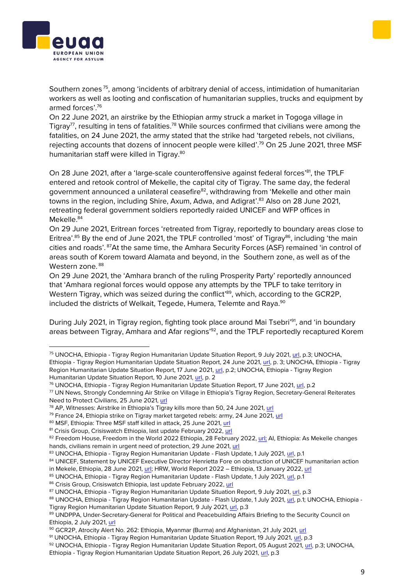



Southern zones<sup>75</sup>, among 'incidents of arbitrary denial of access, intimidation of humanitarian workers as well as looting and confiscation of humanitarian supplies, trucks and equipment by armed forces'.<sup>76</sup>

On 22 June 2021, an airstrike by the Ethiopian army struck a market in Togoga village in Tigray<sup>77</sup>, resulting in tens of fatalities.<sup>78</sup> While sources confirmed that civilians were among the fatalities, on 24 June 2021, the army stated that the strike had 'targeted rebels, not civilians, rejecting accounts that dozens of innocent people were killed'.<sup>79</sup> On 25 June 2021, three MSF humanitarian staff were killed in Tigray.<sup>80</sup>

On 28 June 2021, after a 'large-scale counteroffensive against federal forces'<sup>81</sup>, the TPLF entered and retook control of Mekelle, the capital city of Tigray. The same day, the federal government announced a unilateral ceasefire<sup>82</sup>, withdrawing from 'Mekelle and other main towns in the region, including Shire, Axum, Adwa, and Adigrat'. <sup>83</sup> Also on 28 June 2021, retreating federal government soldiers reportedly raided UNICEF and WFP offices in Mekelle. 84

On 29 June 2021, Eritrean forces 'retreated from Tigray, reportedly to boundary areas close to Eritrea'.<sup>85</sup> By the end of June 2021, the TPLF controlled 'most' of Tigray<sup>86</sup>, including 'the main cities and roads'. <sup>87</sup>At the same time, the Amhara Security Forces (ASF) remained 'in control of areas south of Korem toward Alamata and beyond, in the Southern zone, as well as of the Western zone. <sup>88</sup>

On 29 June 2021, the 'Amhara branch of the ruling Prosperity Party' reportedly announced that 'Amhara regional forces would oppose any attempts by the TPLF to take territory in Western Tigray, which was seized during the conflict'<sup>89</sup>, which, according to the GCR2P, included the districts of Welkait, Tegede, Humera, Telemte and Raya.<sup>90</sup>

During July 2021, in Tigray region, fighting took place around Mai Tsebri<sup>'91</sup>, and 'in boundary areas between Tigray, Amhara and Afar regions<sup>'92</sup>, and the TPLF reportedly recaptured Korem

<sup>75</sup> UNOCHA, Ethiopia - Tigray Region Humanitarian Update Situation Report, 9 July 2021[, url,](https://reliefweb.int/sites/reliefweb.int/files/resources/Situation%20Report%20-%20Ethiopia%20-%20Tigray%20Region%20Humanitarian%20Update%20-%209%20Jul%202021.pdf) p.3; UNOCHA, Ethiopia - Tigray Region Humanitarian Update Situation Report, 24 June 2021, [url,](https://reliefweb.int/sites/reliefweb.int/files/resources/Situation%20Report%20-%20Ethiopia%20-%20Tigray%20Region%20Humanitarian%20Update%20-%2024%20Jun%202021.pdf) p. 3; UNOCHA, Ethiopia - Tigray Region Humanitarian Update Situation Report, 17 June 2021, [url,](https://reliefweb.int/sites/reliefweb.int/files/resources/Situation%20Report%20-%20Ethiopia%20-%20Tigray%20Region%20Humanitarian%20Update%20-%2017%20Jun%202021.pdf) p.2; UNOCHA, Ethiopia - Tigray Region Humanitarian Update Situation Report, 10 June 2021[, url,](https://reliefweb.int/sites/reliefweb.int/files/resources/Ethiopia%20-%20Tigray%20Region%20Humanitarian%20Update%20Situation%20Report%2C%2010%20June%202021.pdf) p. 2

<sup>76</sup> UNOCHA, Ethiopia - Tigray Region Humanitarian Update Situation Report, 17 June 2021[, url,](https://reliefweb.int/sites/reliefweb.int/files/resources/Situation%20Report%20-%20Ethiopia%20-%20Tigray%20Region%20Humanitarian%20Update%20-%2017%20Jun%202021.pdf) p.2

<sup>77</sup> UN News, Strongly Condemning Air Strike on Village in Ethiopia's Tigray Region, Secretary-General Reiterates Need to Protect Civilians, 25 June 2021[, url](https://www.un.org/press/en/2021/sgsm20798.doc.htm)

<sup>&</sup>lt;sup>78</sup> AP, Witnesses: Airstrike in Ethiopia's Tigray kills more than 50, 24 June 2021, [url](https://apnews.com/article/ethiopoia-tigray-airstrike-togoga-424851651a0e02c21df71c86d9b70ec2)

<sup>&</sup>lt;sup>79</sup> France 24, Ethiopia strike on Tigray market targeted rebels: army, 24 June 2021, [url](https://www.france24.com/en/live-news/20210624-ethiopia-strike-on-tigray-market-targeted-rebels-army)

<sup>80</sup> MSF, Ethiopia: Three MSF staff killed in attack, 25 June 2021, [url](https://www.doctorswithoutborders.org/latest/ethiopia-three-msf-staff-killed-attack)

<sup>81</sup> Crisis Group, Crisiswatch Ethiopia, last update February 2022, [url](https://www.crisisgroup.org/crisiswatch/database?location%5B%5D=121&date_range=custom&from_month=03&from_year=2021&to_month=03&to_year=2022)

<sup>82</sup> Freedom House, Freedom in the World 2022 Ethiopia, 28 February 2022, [url;](https://freedomhouse.org/country/ethiopia/freedom-world/2022) AI, Ethiopia: As Mekelle changes hands, civilians remain in urgent need of protection, 29 June 2021[, url](https://www.amnesty.org/en/latest/news/2021/06/ethiopia-as-mekelle-changes-hands-civilians-remain-in-urgent-need-of-protection-2/)

<sup>83</sup> UNOCHA, Ethiopia - Tigray Region Humanitarian Update - Flash Update, 1 July 2021[, url,](https://reliefweb.int/sites/reliefweb.int/files/resources/Flash%20Update%20-%20Ethiopia%20-%20Tigray%20Region%20Humanitarian%20Update%20-%2024%20Jun%202021.pdf) p.1

<sup>84</sup> UNICEF, Statement by UNICEF Executive Director Henrietta Fore on obstruction of UNICEF humanitarian action in Mekele, Ethiopia, 28 June 2021, [url;](https://www.unicef.org/press-releases/statement-unicef-executive-director-henrietta-fore-obstruction-unicef-humanitarian) HRW, World Report 2022 – Ethiopia, 13 January 2022, [url](https://www.hrw.org/world-report/2022/country-chapters/ethiopia)

<sup>85</sup> UNOCHA, Ethiopia - Tigray Region Humanitarian Update - Flash Update, 1 July 2021, [url,](https://reliefweb.int/sites/reliefweb.int/files/resources/Flash%20Update%20-%20Ethiopia%20-%20Tigray%20Region%20Humanitarian%20Update%20-%2024%20Jun%202021.pdf) p.1

<sup>86</sup> Crisis Group, Crisiswatch Ethiopia, last update February 2022, [url](https://www.crisisgroup.org/crisiswatch/database?location%5B%5D=121&date_range=custom&from_month=03&from_year=2021&to_month=03&to_year=2022)

<sup>87</sup> UNOCHA, Ethiopia - Tigray Region Humanitarian Update Situation Report, 9 July 2021[, url,](https://reliefweb.int/sites/reliefweb.int/files/resources/Situation%20Report%20-%20Ethiopia%20-%20Tigray%20Region%20Humanitarian%20Update%20-%209%20Jul%202021.pdf) p.3

<sup>88</sup> UNOCHA, Ethiopia - Tigray Region Humanitarian Update - Flash Update, 1 July 2021, [url,](https://reliefweb.int/sites/reliefweb.int/files/resources/Flash%20Update%20-%20Ethiopia%20-%20Tigray%20Region%20Humanitarian%20Update%20-%2024%20Jun%202021.pdf) p.1; UNOCHA, Ethiopia -Tigray Region Humanitarian Update Situation Report, 9 July 2021, [url,](https://reliefweb.int/sites/reliefweb.int/files/resources/Situation%20Report%20-%20Ethiopia%20-%20Tigray%20Region%20Humanitarian%20Update%20-%209%20Jul%202021.pdf) p.3

<sup>89</sup> UNDPPA, Under-Secretary-General for Political and Peacebuilding Affairs Briefing to the Security Council on Ethiopia, 2 July 2021, [url](https://reliefweb.int/report/ethiopia/under-secretary-general-political-and-peacebuilding-affairs-briefing-security)

<sup>90</sup> GCR2P, Atrocity Alert No. 262: Ethiopia, Myanmar (Burma) and Afghanistan, 21 July 2021, [url](https://www.globalr2p.org/publications/atrocity-alert-262/)

<sup>91</sup> UNOCHA, Ethiopia - Tigray Region Humanitarian Update Situation Report, 19 July 2021, [url,](https://reliefweb.int/sites/reliefweb.int/files/resources/Situation%20Report%20-%20Ethiopia%20-%20Tigray%20Region%20Humanitarian%20Update%20-%2019%20Jul%202021.pdf) p.3

<sup>92</sup> UNOCHA, Ethiopia - Tigray Region Humanitarian Update Situation Report, 05 August 2021, [url,](https://reliefweb.int/sites/reliefweb.int/files/resources/Situation%20Report%20-%20Ethiopia%20-%20Tigray%20Region%20Humanitarian%20Update%20-%205%20Aug%202021.pdf) p.3; UNOCHA,

Ethiopia - Tigray Region Humanitarian Update Situation Report, 26 July 2021, [url,](https://reliefweb.int/sites/reliefweb.int/files/resources/Situation%20Report%20-%20Ethiopia%20-%20Tigray%20Region%20Humanitarian%20Update%20-%2026%20Jul%202021.pdf) p.3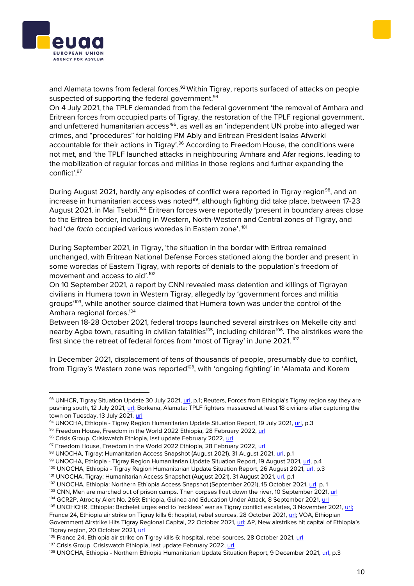



and Alamata towns from federal forces.<sup>93</sup> Within Tigray, reports surfaced of attacks on people suspected of supporting the federal government.<sup>94</sup>

On 4 July 2021, the TPLF demanded from the federal government 'the removal of Amhara and Eritrean forces from occupied parts of Tigray, the restoration of the TPLF regional government, and unfettered humanitarian access'<sup>95</sup>, as well as an 'independent UN probe into alleged war crimes, and "procedures" for holding PM Abiy and Eritrean President Isaias Afwerki accountable for their actions in Tigray'.<sup>96</sup> According to Freedom House, the conditions were not met, and 'the TPLF launched attacks in neighbouring Amhara and Afar regions, leading to the mobilization of regular forces and militias in those regions and further expanding the conflict'. 97

During August 2021, hardly any episodes of conflict were reported in Tigray region<sup>98</sup>, and an increase in humanitarian access was noted<sup>99</sup>, although fighting did take place, between 17-23 August 2021, in Mai Tsebri.<sup>100</sup> Eritrean forces were reportedly 'present in boundary areas close to the Eritrea border, including in Western, North-Western and Central zones of Tigray, and had '*de facto* occupied various woredas in Eastern zone'. <sup>101</sup>

During September 2021, in Tigray, 'the situation in the border with Eritrea remained unchanged, with Eritrean National Defense Forces stationed along the border and present in some woredas of Eastern Tigray, with reports of denials to the population's freedom of movement and access to aid'. 102

On 10 September 2021, a report by CNN revealed mass detention and killings of Tigrayan civilians in Humera town in Western Tigray, allegedly by 'government forces and militia groups<sup>103</sup>, while another source claimed that Humera town was under the control of the Amhara regional forces.<sup>104</sup>

Between 18-28 October 2021, federal troops launched several airstrikes on Mekelle city and nearby Agbe town, resulting in civilian fatalities<sup>105</sup>, including children<sup>106</sup>. The airstrikes were the first since the retreat of federal forces from 'most of Tigray' in June 2021. <sup>107</sup>

In December 2021, displacement of tens of thousands of people, presumably due to conflict, from Tigray's Western zone was reported<sup>108</sup>, with 'ongoing fighting' in 'Alamata and Korem

<sup>100</sup> UNOCHA, Ethiopia - Tigray Region Humanitarian Update Situation Report, 26 August 2021[, url,](https://reliefweb.int/sites/reliefweb.int/files/resources/Situation%20Report%20-%20Ethiopia%20-%20Tigray%20Region%20Humanitarian%20Update%20-%2026%20Aug%202021.pdf) p.3

France 24, Ethiopia air strike on Tigray kills 6: hospital, rebel sources, 28 October 2021, [url;](https://www.france24.com/en/live-news/20211028-ethiopia-air-strike-on-tigray-kills-6-hospital-rebel-sources) VOA, Ethiopian Government Airstrike Hits Tigray Regional Capital, 22 October 2021, [url](https://www.voanews.com/a/ethiopian-government-airstrike-hits-tigray-regional-capital-/6281996.html); AP, New airstrikes hit capital of Ethiopia's Tigray region, 20 October 2021[, url](https://apnews.com/article/africa-united-nations-kenya-ethiopia-abiy-ahmed-83a7d47310dd4b0aa1e591228bc339cc)

<sup>106</sup> France 24, Ethiopia air strike on Tigray kills 6: hospital, rebel sources, 28 October 2021, [url](https://www.france24.com/en/live-news/20211028-ethiopia-air-strike-on-tigray-kills-6-hospital-rebel-sources)

<sup>93</sup> UNHCR, Tigray Situation Update 30 July 2021, [url,](https://reliefweb.int/sites/reliefweb.int/files/resources/UNHCR%20Ethiopia%20Tigray%20Update%20%2311_30%20July%202021.pdf) p.1; Reuters, Forces from Ethiopia's Tigray region say they are pushing south, 12 July 2021, [url;](https://www.reuters.com/world/africa/forces-ethiopias-tigray-region-say-they-are-say-pushing-south-2021-07-12/) Borkena, Alamata: TPLF fighters massacred at least 18 civilians after capturing the town on Tuesday, 13 July 2021, [url](https://borkena.com/2021/07/13/alamata-tplf-fighters-massacred-at-least-18-civilians-after-capturing-the-town-on-tuesday/)

<sup>94</sup> UNOCHA, Ethiopia - Tigray Region Humanitarian Update Situation Report, 19 July 2021, [url,](https://reliefweb.int/sites/reliefweb.int/files/resources/Situation%20Report%20-%20Ethiopia%20-%20Tigray%20Region%20Humanitarian%20Update%20-%2019%20Jul%202021.pdf) p.3

<sup>95</sup> Freedom House, Freedom in the World 2022 Ethiopia, 28 February 2022, [url](https://freedomhouse.org/country/ethiopia/freedom-world/2022)

<sup>96</sup> Crisis Group, Crisiswatch Ethiopia, last update February 2022, [url](https://www.crisisgroup.org/crisiswatch/database?location%5B%5D=121&date_range=custom&from_month=03&from_year=2021&to_month=03&to_year=2022)

<sup>97</sup> Freedom House, Freedom in the World 2022 Ethiopia, 28 February 2022[, url](https://freedomhouse.org/country/ethiopia/freedom-world/2022)

<sup>98</sup> UNOCHA, Tigray: Humanitarian Access Snapshot (August 2021), 31 August 2021, [url,](https://reliefweb.int/sites/reliefweb.int/files/resources/ocha-eth_210921_access_snapshot_tigray_august_2021_final.pdf) p.1

<sup>99</sup> UNOCHA, Ethiopia - Tigray Region Humanitarian Update Situation Report, 19 August 2021, [url,](https://reliefweb.int/report/ethiopia/ethiopia-tigray-region-humanitarian-update-situation-report-19-august-2021) p.4

<sup>&</sup>lt;sup>101</sup> UNOCHA, Tigray: Humanitarian Access Snapshot (August 2021), 31 August 2021[, url,](https://reliefweb.int/sites/reliefweb.int/files/resources/ocha-eth_210921_access_snapshot_tigray_august_2021_final.pdf) p.1

<sup>102</sup> UNOCHA, Ethiopia: Northern Ethiopia Access Snapshot (September 2021), 15 October 2021, [url,](https://reliefweb.int/sites/reliefweb.int/files/resources/ocha_211210_access_snapshot_northern_ethiopia_sept_2021_final.pdf) p. 1

<sup>103</sup> CNN, Men are marched out of prison camps. Then corpses float down the river, 10 September 2021[, url](https://edition.cnn.com/2021/09/05/africa/ethiopia-tigray-humera-sudan-bodies-cmd-intl/index.html)

<sup>104</sup> GCR2P, Atrocity Alert No. 269: Ethiopia, Guinea and Education Under Attack, 8 September 2021, [url](https://www.globalr2p.org/publications/atrocity-alert-no-269/)

<sup>&</sup>lt;sup>105</sup> UNOHCHR, Ethiopia: Bachelet urges end to 'reckless' war as Tigray conflict escalates, 3 November 2021, [url;](https://www.ohchr.org/EN/NewsEvents/Pages/DisplayNews.aspx?NewsID=27757&LangID=E)

<sup>107</sup> Crisis Group, Crisiswatch Ethiopia, last update February 2022, [url](https://www.crisisgroup.org/crisiswatch/database?location%5B%5D=121&date_range=custom&from_month=03&from_year=2021&to_month=03&to_year=2022)

<sup>108</sup> UNOCHA, Ethiopia - Northern Ethiopia Humanitarian Update Situation Report, 9 December 2021, [url,](https://reliefweb.int/sites/reliefweb.int/files/resources/Situation%20Report%20-%20Ethiopia%20-%20Northern%20Ethiopia%20Humanitarian%20Update%20-%209%20Dec%202021.pdf) p.3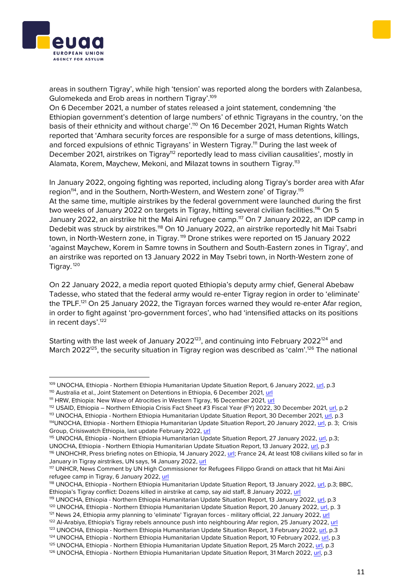

areas in southern Tigray', while high 'tension' was reported along the borders with Zalanbesa, Gulomekeda and Erob areas in northern Tigray'.<sup>109</sup>

On 6 December 2021, a number of states released a joint statement, condemning 'the Ethiopian government's detention of large numbers' of ethnic Tigrayans in the country, 'on the basis of their ethnicity and without charge'.<sup>110</sup> On 16 December 2021, Human Rights Watch reported that 'Amhara security forces are responsible for a surge of mass detentions, killings, and forced expulsions of ethnic Tigrayans' in Western Tigray.<sup>111</sup> During the last week of December 2021, airstrikes on Tigray<sup>112</sup> reportedly lead to mass civilian causalities', mostly in Alamata, Korem, Maychew, Mekoni, and Milazat towns in southern Tigray.<sup>113</sup>

In January 2022, ongoing fighting was reported, including along Tigray's border area with Afar region<sup>114</sup>, and in the Southern, North-Western, and Western zone' of Tigray.<sup>115</sup> At the same time, multiple airstrikes by the federal government were launched during the first two weeks of January 2022 on targets in Tigray, hitting several civilian facilities.<sup>116</sup> On 5 January 2022, an airstrike hit the Mai Aini refugee camp.<sup>117</sup> On 7 January 2022, an IDP camp in Dedebit was struck by airstrikes.<sup>118</sup> On 10 January 2022, an airstrike reportedly hit Mai Tsabri town, in North-Western zone, in Tigray. <sup>119</sup> Drone strikes were reported on 15 January 2022 'against Maychew, Korem in Samre towns in Southern and South-Eastern zones in Tigray', and an airstrike was reported on 13 January 2022 in May Tsebri town, in North-Western zone of Tigray. <sup>120</sup>

On 22 January 2022, a media report quoted Ethiopia's deputy army chief, General Abebaw Tadesse, who stated that the federal army would re-enter Tigray region in order to 'eliminate' the TPLF.<sup>121</sup> On 25 January 2022, the Tigrayan forces warned they would re-enter Afar region, in order to fight against 'pro-government forces', who had 'intensified attacks on its positions in recent days'.<sup>122</sup>

Starting with the last week of January 2022<sup>123</sup>, and continuing into February 2022<sup>124</sup> and March 2022<sup>125</sup>, the security situation in Tigray region was described as 'calm'.<sup>126</sup> The national

<sup>112</sup> USAID, Ethiopia – Northern Ethiopia Crisis Fact Sheet #3 Fiscal Year (FY) 2022, 30 December 2021[, url,](https://reliefweb.int/sites/reliefweb.int/files/resources/2021_12_30%20USG%20Northern%20Ethiopia%20Crisis%20Fact%20Sheet%20%233.pdf) p.2

116 UNOHCHR, Press briefing notes on Ethiopia, 14 January 2022, [url;](https://www.ohchr.org/EN/NewsEvents/Pages/DisplayNews.aspx?NewsID=28026&LangID=E) France 24, At least 108 civilians killed so far in January in Tigray airstrikes, UN says, 14 January 2022[, url](https://www.france24.com/en/africa/20220114-at-least-108-civilians-killed-so-far-in-january-in-tigray-airstrikes-un-says)

<sup>109</sup> UNOCHA, Ethiopia - Northern Ethiopia Humanitarian Update Situation Report, 6 January 2022, [url,](https://reliefweb.int/sites/reliefweb.int/files/resources/final_sitrep_for_release_-_6_january_2022_word_document_final.pdf) p.3

<sup>110</sup> Australia et al., Joint Statement on Detentions in Ethiopia, 6 December 2021, [url](https://www.state.gov/joint-statement-on-detentions-in-ethiopia/)

<sup>&</sup>lt;sup>111</sup> HRW, Ethiopia: New Wave of Atrocities in Western Tigray, 16 December 2021, [url](https://www.hrw.org/news/2021/12/16/ethiopia-new-wave-atrocities-western-tigray)

<sup>113</sup> UNOCHA, Ethiopia - Northern Ethiopia Humanitarian Update Situation Report, 30 December 2021, [url,](https://reliefweb.int/sites/reliefweb.int/files/resources/Situation%20Report%20-%20Ethiopia%20-%20Northern%20Ethiopia%20Humanitarian%20Update%20-%2030%20Dec%202021_0.pdf) p.3

<sup>114</sup>UNOCHA, Ethiopia - Northern Ethiopia Humanitarian Update Situation Report, 20 January 2022, [url,](https://reliefweb.int/sites/reliefweb.int/files/resources/Situation%20Report%20-%20Ethiopia%20-%20Northern%20Ethiopia%20Humanitarian%20Update%20-%2020%20Jan%202022.pdf) p. 3; Crisis Group, Crisiswatch Ethiopia, last update February 2022[, url](https://www.crisisgroup.org/crisiswatch/database?location%5B%5D=121&date_range=custom&from_month=03&from_year=2021&to_month=03&to_year=2022)

<sup>115</sup> UNOCHA, Ethiopia - Northern Ethiopia Humanitarian Update Situation Report, 27 January 2022[, url,](https://reliefweb.int/sites/reliefweb.int/files/resources/Situation%20Report%20-%20Ethiopia%20-%20Northern%20Ethiopia%20Humanitarian%20Update%20-%2027%20Jan%202022.pdf) p.3; UNOCHA, Ethiopia - Northern Ethiopia Humanitarian Update Situation Report, 13 January 2022, [url,](https://reliefweb.int/sites/reliefweb.int/files/resources/Situation%20Report%20-%20Ethiopia%20-%20Northern%20Ethiopia%20Humanitarian%20Update%20-%2013%20Jan%202022.pdf) p.3

<sup>117</sup> UNHCR, News Comment by UN High Commissioner for Refugees Filippo Grandi on attack that hit Mai Aini refugee camp in Tigray, 6 January 2022, [url](https://www.unhcr.org/news/press/2022/1/61d73df24/news-comment-un-high-commissioner-refugees-filippo-grandi-attack-mai-aini.html)

<sup>118</sup> UNOCHA, Ethiopia - Northern Ethiopia Humanitarian Update Situation Report, 13 January 2022[, url,](https://reliefweb.int/sites/reliefweb.int/files/resources/Situation%20Report%20-%20Ethiopia%20-%20Northern%20Ethiopia%20Humanitarian%20Update%20-%2013%20Jan%202022.pdf) p.3; BBC, Ethiopia's Tigray conflict: Dozens killed in airstrike at camp, say aid staff, 8 January 2022, [url](https://www.bbc.com/news/world-africa-59921355)

<sup>119</sup> UNOCHA, Ethiopia - Northern Ethiopia Humanitarian Update Situation Report, 13 January 2022[, url,](https://reliefweb.int/sites/reliefweb.int/files/resources/Situation%20Report%20-%20Ethiopia%20-%20Northern%20Ethiopia%20Humanitarian%20Update%20-%2013%20Jan%202022.pdf) p.3

<sup>&</sup>lt;sup>120</sup> UNOCHA, Ethiopia - Northern Ethiopia Humanitarian Update Situation Report, 20 January 2022, [url,](https://reliefweb.int/sites/reliefweb.int/files/resources/Situation%20Report%20-%20Ethiopia%20-%20Northern%20Ethiopia%20Humanitarian%20Update%20-%2020%20Jan%202022.pdf) p. 3

<sup>&</sup>lt;sup>121</sup> News 24, Ethiopia army planning to 'eliminate' Tigrayan forces - military official, 22 January 2022, [url](https://www.news24.com/news24/africa/news/ethiopia-army-planning-to-eliminate-tigrayan-forces-military-official-20220122)

<sup>&</sup>lt;sup>122</sup> Al-Arabiya, Ethiopia's Tigray rebels announce push into neighbouring Afar region, 25 January 2022, [url](https://english.alarabiya.net/News/world/2022/01/25/Ethiopia-s-Tigray-rebels-announce-push-into-neighbouring-Afar-region-)

<sup>123</sup> UNOCHA, Ethiopia - Northern Ethiopia Humanitarian Update Situation Report, 3 February 2022, [url,](https://reliefweb.int/sites/reliefweb.int/files/resources/Situation%20Report%20-%20Northern%20Ethiopia%20-%20Humanitarian%20Update%20-%203%20Feb%202022.pdf) p.3

<sup>&</sup>lt;sup>124</sup> UNOCHA, Ethiopia - Northern Ethiopia Humanitarian Update Situation Report, 10 February 2022[, url,](https://reliefweb.int/sites/reliefweb.int/files/resources/Situation%20Report%20-%20Northern%20Ethiopia%20-%20Humanitarian%20Update%20-%2010%20Feb%202022.pdf) p.3 <sup>125</sup> UNOCHA, Ethiopia - Northern Ethiopia Humanitarian Update Situation Report, 25 March 2022, [url,](https://reliefweb.int/sites/reliefweb.int/files/resources/Situation%20Report%20-%20Northern%20Ethiopia%20-%20Humanitarian%20Update%20-%2017%20Mar%202022.pdf) p.3

<sup>126</sup> UNOCHA, Ethiopia - Northern Ethiopia Humanitarian Update Situation Report, 31 March 2022[, url,](https://reliefweb.int/sites/reliefweb.int/files/resources/Situation%20Report%20-%20Northern%20Ethiopia%20-%20Humanitarian%20Update%20-%2031%20Mar%202022.pdf) p.3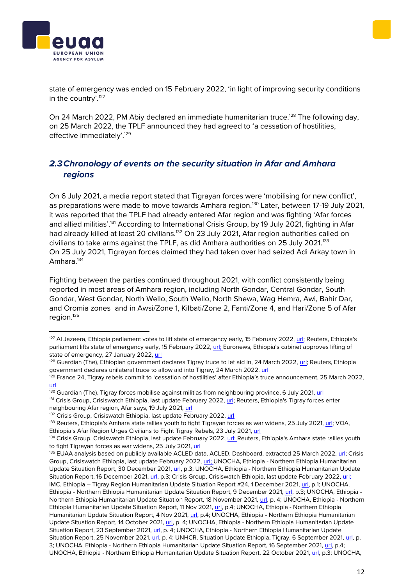state of emergency was ended on 15 February 2022, 'in light of improving security conditions in the country'.<sup>127</sup>

On 24 March 2022, PM Abiy declared an immediate humanitarian truce.<sup>128</sup> The following day, on 25 March 2022, the TPLF announced they had agreed to 'a cessation of hostilities, effective immediately'.<sup>129</sup>

## <span id="page-11-0"></span>*2.3Chronology of events on the security situation in Afar and Amhara regions*

On 6 July 2021, a media report stated that Tigrayan forces were 'mobilising for new conflict', as preparations were made to move towards Amhara region.<sup>130</sup> Later, between 17-19 July 2021, it was reported that the TPLF had already entered Afar region and was fighting 'Afar forces and allied militias'.<sup>131</sup> According to International Crisis Group, by 19 July 2021, fighting in Afar had already killed at least 20 civilians.<sup>132</sup> On 23 July 2021, Afar region authorities called on civilians to take arms against the TPLF, as did Amhara authorities on 25 July 2021.<sup>133</sup> On 25 July 2021, Tigrayan forces claimed they had taken over had seized Adi Arkay town in Amhara.<sup>134</sup>

Fighting between the parties continued throughout 2021, with conflict consistently being reported in most areas of Amhara region, including North Gondar, Central Gondar, South Gondar, West Gondar, North Wello, South Wello, North Shewa, Wag Hemra, Awi, Bahir Dar, and Oromia zones and in Awsi/Zone 1, Kilbati/Zone 2, Fanti/Zone 4, and Hari/Zone 5 of Afar region.<sup>135</sup>

<sup>130</sup> Guardian (The), Tigray forces mobilise against militias from neighbouring province, 6 July 2021[, url](https://www.theguardian.com/world/2021/jul/06/tigray-forces-mobilise-against-militias-from-neighbouring-province)

131 Crisis Group, Crisiswatch Ethiopia, last update February 2022[, url;](https://www.crisisgroup.org/crisiswatch/database?location%5B%5D=121&date_range=custom&from_month=03&from_year=2021&to_month=03&to_year=2022) Reuters, Ethiopia's Tigray forces enter neighbouring Afar region, Afar says, 19 July 2021[, url](https://www.reuters.com/world/africa/ethiopias-tigray-forces-enter-neighbouring-afar-region-afar-says-2021-07-19/)





<sup>&</sup>lt;sup>127</sup> Al Jazeera, Ethiopia parliament votes to lift state of emergency early, 15 February 2022[, url;](https://www.aljazeera.com/news/2022/2/15/ethiopia-parliament-votes-to-lift-state-of-emergency) Reuters, Ethiopia's parliament lifts state of emergency early, 15 February 2022[, url;](https://www.reuters.com/world/africa/ethiopias-parliament-lifts-state-emergency-early-2022-02-15/) Euronews, Ethiopia's cabinet approves lifting of state of emergency, 27 January 2022[, url](https://www.euronews.com/2022/01/27/us-ethiopia-conflict)

<sup>&</sup>lt;sup>128</sup> Guardian (The), Ethiopian government declares Tigray truce to let aid in, 24 March 2022, [url;](https://www.theguardian.com/world/2022/mar/24/ethiopian-government-declares-tigray-truce-to-let-aid-in) Reuters, Ethiopia government declares unilateral truce to allow aid into Tigray, 24 March 2022, [url](https://www.reuters.com/world/africa/ethiopia-government-declares-truce-allow-aid-into-tigray-2022-03-24/)

 $129$  France 24, Tigray rebels commit to 'cessation of hostilities' after Ethiopia's truce announcement, 25 March 2022, [url](https://www.france24.com/en/africa/20220325-tigray-rebels-agree-to-cessation-of-hostilities-after-ethiopia-s-truce-announcement)

<sup>132</sup> Crisis Group, Crisiswatch Ethiopia, last update February 2022, [url](https://www.crisisgroup.org/crisiswatch/database?location%5B%5D=121&date_range=custom&from_month=03&from_year=2021&to_month=03&to_year=2022)

<sup>133</sup> Reuters, Ethiopia's Amhara state rallies youth to fight Tigrayan forces as war widens, 25 July 2021, [url;](https://www.reuters.com/world/africa/ethiopias-amhara-state-rallies-youth-fight-tigrayans-war-expands-2021-07-25/) VOA, Ethiopia's Afar Region Urges Civilians to Fight Tigray Rebels, 23 July 2021, [url](https://www.voanews.com/a/ethiopia-tigray_ethiopias-afar-region-urges-civilians-fight-tigray-rebels/6208639.html)

<sup>&</sup>lt;sup>134</sup> Crisis Group, Crisiswatch Ethiopia, last update February 2022, [url;](https://www.crisisgroup.org/crisiswatch/database?location%5B%5D=121&date_range=custom&from_month=03&from_year=2021&to_month=03&to_year=2022) Reuters, Ethiopia's Amhara state rallies youth to fight Tigrayan forces as war widens, 25 July 2021[, url](https://www.reuters.com/world/africa/ethiopias-amhara-state-rallies-youth-fight-tigrayans-war-expands-2021-07-25/)

<sup>&</sup>lt;sup>135</sup> EUAA analysis based on publicly available ACLED data. ACLED, Dashboard, extracted 25 March 2022[, url;](https://acleddata.com/dashboard/#/dashboard) Crisis Group, Crisiswatch Ethiopia, last update February 2022[, url;](https://www.crisisgroup.org/crisiswatch/database?location%5B%5D=121&date_range=custom&from_month=03&from_year=2021&to_month=03&to_year=2022) UNOCHA, Ethiopia - Northern Ethiopia Humanitarian Update Situation Report, 30 December 2021, [url,](https://reliefweb.int/sites/reliefweb.int/files/resources/Situation%20Report%20-%20Ethiopia%20-%20Northern%20Ethiopia%20Humanitarian%20Update%20-%2030%20Dec%202021_0.pdf) p.3; UNOCHA, Ethiopia - Northern Ethiopia Humanitarian Update Situation Report, 16 December 2021[, url,](https://reliefweb.int/sites/reliefweb.int/files/resources/Situation%20Report%20-%20Ethiopia%20-%20Northern%20Ethiopia%20Humanitarian%20Update%20-%2016%20Dec%202021.pdf) p.3; Crisis Group, Crisiswatch Ethiopia, last update February 2022, [url;](https://www.crisisgroup.org/crisiswatch/database?location%5B%5D=121&date_range=custom&from_month=03&from_year=2021&to_month=03&to_year=2022) IMC, Ethiopia – Tigray Region Humanitarian Update Situation Report #24, 1 December 2021, [url,](https://reliefweb.int/sites/reliefweb.int/files/resources/Ethiopia%20%E2%80%93%20Tigray%20Region%20Humanitarian%20Update%20Situation%20Report%20%2324%20-%20December%2001%2C%202021.pdf) p.1; UNOCHA, Ethiopia - Northern Ethiopia Humanitarian Update Situation Report, 9 December 2021, [url,](https://reliefweb.int/sites/reliefweb.int/files/resources/Situation%20Report%20-%20Ethiopia%20-%20Northern%20Ethiopia%20Humanitarian%20Update%20-%209%20Dec%202021.pdf) p.3; UNOCHA, Ethiopia - Northern Ethiopia Humanitarian Update Situation Report, 18 November 2021, [url,](https://reliefweb.int/sites/reliefweb.int/files/resources/Situation%20Report%20-%20Ethiopia%20-%20Northern%20Ethiopia%20Humanitarian%20Update%20-%2018%20Nov%202021.pdf) p. 4; UNOCHA, Ethiopia - Northern Ethiopia Humanitarian Update Situation Report, 11 Nov 2021, [url,](https://reliefweb.int/sites/reliefweb.int/files/resources/Situation%20Report%20-%20Ethiopia%20-%20Northern%20Ethiopia%20Humanitarian%20Update%20-%2011%20Nov%202021.pdf) p.4; UNOCHA, Ethiopia - Northern Ethiopia Humanitarian Update Situation Report, 4 Nov 2021, [url,](https://reliefweb.int/sites/reliefweb.int/files/resources/Situation%20Report%20-%20Ethiopia%20-%20Northern%20Ethiopia%20Humanitarian%20Update%20-%204%20Nov%202021.pdf) p.4; UNOCHA, Ethiopia - Northern Ethiopia Humanitarian Update Situation Report, 14 October 2021[, url,](https://reliefweb.int/sites/reliefweb.int/files/resources/Situation%20Report%20-%20Ethiopia%20-%20Northern%20Ethiopia%20Humanitarian%20Update%20-%2014%20Oct%202021.pdf) p. 4; UNOCHA, Ethiopia - Northern Ethiopia Humanitarian Update Situation Report, 23 September 2021[, url,](https://reliefweb.int/sites/reliefweb.int/files/resources/Situation%20Report%20-%20Ethiopia%20-%20Northern%20Ethiopia%20Humanitarian%20Update%20-%2023%20Sep%202021.pdf) p. 4; UNOCHA, Ethiopia - Northern Ethiopia Humanitarian Update Situation Report, 25 November 2021, [url,](https://reliefweb.int/sites/reliefweb.int/files/resources/Situation%20Report%20-%20Ethiopia%20-%20Northern%20Ethiopia%20Humanitarian%20Update%20-%2025%20Nov%202021.pdf) p. 4; UNHCR, Situation Update Ethiopia, Tigray, 6 September 2021[, url,](https://reliefweb.int/sites/reliefweb.int/files/resources/UNHCR%20Ethiopia%20Tigray%20Update%20%2313.pdf) p. 3; UNOCHA, Ethiopia - Northern Ethiopia Humanitarian Update Situation Report, 16 September 2021, [url,](https://reliefweb.int/report/ethiopia/ethiopia-northern-ethiopia-humanitarian-update-situation-report-16-sept-2021) p.4; UNOCHA, Ethiopia - Northern Ethiopia Humanitarian Update Situation Report, 22 October 2021, [url,](https://reliefweb.int/sites/reliefweb.int/files/resources/Situation%20Report%20-%20Ethiopia%20-%20Northern%20Ethiopia%20Humanitarian%20Update%20-%2021%20Oct%202021.pdf) p.3; UNOCHA,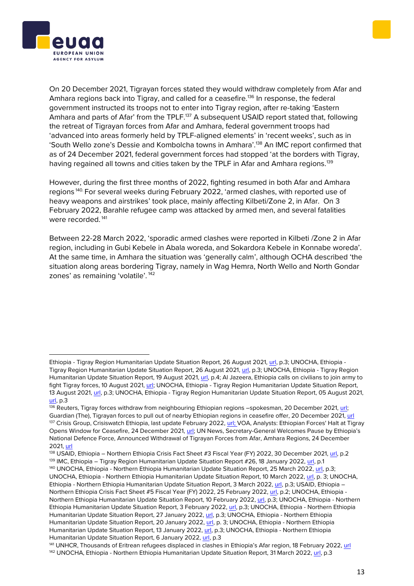



On 20 December 2021, Tigrayan forces stated they would withdraw completely from Afar and Amhara regions back into Tigray, and called for a ceasefire.<sup>136</sup> In response, the federal government instructed its troops not to enter into Tigray region, after re-taking 'Eastern Amhara and parts of Afar' from the TPLF.<sup>137</sup> A subsequent USAID report stated that, following the retreat of Tigrayan forces from Afar and Amhara, federal government troops had 'advanced into areas formerly held by TPLF-aligned elements' in 'recent weeks', such as in 'South Wello zone's Dessie and Kombolcha towns in Amhara'.<sup>138</sup> An IMC report confirmed that as of 24 December 2021, federal government forces had stopped 'at the borders with Tigray, having regained all towns and cities taken by the TPLF in Afar and Amhara regions.<sup>139</sup>

However, during the first three months of 2022, fighting resumed in both Afar and Amhara regions 140. For several weeks during February 2022, 'armed clashes, with reported use of heavy weapons and airstrikes' took place, mainly affecting Kilbeti/Zone 2, in Afar. On 3 February 2022, Barahle refugee camp was attacked by armed men, and several fatalities were recorded.<sup>141</sup>

Between 22-28 March 2022, 'sporadic armed clashes were reported in Kilbeti /Zone 2 in Afar region, including in Gubi Kebele in Abala woreda, and Sokardora Kebele in Konnabe woreda'. At the same time, in Amhara the situation was 'generally calm', although OCHA described 'the situation along areas bordering Tigray, namely in Wag Hemra, North Wello and North Gondar zones' as remaining 'volatile'. <sup>142</sup>

Ethiopia - Tigray Region Humanitarian Update Situation Report, 26 August 2021, [url,](https://reliefweb.int/sites/reliefweb.int/files/resources/Situation%20Report%20-%20Ethiopia%20-%20Tigray%20Region%20Humanitarian%20Update%20-%2026%20Aug%202021.pdf) p.3; UNOCHA, Ethiopia - Tigray Region Humanitarian Update Situation Report, 26 August 2021, [url,](https://reliefweb.int/sites/reliefweb.int/files/resources/Situation%20Report%20-%20Ethiopia%20-%20Tigray%20Region%20Humanitarian%20Update%20-%2026%20Aug%202021.pdf) p.3; UNOCHA, Ethiopia - Tigray Region Humanitarian Update Situation Report, 19 August 2021, [url,](https://reliefweb.int/sites/reliefweb.int/files/resources/Situation%20Report%20-%20Ethiopia%20-%20Tigray%20Region%20Humanitarian%20Update%20-%2019%20Aug%202021.pdf) p.4; Al Jazeera, Ethiopia calls on civilians to join army to fight Tigray forces, 10 August 2021[, url;](https://www.aljazeera.com/news/2021/8/10/ethiopia-calls-on-civilians-to-join-army-to-fight-tigray-rebels) UNOCHA, Ethiopia - Tigray Region Humanitarian Update Situation Report, 13 August 2021, [url,](https://reliefweb.int/sites/reliefweb.int/files/resources/Situation%20Report%20-%20Ethiopia%20-%20Tigray%20Region%20Humanitarian%20Update%20-%2013%20Aug%202021.pdf) p.3; UNOCHA, Ethiopia - Tigray Region Humanitarian Update Situation Report, 05 August 2021, [url,](https://reliefweb.int/sites/reliefweb.int/files/resources/Situation%20Report%20-%20Ethiopia%20-%20Tigray%20Region%20Humanitarian%20Update%20-%205%20Aug%202021.pdf) p.3

<sup>136</sup> Reuters, Tigray forces withdraw from neighbouring Ethiopian regions -spokesman, 20 December 2021, [url;](https://www.reuters.com/world/africa/tigray-forces-withdraw-neighbouring-ethiopian-regions-spokesperson-2021-12-20/) Guardian (The), Tigrayan forces to pull out of nearby Ethiopian regions in ceasefire offer, 20 December 2021[, url](https://www.theguardian.com/world/2021/dec/20/tigrayan-forces-to-pull-out-of-nearby-ethiopian-regions-in-ceasefire-offer) 137 Crisis Group, Crisiswatch Ethiopia, last update February 2022[, url;](https://www.crisisgroup.org/crisiswatch/database?location%5B%5D=121&date_range=custom&from_month=03&from_year=2021&to_month=03&to_year=2022) VOA, Analysts: Ethiopian Forces' Halt at Tigray Opens Window for Ceasefire, 24 December 2021[, url;](https://www.voanews.com/a/analysts-ethiopian-forces-halt-at-tigray-opens-window-for-ceasefire-/6368897.html) UN News, Secretary-General Welcomes Pause by Ethiopia's National Defence Force, Announced Withdrawal of Tigrayan Forces from Afar, Amhara Regions, 24 December 2021[, url](https://www.un.org/press/en/2021/sgsm21090.doc.htm#:~:text=The%20Secretary%2DGeneral%20welcomes%20the,back%20into%20the%20Tigray%20region.)

<sup>138</sup> USAID, Ethiopia – Northern Ethiopia Crisis Fact Sheet #3 Fiscal Year (FY) 2022, 30 December 2021[, url,](https://reliefweb.int/sites/reliefweb.int/files/resources/2021_12_30%20USG%20Northern%20Ethiopia%20Crisis%20Fact%20Sheet%20%233.pdf) p.2 <sup>139</sup> IMC, Ethiopia – Tigray Region Humanitarian Update Situation Report #26, 18 January 2022, [url,](https://reliefweb.int/sites/reliefweb.int/files/resources/IntlMedCorps-TigrayResponse_SitRep26.pdf) p.1 <sup>140</sup> UNOCHA, Ethiopia - Northern Ethiopia Humanitarian Update Situation Report, 25 March 2022, [url,](https://reliefweb.int/sites/reliefweb.int/files/resources/Situation%20Report%20-%20Northern%20Ethiopia%20-%20Humanitarian%20Update%20-%2017%20Mar%202022.pdf) p.3;

UNOCHA, Ethiopia - Northern Ethiopia Humanitarian Update Situation Report, 10 March 2022, [url,](https://reliefweb.int/sites/reliefweb.int/files/resources/Situation%20Report%20-%20Northern%20Ethiopia%20-%20Humanitarian%20Update%20-%2010%20Mar%202022.pdf) p. 3; UNOCHA, Ethiopia - Northern Ethiopia Humanitarian Update Situation Report, 3 March 2022[, url,](https://reliefweb.int/sites/reliefweb.int/files/resources/Situation%20Report%20-%20Northern%20Ethiopia%20-%20Humanitarian%20Update%20-%203%20Mar%202022.pdf) p.3; USAID, Ethiopia – Northern Ethiopia Crisis Fact Sheet #5 Fiscal Year (FY) 2022, 25 February 2022, [url,](https://reliefweb.int/sites/reliefweb.int/files/resources/2022_02_25%20USG%20Northern%20Ethiopia%20Crisis%20Fact%20Sheet%20%235.pdf) p.2; UNOCHA, Ethiopia - Northern Ethiopia Humanitarian Update Situation Report, 10 February 2022[, url,](https://reliefweb.int/sites/reliefweb.int/files/resources/Situation%20Report%20-%20Northern%20Ethiopia%20-%20Humanitarian%20Update%20-%2010%20Feb%202022.pdf) p.3; UNOCHA, Ethiopia - Northern Ethiopia Humanitarian Update Situation Report, 3 February 2022[, url,](https://reliefweb.int/sites/reliefweb.int/files/resources/Situation%20Report%20-%20Northern%20Ethiopia%20-%20Humanitarian%20Update%20-%203%20Feb%202022.pdf) p.3; UNOCHA, Ethiopia - Northern Ethiopia Humanitarian Update Situation Report, 27 January 2022, [url,](https://reliefweb.int/sites/reliefweb.int/files/resources/Situation%20Report%20-%20Ethiopia%20-%20Northern%20Ethiopia%20Humanitarian%20Update%20-%2027%20Jan%202022.pdf) p.3; UNOCHA, Ethiopia - Northern Ethiopia Humanitarian Update Situation Report, 20 January 2022, [url,](https://reliefweb.int/sites/reliefweb.int/files/resources/Situation%20Report%20-%20Ethiopia%20-%20Northern%20Ethiopia%20Humanitarian%20Update%20-%2020%20Jan%202022.pdf) p. 3; UNOCHA, Ethiopia - Northern Ethiopia Humanitarian Update Situation Report, 13 January 2022, [url,](https://reliefweb.int/sites/reliefweb.int/files/resources/Situation%20Report%20-%20Ethiopia%20-%20Northern%20Ethiopia%20Humanitarian%20Update%20-%2013%20Jan%202022.pdf) p.3; UNOCHA, Ethiopia - Northern Ethiopia Humanitarian Update Situation Report, 6 January 2022[, url,](https://reliefweb.int/sites/reliefweb.int/files/resources/final_sitrep_for_release_-_6_january_2022_word_document_final.pdf) p.3

<sup>141</sup> UNHCR, Thousands of Eritrean refugees displaced in clashes in Ethiopia's Afar region, 18 February 2022, [url](https://www.unhcr.org/news/briefing/2022/2/620f63574/thousands-eritrean-refugees-displaced-clashes-ethiopias-afar-region.html) <sup>142</sup> UNOCHA, Ethiopia - Northern Ethiopia Humanitarian Update Situation Report, 31 March 2022[, url,](https://reliefweb.int/sites/reliefweb.int/files/resources/Situation%20Report%20-%20Northern%20Ethiopia%20-%20Humanitarian%20Update%20-%2031%20Mar%202022.pdf) p.3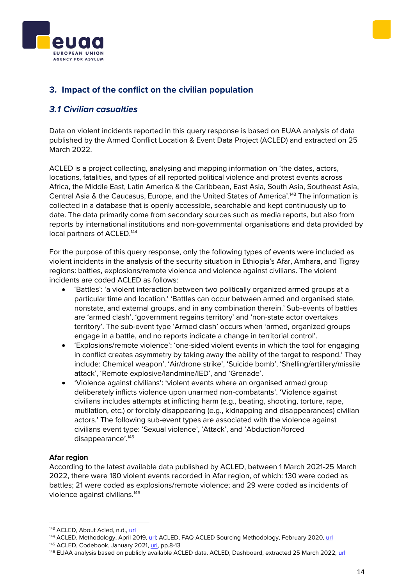



## <span id="page-13-0"></span>**3. Impact of the conflict on the civilian population**

#### <span id="page-13-1"></span>*3.1 Civilian casualties*

Data on violent incidents reported in this query response is based on EUAA analysis of data published by the Armed Conflict Location & Event Data Project (ACLED) and extracted on 25 March 2022.

ACLED is a project collecting, analysing and mapping information on 'the dates, actors, locations, fatalities, and types of all reported political violence and protest events across Africa, the Middle East, Latin America & the Caribbean, East Asia, South Asia, Southeast Asia, Central Asia & the Caucasus, Europe, and the United States of America'.<sup>143</sup> The information is collected in a database that is openly accessible, searchable and kept continuously up to date. The data primarily come from secondary sources such as media reports, but also from reports by international institutions and non-governmental organisations and data provided by local partners of ACLED.<sup>144</sup>

For the purpose of this query response, only the following types of events were included as violent incidents in the analysis of the security situation in Ethiopia's Afar, Amhara, and Tigray regions: battles, explosions/remote violence and violence against civilians. The violent incidents are coded ACLED as follows:

- 'Battles': 'a violent interaction between two politically organized armed groups at a particular time and location.' 'Battles can occur between armed and organised state, nonstate, and external groups, and in any combination therein.' Sub-events of battles are 'armed clash', 'government regains territory' and 'non-state actor overtakes territory'. The sub-event type 'Armed clash' occurs when 'armed, organized groups engage in a battle, and no reports indicate a change in territorial control'.
- 'Explosions/remote violence': 'one-sided violent events in which the tool for engaging in conflict creates asymmetry by taking away the ability of the target to respond.' They include: Chemical weapon', 'Air/drone strike', 'Suicide bomb', 'Shelling/artillery/missile attack', 'Remote explosive/landmine/IED', and 'Grenade'.
- 'Violence against civilians': 'violent events where an organised armed group deliberately inflicts violence upon unarmed non-combatants'. 'Violence against civilians includes attempts at inflicting harm (e.g., beating, shooting, torture, rape, mutilation, etc.) or forcibly disappearing (e.g., kidnapping and disappearances) civilian actors.' The following sub-event types are associated with the violence against civilians event type: 'Sexual violence', 'Attack', and 'Abduction/forced disappearance'.<sup>145</sup>

#### **Afar region**

According to the latest available data published by ACLED, between 1 March 2021-25 March 2022, there were 180 violent events recorded in Afar region, of which: 130 were coded as battles; 21 were coded as explosions/remote violence; and 29 were coded as incidents of violence against civilians.<sup>146</sup>

<sup>143</sup> ACLED, About Acled, n.d.[, url](https://acleddata.com/about-acled/)

<sup>&</sup>lt;sup>144</sup> ACLED, Methodology, April 2019, [url;](https://acleddata.com/acleddatanew/wp-content/uploads/dlm_uploads/2019/04/Methodology-Overview_FINAL.pdf) ACLED, FAQ ACLED Sourcing Methodology, February 2020, [url](https://acleddata.com/acleddatanew/wp-content/uploads/dlm_uploads/2020/02/FAQs_ACLED-Sourcing-Methodology.pdf)

<sup>145</sup> ACLED, Codebook, January 2021[, url,](https://acleddata.com/acleddatanew/wp-content/uploads/2021/11/ACLED_Codebook_v1_January-2021.pdf) pp.8-13

<sup>146</sup> EUAA analysis based on publicly available ACLED data. ACLED, Dashboard, extracted 25 March 2022[, url](https://acleddata.com/dashboard/#/dashboard)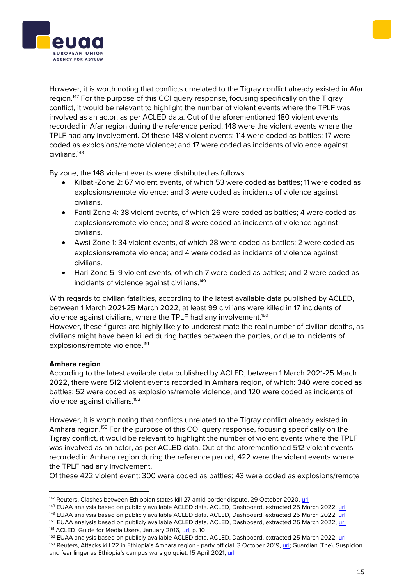

By zone, the 148 violent events were distributed as follows:

- Kilbati-Zone 2: 67 violent events, of which 53 were coded as battles; 11 were coded as explosions/remote violence; and 3 were coded as incidents of violence against civilians.
- Fanti-Zone 4: 38 violent events, of which 26 were coded as battles; 4 were coded as explosions/remote violence; and 8 were coded as incidents of violence against civilians.
- Awsi-Zone 1: 34 violent events, of which 28 were coded as battles; 2 were coded as explosions/remote violence; and 4 were coded as incidents of violence against civilians.
- Hari-Zone 5: 9 violent events, of which 7 were coded as battles; and 2 were coded as incidents of violence against civilians. 149

With regards to civilian fatalities, according to the latest available data published by ACLED, between 1 March 2021-25 March 2022, at least 99 civilians were killed in 17 incidents of violence against civilians, where the TPLF had any involvement. $^{\rm 150}$ However, these figures are highly likely to underestimate the real number of civilian deaths, as civilians might have been killed during battles between the parties, or due to incidents of explosions/remote violence. 151

#### **Amhara region**

According to the latest available data published by ACLED, between 1 March 2021-25 March 2022, there were 512 violent events recorded in Amhara region, of which: 340 were coded as battles; 52 were coded as explosions/remote violence; and 120 were coded as incidents of violence against civilians.<sup>152</sup>

However, it is worth noting that conflicts unrelated to the Tigray conflict already existed in Amhara region.<sup>153</sup> For the purpose of this COI query response, focusing specifically on the Tigray conflict, it would be relevant to highlight the number of violent events where the TPLF was involved as an actor, as per ACLED data. Out of the aforementioned 512 violent events recorded in Amhara region during the reference period, 422 were the violent events where the TPLF had any involvement.

Of these 422 violent event: 300 were coded as battles; 43 were coded as explosions/remote

149 EUAA analysis based on publicly available ACLED data. ACLED, Dashboard, extracted 25 March 2022[, url](https://acleddata.com/dashboard/#/dashboard)





<sup>&</sup>lt;sup>147</sup> Reuters, Clashes between Ethiopian states kill 27 amid border dispute, 29 October 2020, [url](https://www.reuters.com/article/us-ethiopia-security-idUSKBN27E2TN)

<sup>148</sup> EUAA analysis based on publicly available ACLED data. ACLED, Dashboard, extracted 25 March 2022[, url](https://acleddata.com/dashboard/#/dashboard)

<sup>150</sup> EUAA analysis based on publicly available ACLED data. ACLED, Dashboard, extracted 25 March 2022, [url](https://acleddata.com/dashboard/#/dashboard) <sup>151</sup> ACLED, Guide for Media Users, January 2016, [url,](https://www.acleddata.com/wp-content/uploads/2016/01/ACLED_User-Guide-for-Media_2016.pdf) p. 10

<sup>152</sup> EUAA analysis based on publicly available ACLED data. ACLED, Dashboard, extracted 25 March 2022, [url](https://acleddata.com/dashboard/#/dashboard)

<sup>153</sup> Reuters, Attacks kill 22 in Ethiopia's Amhara region - party official, 3 October 2019[, url;](https://www.reuters.com/article/uk-ethiopia-violence-idUKKBN1WI20I) Guardian (The), Suspicion and fear linger as Ethiopia's campus wars go quiet, 15 April 2021, [url](https://www.theguardian.com/global-development/2020/apr/15/suspicion-and-fear-linger-as-ethiopia-campus-wars-go-quiet)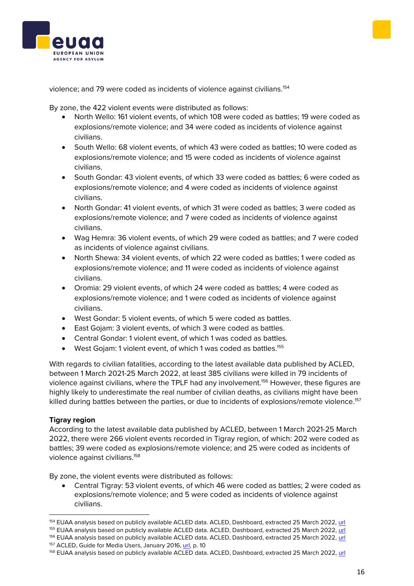## violence; and 79 were coded as incidents of violence against civilians.<sup>154</sup>

By zone, the 422 violent events were distributed as follows:

- North Wello: 161 violent events, of which 108 were coded as battles; 19 were coded as explosions/remote violence; and 34 were coded as incidents of violence against civilians.
- South Wello: 68 violent events, of which 43 were coded as battles; 10 were coded as explosions/remote violence; and 15 were coded as incidents of violence against civilians.
- South Gondar: 43 violent events, of which 33 were coded as battles; 6 were coded as explosions/remote violence; and 4 were coded as incidents of violence against civilians.
- North Gondar: 41 violent events, of which 31 were coded as battles; 3 were coded as explosions/remote violence; and 7 were coded as incidents of violence against civilians.
- Wag Hemra: 36 violent events, of which 29 were coded as battles; and 7 were coded as incidents of violence against civilians.
- North Shewa: 34 violent events, of which 22 were coded as battles; 1 were coded as explosions/remote violence; and 11 were coded as incidents of violence against civilians.
- Oromia: 29 violent events, of which 24 were coded as battles; 4 were coded as explosions/remote violence; and 1 were coded as incidents of violence against civilians.
- West Gondar: 5 violent events, of which 5 were coded as battles.
- East Gojam: 3 violent events, of which 3 were coded as battles.
- Central Gondar: 1 violent event, of which 1 was coded as battles.
- West Gojam: 1 violent event, of which 1 was coded as battles.<sup>155</sup>

With regards to civilian fatalities, according to the latest available data published by ACLED, between 1 March 2021-25 March 2022, at least 385 civilians were killed in 79 incidents of violence against civilians, where the TPLF had any involvement.<sup>156</sup> However, these figures are highly likely to underestimate the real number of civilian deaths, as civilians might have been killed during battles between the parties, or due to incidents of explosions/remote violence.<sup>157</sup>

#### **Tigray region**

According to the latest available data published by ACLED, between 1 March 2021-25 March 2022, there were 266 violent events recorded in Tigray region, of which: 202 were coded as battles; 39 were coded as explosions/remote violence; and 25 were coded as incidents of violence against civilians.<sup>158</sup>

By zone, the violent events were distributed as follows:

• Central Tigray: 53 violent events, of which 46 were coded as battles; 2 were coded as explosions/remote violence; and 5 were coded as incidents of violence against civilians.





<sup>154</sup> EUAA analysis based on publicly available ACLED data. ACLED, Dashboard, extracted 25 March 2022[, url](https://acleddata.com/dashboard/#/dashboard)

<sup>155</sup> EUAA analysis based on publicly available ACLED data. ACLED, Dashboard, extracted 25 March 2022, [url](https://acleddata.com/dashboard/#/dashboard)

<sup>156</sup> EUAA analysis based on publicly available ACLED data. ACLED, Dashboard, extracted 25 March 2022, [url](https://acleddata.com/dashboard/#/dashboard)

<sup>157</sup> ACLED, Guide for Media Users, January 2016, [url,](https://www.acleddata.com/wp-content/uploads/2016/01/ACLED_User-Guide-for-Media_2016.pdf) p. 10

<sup>158</sup> EUAA analysis based on publicly available ACLED data. ACLED, Dashboard, extracted 25 March 2022, [url](https://acleddata.com/dashboard/#/dashboard)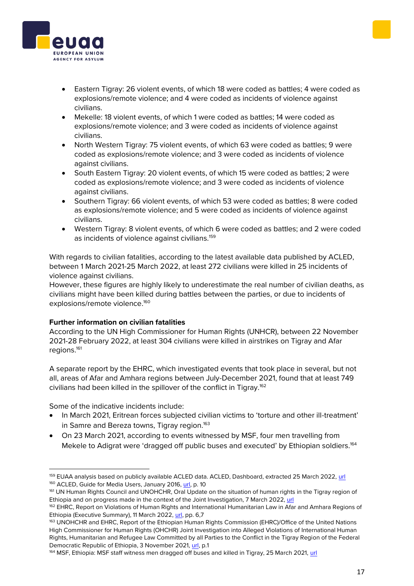- 
- Eastern Tigray: 26 violent events, of which 18 were coded as battles; 4 were coded as explosions/remote violence; and 4 were coded as incidents of violence against civilians.
- Mekelle: 18 violent events, of which 1 were coded as battles; 14 were coded as explosions/remote violence; and 3 were coded as incidents of violence against civilians.
- North Western Tigray: 75 violent events, of which 63 were coded as battles; 9 were coded as explosions/remote violence; and 3 were coded as incidents of violence against civilians.
- South Eastern Tigray: 20 violent events, of which 15 were coded as battles; 2 were coded as explosions/remote violence; and 3 were coded as incidents of violence against civilians.
- Southern Tigray: 66 violent events, of which 53 were coded as battles; 8 were coded as explosions/remote violence; and 5 were coded as incidents of violence against civilians.
- Western Tigray: 8 violent events, of which 6 were coded as battles; and 2 were coded as incidents of violence against civilians.<sup>159</sup>

With regards to civilian fatalities, according to the latest available data published by ACLED, between 1 March 2021-25 March 2022, at least 272 civilians were killed in 25 incidents of violence against civilians.

However, these figures are highly likely to underestimate the real number of civilian deaths, as civilians might have been killed during battles between the parties, or due to incidents of explosions/remote violence.<sup>160</sup>

#### **Further information on civilian fatalities**

According to the UN High Commissioner for Human Rights (UNHCR), between 22 November 2021-28 February 2022, at least 304 civilians were killed in airstrikes on Tigray and Afar regions.<sup>161</sup>

A separate report by the EHRC, which investigated events that took place in several, but not all, areas of Afar and Amhara regions between July-December 2021, found that at least 749 civilians had been killed in the spillover of the conflict in Tigray.<sup>162</sup>

Some of the indicative incidents include:

- In March 2021, Eritrean forces subjected civilian victims to 'torture and other ill-treatment' in Samre and Bereza towns. Tigray region.<sup>163</sup>
- On 23 March 2021, according to events witnessed by MSF, four men travelling from Mekele to Adigrat were 'dragged off public buses and executed' by Ethiopian soldiers.<sup>164</sup>

<sup>159</sup> EUAA analysis based on publicly available ACLED data. ACLED, Dashboard, extracted 25 March 2022, [url](https://acleddata.com/dashboard/#/dashboard) <sup>160</sup> ACLED, Guide for Media Users, January 2016[, url,](https://www.acleddata.com/wp-content/uploads/2016/01/ACLED_User-Guide-for-Media_2016.pdf) p. 10

<sup>161</sup> UN Human Rights Council and UNOHCHR, Oral Update on the situation of human rights in the Tigray region of Ethiopia and on progress made in the context of the Joint Investigation, 7 March 2022[, url](https://reliefweb.int/report/ethiopia/oral-update-situation-human-rights-tigray-region-ethiopia-and-progress-made-context)

<sup>&</sup>lt;sup>162</sup> EHRC, Report on Violations of Human Rights and International Humanitarian Law in Afar and Amhara Regions of Ethiopia (Executive Summary), 11 March 2022, [url,](https://ehrc.org/wp-content/uploads/2022/03/English-Executive-Summary-AAIR.pdf) pp. 6,7

<sup>163</sup> UNOHCHR and EHRC, Report of the Ethiopian Human Rights Commission (EHRC)/Office of the United Nations High Commissioner for Human Rights (OHCHR) Joint Investigation into Alleged Violations of International Human Rights, Humanitarian and Refugee Law Committed by all Parties to the Conflict in the Tigray Region of the Federal Democratic Republic of Ethiopia, 3 November 2021, [url,](https://digitallibrary.un.org/record/3947207?ln=en) p.1

<sup>164</sup> MSF, Ethiopia: MSF staff witness men dragged off buses and killed in Tigray, 25 March 2021, [url](https://msf.org.uk/article/ethiopia-msf-staff-witness-men-dragged-buses-and-killed-tigray)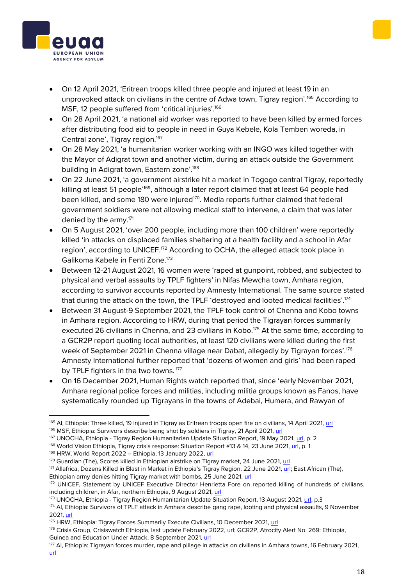## • On 12 April 2021, 'Eritrean troops killed three people and injured at least 19 in an unprovoked attack on civilians in the centre of Adwa town, Tigray region'.<sup>165</sup> According to MSF, 12 people suffered from 'critical injuries'.<sup>166</sup>

- On 28 April 2021, 'a national aid worker was reported to have been killed by armed forces after distributing food aid to people in need in Guya Kebele, Kola Temben woreda, in Central zone', Tigray region.<sup>167</sup>
- On 28 May 2021, 'a humanitarian worker working with an INGO was killed together with the Mayor of Adigrat town and another victim, during an attack outside the Government building in Adigrat town, Eastern zone'.<sup>168</sup>
- On 22 June 2021, 'a government airstrike hit a market in Togogo central Tigray, reportedly killing at least 51 people<sup>'169</sup>, although a later report claimed that at least 64 people had been killed, and some 180 were injured<sup>170</sup>. Media reports further claimed that federal government soldiers were not allowing medical staff to intervene, a claim that was later denied by the army.<sup>171</sup>
- On 5 August 2021, 'over 200 people, including more than 100 children' were reportedly killed 'in attacks on displaced families sheltering at a health facility and a school in Afar region', according to UNICEF.<sup>172</sup> According to OCHA, the alleged attack took place in Galikoma Kabele in Fenti Zone.<sup>173</sup>
- Between 12-21 August 2021, 16 women were 'raped at gunpoint, robbed, and subjected to physical and verbal assaults by TPLF fighters' in Nifas Mewcha town, Amhara region, according to survivor accounts reported by Amnesty International. The same source stated that during the attack on the town, the TPLF 'destroyed and looted medical facilities'.<sup>174</sup>
- Between 31 August-9 September 2021, the TPLF took control of Chenna and Kobo towns in Amhara region. According to HRW, during that period the Tigrayan forces summarily executed 26 civilians in Chenna, and 23 civilians in Kobo.<sup>175</sup> At the same time, according to a GCR2P report quoting local authorities, at least 120 civilians were killed during the first week of September 2021 in Chenna village near Dabat, allegedly by Tigrayan forces'.<sup>176</sup> Amnesty International further reported that 'dozens of women and girls' had been raped by TPLF fighters in the two towns.<sup>177</sup>
- On 16 December 2021, Human Rights watch reported that, since 'early November 2021, Amhara regional police forces and militias, including militia groups known as Fanos, have systematically rounded up Tigrayans in the towns of Adebai, Humera, and Rawyan of





<sup>&</sup>lt;sup>165</sup> AI, Ethiopia: Three killed, 19 injured in Tigray as Eritrean troops open fire on civilians, 14 April 2021[, url](https://www.amnesty.org/en/latest/news/2021/04/ethiopia-three-killed-19-injured-in-tigray-as-eritrean-troops-open-fire-on-civilians-2/)

<sup>166</sup> MSF, Ethiopia: Survivors describe being shot by soldiers in Tigray, 21 April 2021[, url](https://www.doctorswithoutborders.org/latest/ethiopia-survivors-describe-being-shot-soldiers-tigray)

<sup>&</sup>lt;sup>167</sup> UNOCHA, Ethiopia - Tigray Region Humanitarian Update Situation Report, 19 May 2021, [url,](https://reliefweb.int/sites/reliefweb.int/files/resources/Situation%20Report%20-%20Ethiopia%20-%20Tigray%20Region%20Humanitarian%20Update%20-%2014%20May%202021.pdf) p. 2

<sup>&</sup>lt;sup>168</sup> World Vision Ethiopia, Tigray crisis response: Situation Report #13 & 14, 23 June 2021, [url,](https://reliefweb.int/report/ethiopia/world-vision-ethiopia-tigray-crisis-response-situation-report-13-14-23-june-2021) p. 1

<sup>169</sup> HRW, World Report 2022 – Ethiopia, 13 January 2022, [url](https://www.hrw.org/world-report/2022/country-chapters/ethiopia)

<sup>170</sup> Guardian (The), Scores killed in Ethiopian airstrike on Tigray market, 24 June 2021, [url](https://www.theguardian.com/world/2021/jun/24/ethiopian-airstrike-tigray-market)

<sup>171</sup> Allafrica, Dozens Killed in Blast in Market in Ethiopia's Tigray Region, 22 June 2021, [url;](https://allafrica.com/view/group/main/main/id/00078492.html) East African (The), Ethiopian army denies hitting Tigray market with bombs, 25 June 2021[, url](https://www.theeastafrican.co.ke/tea/rest-of-africa/ethiopia-denies-hitting-tigray-market-with-bombs-3449860)

<sup>172</sup> UNICEF, Statement by UNICEF Executive Director Henrietta Fore on reported killing of hundreds of civilians, including children, in Afar, northern Ethiopia, 9 August 2021[, url](https://www.unicef.org/press-releases/statement-unicef-executive-director-henrietta-fore-reported-killing-hundreds)

<sup>173</sup> UNOCHA, Ethiopia - Tigray Region Humanitarian Update Situation Report, 13 August 2021[, url,](https://reliefweb.int/sites/reliefweb.int/files/resources/Situation%20Report%20-%20Ethiopia%20-%20Tigray%20Region%20Humanitarian%20Update%20-%2013%20Aug%202021.pdf) p.3

<sup>174</sup> AI, Ethiopia: Survivors of TPLF attack in Amhara describe gang rape, looting and physical assaults, 9 November 2021[, url](https://www.amnesty.org/en/latest/news/2021/11/ethiopia-survivors-of-tplf-attack-in-amhara-describe-gang-rape-looting-and-physical-assaults/)

<sup>&</sup>lt;sup>175</sup> HRW, Ethiopia: Tigray Forces Summarily Execute Civilians, 10 December 2021[, url](https://www.hrw.org/news/2021/12/10/ethiopia-tigray-forces-summarily-execute-civilians)

<sup>&</sup>lt;sup>176</sup> Crisis Group, Crisiswatch Ethiopia, last update February 2022, [url;](https://www.crisisgroup.org/crisiswatch/database?location%5B%5D=121&date_range=custom&from_month=03&from_year=2021&to_month=03&to_year=2022) GCR2P, Atrocity Alert No. 269: Ethiopia, Guinea and Education Under Attack, 8 September 2021, [url](https://www.globalr2p.org/publications/atrocity-alert-no-269/)

<sup>177</sup> AI, Ethiopia: Tigrayan forces murder, rape and pillage in attacks on civilians in Amhara towns, 16 February 2021, [url](https://www.amnesty.org/en/latest/news/2022/02/ethiopia-tigrayan-forces-murder-rape-and-pillage-in-attacks-on-civilians-in-amhara-towns/)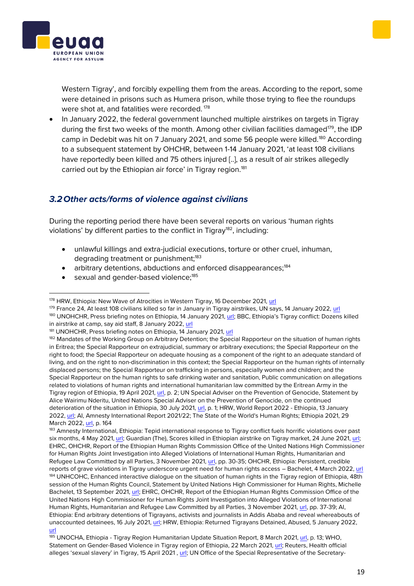Western Tigray', and forcibly expelling them from the areas. According to the report, some were detained in prisons such as Humera prison, while those trying to flee the roundups were shot at, and fatalities were recorded.<sup>178</sup>

• In January 2022, the federal government launched multiple airstrikes on targets in Tigray during the first two weeks of the month. Among other civilian facilities damaged<sup>179</sup>, the IDP camp in Dedebit was hit on 7 January 2021, and some 56 people were killed.<sup>180</sup> According to a subsequent statement by OHCHR, between 1-14 January 2021, 'at least 108 civilians have reportedly been killed and 75 others injured [..], as a result of air strikes allegedly carried out by the Ethiopian air force' in Tigray region.<sup>181</sup>

## <span id="page-18-0"></span>*3.2Other acts/forms of violence against civilians*

During the reporting period there have been several reports on various 'human rights violations' by different parties to the conflict in Tigray<sup>182</sup>, including:

- unlawful killings and extra-judicial executions, torture or other cruel, inhuman, degrading treatment or punishment:<sup>183</sup>
- arbitrary detentions, abductions and enforced disappearances;<sup>184</sup>
- sexual and gender-based violence;<sup>185</sup>

<sup>179</sup> France 24, At least 108 civilians killed so far in January in Tigray airstrikes, UN says, 14 January 2022, [url](https://www.france24.com/en/africa/20220114-at-least-108-civilians-killed-so-far-in-january-in-tigray-airstrikes-un-says)

185 UNOCHA, Ethiopia - Tigray Region Humanitarian Update Situation Report, 8 March 2021[, url,](https://reliefweb.int/sites/reliefweb.int/files/resources/Situation%20Report%20-%20Ethiopia%20-%20Tigray%20Region%20Humanitarian%20Update%20-%208%20Mar%202021.pdf) p. 13; WHO, Statement on Gender-Based Violence in Tigray region of Ethiopia, 22 March 2021[, url;](https://www.who.int/news/item/22-03-2021-statement-on-gender-based-violence-in-tigray-region-of-ethiopia) Reuters, Health official alleges 'sexual slavery' in Tigray, 15 April 2021, [url;](https://www.reuters.com/world/special-report-health-official-alleges-sexual-slavery-tigray-women-blame-2021-04-15/) UN Office of the Special Representative of the Secretary-





<sup>178</sup> HRW, Ethiopia: New Wave of Atrocities in Western Tigray, 16 December 2021, [url](https://www.hrw.org/news/2021/12/16/ethiopia-new-wave-atrocities-western-tigray)

<sup>180</sup> UNOHCHR, Press briefing notes on Ethiopia, 14 January 2021[, url](https://www.ohchr.org/en/2022/01/press-briefing-notes-ethiopia); BBC, Ethiopia's Tigray conflict: Dozens killed in airstrike at camp, say aid staff, 8 January 2022, [url](https://www.bbc.com/news/world-africa-59921355)

<sup>181</sup> UNOHCHR, Press briefing notes on Ethiopia, 14 January 2021, [url](https://www.ohchr.org/en/2022/01/press-briefing-notes-ethiopia)

<sup>182</sup> Mandates of the Working Group on Arbitrary Detention; the Special Rapporteur on the situation of human rights in Eritrea; the Special Rapporteur on extrajudicial, summary or arbitrary executions; the Special Rapporteur on the right to food; the Special Rapporteur on adequate housing as a component of the right to an adequate standard of living, and on the right to non-discrimination in this context; the Special Rapporteur on the human rights of internally displaced persons; the Special Rapporteur on trafficking in persons, especially women and children; and the Special Rapporteur on the human rights to safe drinking water and sanitation, Public communication on allegations related to violations of human rights and international humanitarian law committed by the Eritrean Army in the Tigray region of Ethiopia, 19 April 2021, [url,](https://spcommreports.ohchr.org/TMResultsBase/DownLoadPublicCommunicationFile?gId=26352) p. 2; UN Special Adviser on the Prevention of Genocide, Statement by Alice Wairimu Nderitu, United Nations Special Adviser on the Prevention of Genocide, on the continued deterioration of the situation in Ethiopia, 30 July 2021, [url,](https://www.un.org/en/genocideprevention/documents/2021-07-30_Statement-on-situation-in-Ethiopia.pdf) p. 1; HRW, World Report 2022 - Ethiopia, 13 January 2022[, url;](https://www.hrw.org/world-report/2022/country-chapters/ethiopia) AI, Amnesty International Report 2021/22; The State of the World's Human Rights; Ethiopia 2021, 29 March 2022[, url,](https://www.amnesty.org/en/documents/pol10/4870/2022/en/) p. 164

<sup>&</sup>lt;sup>183</sup> Amnesty International, Ethiopia: Tepid international response to Tigray conflict fuels horrific violations over past six months, 4 May 2021, [url;](https://www.amnesty.org/en/latest/news/2021/05/ethiopia-tepid-international-response-to-tigray-conflict-fuels-horrific-violations-over-past-six-months-2/) Guardian (The), Scores killed in Ethiopian airstrike on Tigray market, 24 June 2021, [url;](https://www.theguardian.com/world/2021/jun/24/ethiopian-airstrike-tigray-market) EHRC, OHCHR, Report of the Ethiopian Human Rights Commission Office of the United Nations High Commissioner for Human Rights Joint Investigation into Alleged Violations of International Human Rights, Humanitarian and Refugee Law Committed by all Parties, 3 November 2021[, url,](https://reliefweb.int/sites/reliefweb.int/files/resources/OHCHR-EHRC-Tigray-Report.pdf) pp. 30-35; OHCHR, Ethiopia: Persistent, credible reports of grave violations in Tigray underscore urgent need for human rights access – Bachelet, 4 March 2022, [url](https://www.ohchr.org/en/2021/03/ethiopia-persistent-credible-reports-grave-violations-tigray-underscore-urgent-need-human) <sup>184</sup> UNHCOHC, Enhanced interactive dialogue on the situation of human rights in the Tigray region of Ethiopia, 48th session of the Human Rights Council, Statement by United Nations High Commissioner for Human Rights, Michelle Bachelet, 13 September 2021, [url;](https://www.ohchr.org/en/2021/09/enhanced-interactive-dialogue-situation-human-rights-tigray-region-ethiopia?LangID=E&NewsID=27448) EHRC, OHCHR, Report of the Ethiopian Human Rights Commission Office of the United Nations High Commissioner for Human Rights Joint Investigation into Alleged Violations of International Human Rights, Humanitarian and Refugee Law Committed by all Parties, 3 November 2021, [url,](https://reliefweb.int/sites/reliefweb.int/files/resources/OHCHR-EHRC-Tigray-Report.pdf) pp. 37-39; AI, Ethiopia: End arbitrary detentions of Tigrayans, activists and journalists in Addis Ababa and reveal whereabouts of unaccounted detainees, 16 July 2021, [url;](https://www.amnesty.org/en/latest/news/2021/07/ethiopia-end-arbitrary-detentions-of-tigrayans-activists-and-journalists-in-addis-ababa-and-reveal-whereabouts-of-unaccounted-detainees-2/) HRW, Ethiopia: Returned Tigrayans Detained, Abused, 5 January 2022, [url](https://www.hrw.org/news/2022/01/05/ethiopia-returned-tigrayans-detained-abused)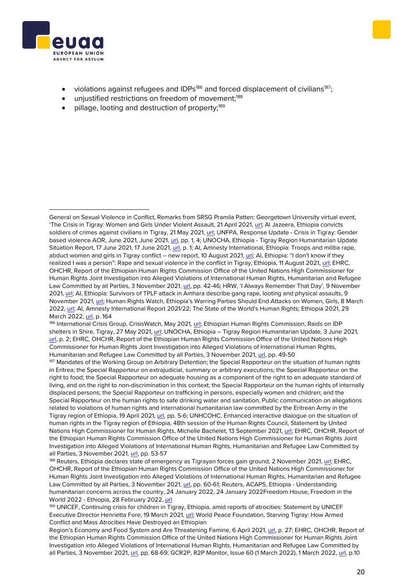



- violations against refugees and IDPs<sup>186</sup> and forced displacement of civilians<sup>187</sup>;
- unjustified restrictions on freedom of movement;<sup>188</sup>
- pillage, looting and destruction of property;<sup>189</sup>

186 International Crisis Group, CrisisWatch, May 2021[, url;](https://www.crisisgroup.org/crisiswatch/database?location%5B%5D=121&date_range=custom&from_month=09&from_year=2020&to_month=10&to_year=2021) Ethiopian Human Rights Commission, Raids on IDP shelters in Shire, Tigray, 27 May 2021[, url;](https://ehrc.org/raids-on-idp-shelters-in-shire-tigray/) UNOCHA, Ethiopia – Tigray Region Humanitarian Update, 3 June 2021, [url,](https://reliefweb.int/sites/reliefweb.int/files/resources/Situation%20Report%20-%20Ethiopia%20-%20Tigray%20Region%20Humanitarian%20Update%20-%203%20Jun%202021.pdf) p. 2; EHRC, OHCHR, Report of the Ethiopian Human Rights Commission Office of the United Nations High Commissioner for Human Rights Joint Investigation into Alleged Violations of International Human Rights, Humanitarian and Refugee Law Committed by all Parties, 3 November 2021, [url,](https://reliefweb.int/sites/reliefweb.int/files/resources/OHCHR-EHRC-Tigray-Report.pdf) pp. 49-50

<sup>187</sup> Mandates of the Working Group on Arbitrary Detention; the Special Rapporteur on the situation of human rights in Eritrea; the Special Rapporteur on extrajudicial, summary or arbitrary executions; the Special Rapporteur on the right to food; the Special Rapporteur on adequate housing as a component of the right to an adequate standard of living, and on the right to non-discrimination in this context; the Special Rapporteur on the human rights of internally displaced persons; the Special Rapporteur on trafficking in persons, especially women and children; and the Special Rapporteur on the human rights to safe drinking water and sanitation, Public communication on allegations related to violations of human rights and international humanitarian law committed by the Eritrean Army in the Tigray region of Ethiopia, 19 April 2021, [url,](https://spcommreports.ohchr.org/TMResultsBase/DownLoadPublicCommunicationFile?gId=26352) pp. 5-6; UNHCOHC, Enhanced interactive dialogue on the situation of human rights in the Tigray region of Ethiopia, 48th session of the Human Rights Council, Statement by United Nations High Commissioner for Human Rights, Michelle Bachelet, 13 September 2021, [url;](https://www.ohchr.org/en/2021/09/enhanced-interactive-dialogue-situation-human-rights-tigray-region-ethiopia?LangID=E&NewsID=27448) EHRC, OHCHR, Report of the Ethiopian Human Rights Commission Office of the United Nations High Commissioner for Human Rights Joint Investigation into Alleged Violations of International Human Rights, Humanitarian and Refugee Law Committed by all Parties, 3 November 2021, [url,](https://reliefweb.int/sites/reliefweb.int/files/resources/OHCHR-EHRC-Tigray-Report.pdf) pp. 53-57

<sup>188</sup> Reuters, Ethiopia declares state of emergency as Tigrayan forces gain ground, 2 November 2021, [url;](https://www.reuters.com/world/africa/addis-ababa-government-urges-residents-register-arms-media-2021-11-02/) EHRC, OHCHR, Report of the Ethiopian Human Rights Commission Office of the United Nations High Commissioner for Human Rights Joint Investigation into Alleged Violations of International Human Rights, Humanitarian and Refugee Law Committed by all Parties, 3 November 2021, [url,](https://reliefweb.int/sites/reliefweb.int/files/resources/OHCHR-EHRC-Tigray-Report.pdf) pp. 60-61; Reuters, ACAPS, Ethiopia - Understanding humanitarian concerns across the country, 24 January 2022, 24 January 2022Freedom House, Freedom in the World 2022 - Ethiopia, 28 February 2022[, url](https://freedomhouse.org/country/ethiopia/freedom-world/2022)

189 UNICEF, Continuing crisis for children in Tigray, Ethiopia, amid reports of atrocities: Statement by UNICEF Executive Director Henrietta Fore, 19 March 2021[, url;](https://www.unicef.org.uk/continuing-crisis-for-children-in-tigray-ethiopia-amid-reports-of-atrocities/) World Peace Foundation, Starving Tigray: How Armed Conflict and Mass Atrocities Have Destroyed an Ethiopian

Region's Economy and Food System and Are Threatening Famine, 6 April 2021, [url,](https://sites.tufts.edu/wpf/files/2021/04/Starving-Tigray-report-final.pdf) p. 27; EHRC, OHCHR, Report of the Ethiopian Human Rights Commission Office of the United Nations High Commissioner for Human Rights Joint Investigation into Alleged Violations of International Human Rights, Humanitarian and Refugee Law Committed by all Parties, 3 November 2021, [url,](https://reliefweb.int/sites/reliefweb.int/files/resources/OHCHR-EHRC-Tigray-Report.pdf) pp. 68-69; GCR2P, R2P Monitor, Issue 60 (1 March 2022), 1 March 2022[, url,](https://reliefweb.int/sites/reliefweb.int/files/resources/R2P_Monitor_March2022_Final.pdf) p.10

General on Sexual Violence in Conflict, Remarks from SRSG Pramila Patten: Georgetown University virtual event, 'The Crisis in Tigray: Women and Girls Under Violent Assault, 21 April 2021, [url;](https://reliefweb.int/report/ethiopia/remarks-srsg-pramila-patten-georgetown-university-virtual-event-crisis-tigray-women) Al Jazeera, Ethiopia convicts soldiers of crimes against civilians in Tigray, 21 May 2021, [url;](https://www.aljazeera.com/news/2021/5/21/ethiopia-convicts-soldiers-of-crimes-against-civilians-in-tigray) UNFPA, Response Update - Crisis in Tigray: Gender based violence AOR, June 2021, June 2021, [url,](https://reliefweb.int/sites/reliefweb.int/files/resources/GBV%20Area%20of%20Responsibility%20-%20Crisis%20in%20Tigray%2C%20Ethiopia%20-%20June%202021.pdf) pp. 1, 4; UNOCHA, Ethiopia - Tigray Region Humanitarian Update Situation Report, 17 June 2021, 17 June 2021, *url*, p. 1; AI, Amnesty International, Ethiopia: Troops and militia rape, abduct women and girls in Tigray conflict – new report, 10 August 2021, [url](https://www.amnesty.org/en/latest/news/2021/08/ethiopia-troops-and-militia-rape-abduct-women-and-girls-in-tigray-conflict-new-report/); AI, Ethiopia: "I don't know if they realized I was a person": Rape and sexual violence in the conflict in Tigray, Ethiopia, 11 August 2021, [url;](https://www.amnesty.org/en/documents/afr25/4569/2021/en/) EHRC, OHCHR, Report of the Ethiopian Human Rights Commission Office of the United Nations High Commissioner for Human Rights Joint Investigation into Alleged Violations of International Human Rights, Humanitarian and Refugee Law Committed by all Parties, 3 November 2021, [url,](https://reliefweb.int/sites/reliefweb.int/files/resources/OHCHR-EHRC-Tigray-Report.pdf) pp. 42-46; HRW, 'I Always Remember That Day', 9 November 2021[, url;](https://www.hrw.org/report/2021/11/09/i-always-remember-day/access-services-survivors-gender-based-violence-ethiopias) AI, Ethiopia: Survivors of TPLF attack in Amhara describe gang rape, looting and physical assaults, 9 November 2021, [url](https://www.amnesty.org/en/latest/news/2021/11/ethiopia-survivors-of-tplf-attack-in-amhara-describe-gang-rape-looting-and-physical-assaults/?utm_source=annual_report&utm_medium=epub&utm_campaign=2021&utm_term=english); Human Rights Watch, Ethiopia's Warring Parties Should End Attacks on Women, Girls, 8 March 2022[, url;](https://www.hrw.org/news/2022/03/08/ethiopias-warring-parties-should-end-attacks-women-girls) AI, Amnesty International Report 2021/22; The State of the World's Human Rights; Ethiopia 2021, 29 March 2022[, url,](https://www.amnesty.org/en/documents/pol10/4870/2022/en/) p. 164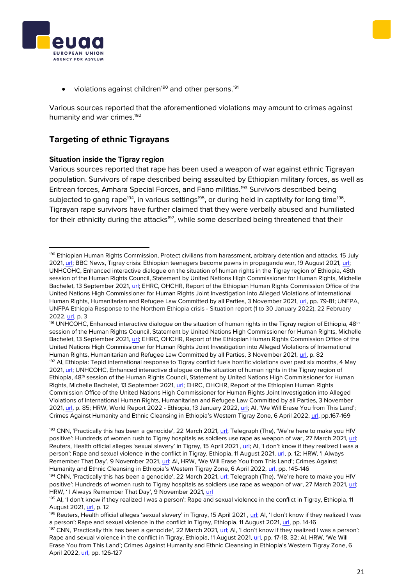• violations against children<sup>190</sup> and other persons.<sup>191</sup>

Various sources reported that the aforementioned violations may amount to crimes against humanity and war crimes.<sup>192</sup>

## **Targeting of ethnic Tigrayans**

#### **Situation inside the Tigray region**

Various sources reported that rape has been used a weapon of war against ethnic Tigrayan population. Survivors of rape described being assaulted by Ethiopian military forces, as well as Eritrean forces, Amhara Special Forces, and Fano militias.<sup>193</sup> Survivors described being subjected to gang rape $^{194}$ , in various settings $^{195}$ , or during held in captivity for long time $^{196}$ . Tigrayan rape survivors have further claimed that they were verbally abused and humiliated for their ethnicity during the attacks<sup>197</sup>, while some described being threatened that their

191 UNHCOHC, Enhanced interactive dialogue on the situation of human rights in the Tigray region of Ethiopia, 48<sup>th</sup> session of the Human Rights Council, Statement by United Nations High Commissioner for Human Rights, Michelle Bachelet, 13 September 2021, [url;](https://www.ohchr.org/en/2021/09/enhanced-interactive-dialogue-situation-human-rights-tigray-region-ethiopia?LangID=E&NewsID=27448) EHRC, OHCHR, Report of the Ethiopian Human Rights Commission Office of the United Nations High Commissioner for Human Rights Joint Investigation into Alleged Violations of International Human Rights, Humanitarian and Refugee Law Committed by all Parties, 3 November 2021, [url,](https://reliefweb.int/sites/reliefweb.int/files/resources/OHCHR-EHRC-Tigray-Report.pdf) p. 82 <sup>192</sup> AI, Ethiopia: Tepid international response to Tigray conflict fuels horrific violations over past six months, 4 May 2021[, url;](https://www.amnesty.org/en/latest/news/2021/05/ethiopia-tepid-international-response-to-tigray-conflict-fuels-horrific-violations-over-past-six-months-2/) UNHCOHC, Enhanced interactive dialogue on the situation of human rights in the Tigray region of Ethiopia, 48<sup>th</sup> session of the Human Rights Council, Statement by United Nations High Commissioner for Human Rights, Michelle Bachelet, 13 September 2021, [url;](https://www.ohchr.org/en/2021/09/enhanced-interactive-dialogue-situation-human-rights-tigray-region-ethiopia?LangID=E&NewsID=27448) EHRC, OHCHR, Report of the Ethiopian Human Rights Commission Office of the United Nations High Commissioner for Human Rights Joint Investigation into Alleged Violations of International Human Rights, Humanitarian and Refugee Law Committed by all Parties, 3 November 2021[, url,](https://reliefweb.int/sites/reliefweb.int/files/resources/OHCHR-EHRC-Tigray-Report.pdf) p. 85; HRW, World Report 2022 - Ethiopia, 13 January 2022[, url](https://www.hrw.org/world-report/2022/country-chapters/ethiopia); AI, 'We Will Erase You from This Land'; Crimes Against Humanity and Ethnic Cleansing in Ethiopia's Western Tigray Zone, 6 April 2022, [url,](https://www.amnesty.org/en/documents/afr25/5444/2022/en/) pp.167-169





<sup>&</sup>lt;sup>190</sup> Ethiopian Human Rights Commission, Protect civilians from harassment, arbitrary detention and attacks, 15 July 2021[, url;](https://ehrc.org/protect-civilians-from-harassment-arbitrary-detention-and-attacks/) BBC News, Tigray crisis: Ethiopian teenagers become pawns in propaganda war, 19 August 2021, [url;](https://www.bbc.com/news/world-africa-58189395)  UNHCOHC, Enhanced interactive dialogue on the situation of human rights in the Tigray region of Ethiopia, 48th session of the Human Rights Council, Statement by United Nations High Commissioner for Human Rights, Michelle Bachelet, 13 September 2021, [url;](https://www.ohchr.org/en/2021/09/enhanced-interactive-dialogue-situation-human-rights-tigray-region-ethiopia?LangID=E&NewsID=27448) EHRC, OHCHR, Report of the Ethiopian Human Rights Commission Office of the United Nations High Commissioner for Human Rights Joint Investigation into Alleged Violations of International Human Rights, Humanitarian and Refugee Law Committed by all Parties, 3 November 2021, [url,](https://reliefweb.int/sites/reliefweb.int/files/resources/OHCHR-EHRC-Tigray-Report.pdf) pp. 79-81; UNFPA, UNFPA Ethiopia Response to the Northern Ethiopia crisis - Situation report (1 to 30 January 2022), 22 February 2022[, url,](https://reliefweb.int/sites/reliefweb.int/files/resources/unfpa_external_sitrep_1_to_30_january_northern_ethiopia_response.pdf) p. 3

<sup>193</sup> CNN, 'Practically this has been a genocide', 22 March 2021, [url;](https://edition.cnn.com/2021/03/19/africa/ethiopia-tigray-rape-investigation-cmd-intl/index.html) Telegraph (The), 'We're here to make you HIV positive': Hundreds of women rush to Tigray hospitals as soldiers use rape as weapon of war, 27 March 2021, [url;](https://www.telegraph.co.uk/global-health/women-and-girls/make-hiv-positive-hundreds-women-rush-tigray-hospitals-soldiers/) Reuters, Health official alleges 'sexual slavery' in Tigray, 15 April 2021 , [url](https://www.reuters.com/world/special-report-health-official-alleges-sexual-slavery-tigray-women-blame-2021-04-15/); AI, 'I don't know if they realized I was a person': Rape and sexual violence in the conflict in Tigray, Ethiopia, 11 August 2021, [url,](https://www.amnesty.org/en/documents/afr25/4569/2021/en/) p. 12; HRW, 'I Always Remember That Day', 9 November 2021, [url;](https://www.hrw.org/report/2021/11/09/i-always-remember-day/access-services-survivors-gender-based-violence-ethiopias) AI, HRW, 'We Will Erase You from This Land'; Crimes Against Humanity and Ethnic Cleansing in Ethiopia's Western Tigray Zone, 6 April 2022, [url,](https://www.amnesty.org/en/documents/afr25/5444/2022/en/) pp. 145-146

<sup>&</sup>lt;sup>194</sup> CNN, 'Practically this has been a genocide', 22 March 2021, [url](https://edition.cnn.com/2021/03/19/africa/ethiopia-tigray-rape-investigation-cmd-intl/index.html); Telegraph (The), 'We're here to make you HIV positive': Hundreds of women rush to Tigray hospitals as soldiers use rape as weapon of war, 27 March 2021, [url;](https://www.telegraph.co.uk/global-health/women-and-girls/make-hiv-positive-hundreds-women-rush-tigray-hospitals-soldiers/) HRW, ' I Always Remember That Day', 9 November 2021, [url](https://www.hrw.org/report/2021/11/09/i-always-remember-day/access-services-survivors-gender-based-violence-ethiopias#_ftn42)

<sup>195</sup> Al, 'I don't know if they realized I was a person': Rape and sexual violence in the conflict in Tigray, Ethiopia, 11 August 2021[, url,](https://www.amnesty.org/en/documents/afr25/4569/2021/en/) p. 12

<sup>&</sup>lt;sup>196</sup> Reuters, Health official alleges 'sexual slavery' in Tigray, 15 April 2021, [url;](https://www.reuters.com/world/special-report-health-official-alleges-sexual-slavery-tigray-women-blame-2021-04-15/) AI, 'I don't know if they realized I was a person': Rape and sexual violence in the conflict in Tigray, Ethiopia, 11 August 2021[, url,](https://www.amnesty.org/en/documents/afr25/4569/2021/en/) pp. 14-16

<sup>197</sup> CNN, 'Practically this has been a genocide', 22 March 2021[, url;](https://edition.cnn.com/2021/03/19/africa/ethiopia-tigray-rape-investigation-cmd-intl/index.html) AI, 'I don't know if they realized I was a person': Rape and sexual violence in the conflict in Tigray, Ethiopia, 11 August 2021, [url,](https://www.amnesty.org/en/documents/afr25/4569/2021/en/) pp. 17-18, 32; AI, HRW, 'We Will Erase You from This Land'; Crimes Against Humanity and Ethnic Cleansing in Ethiopia's Western Tigray Zone, 6 April 2022, [url,](https://www.amnesty.org/en/documents/afr25/5444/2022/en/) pp. 126-127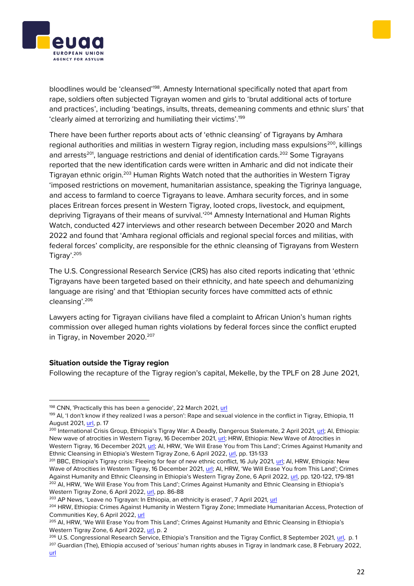bloodlines would be 'cleansed'<sup>198</sup>. Amnesty International specifically noted that apart from rape, soldiers often subjected Tigrayan women and girls to 'brutal additional acts of torture and practices', including 'beatings, insults, threats, demeaning comments and ethnic slurs' that 'clearly aimed at terrorizing and humiliating their victims'.<sup>199</sup>

There have been further reports about acts of 'ethnic cleansing' of Tigrayans by Amhara regional authorities and militias in western Tigray region, including mass expulsions<sup>200</sup>, killings and arrests<sup>201</sup>, language restrictions and denial of identification cards.<sup>202</sup> Some Tigrayans reported that the new identification cards were written in Amharic and did not indicate their Tigrayan ethnic origin.<sup>203</sup> Human Rights Watch noted that the authorities in Western Tigray 'imposed restrictions on movement, humanitarian assistance, speaking the Tigrinya language, and access to farmland to coerce Tigrayans to leave. Amhara security forces, and in some places Eritrean forces present in Western Tigray, looted crops, livestock, and equipment, depriving Tigrayans of their means of survival.'<sup>204</sup> Amnesty International and Human Rights Watch, conducted 427 interviews and other research between December 2020 and March 2022 and found that 'Amhara regional officials and regional special forces and militias, with federal forces' complicity, are responsible for the ethnic cleansing of Tigrayans from Western Tigray'.<sup>205</sup>

The U.S. Congressional Research Service (CRS) has also cited reports indicating that 'ethnic Tigrayans have been targeted based on their ethnicity, and hate speech and dehumanizing language are rising' and that 'Ethiopian security forces have committed acts of ethnic cleansing'.<sup>206</sup>

Lawyers acting for Tigrayan civilians have filed a complaint to African Union's human rights commission over alleged human rights violations by federal forces since the conflict erupted in Tigray, in November 2020.<sup>207</sup>

#### **Situation outside the Tigray region**

Following the recapture of the Tigray region's capital, Mekelle, by the TPLF on 28 June 2021,

# **ROPEAN UNION** AGENCY FOR ASYLUM



Communities Key, 6 April 2022, [url](https://www.hrw.org/news/2022/04/06/ethiopia-crimes-against-humanity-western-tigray-zone) <sup>205</sup> AI, HRW, 'We Will Erase You from This Land'; Crimes Against Humanity and Ethnic Cleansing in Ethiopia's Western Tigray Zone, 6 April 2022[, url,](https://www.amnesty.org/en/documents/afr25/5444/2022/en/) p. 2

<sup>&</sup>lt;sup>206</sup> U.S. Congressional Research Service, Ethiopia's Transition and the Tigray Conflict, 8 September 2021, [url,](https://sgp.fas.org/crs/row/R46905.pdf) p. 1 <sup>207</sup> Guardian (The), Ethiopia accused of 'serious' human rights abuses in Tigray in landmark case, 8 February 2022,

<sup>198</sup> CNN, 'Practically this has been a genocide', 22 March 2021, [url](https://edition.cnn.com/2021/03/19/africa/ethiopia-tigray-rape-investigation-cmd-intl/index.html)

<sup>199</sup> AI, 'I don't know if they realized I was a person': Rape and sexual violence in the conflict in Tigray, Ethiopia, 11 August 2021[, url,](https://www.amnesty.org/en/documents/afr25/4569/2021/en/) p. 17

<sup>&</sup>lt;sup>200</sup> International Crisis Group, Ethiopia's Tigray War: A Deadly, Dangerous Stalemate, 2 April 2021, [url;](https://www.crisisgroup.org/africa/horn-africa/ethiopia/b171-ethiopias-tigray-war-deadly-dangerous-stalemate) AI, Ethiopia: New wave of atrocities in Western Tigray, 16 December 2021, [url;](https://www.amnesty.org/en/latest/news/2021/12/ethiopia-new-wave-of-atrocities-in-western-tigray/) HRW, Ethiopia: New Wave of Atrocities in Western Tigray, 16 December 2021, [url;](https://www.hrw.org/news/2021/12/16/ethiopia-new-wave-atrocities-western-tigray) AI, HRW, 'We Will Erase You from This Land'; Crimes Against Humanity and Ethnic Cleansing in Ethiopia's Western Tigray Zone, 6 April 2022, [url,](https://www.amnesty.org/en/documents/afr25/5444/2022/en/) pp. 131-133

<sup>&</sup>lt;sup>201</sup> BBC, Ethiopia's Tigray crisis: Fleeing for fear of new ethnic conflict, 16 July 2021, [url;](https://www.bbc.com/news/world-africa-57818673) AI, HRW, Ethiopia: New Wave of Atrocities in Western Tigray, 16 December 2021, [url;](https://www.hrw.org/news/2021/12/16/ethiopia-new-wave-atrocities-western-tigray) AI, HRW, 'We Will Erase You from This Land'; Crimes Against Humanity and Ethnic Cleansing in Ethiopia's Western Tigray Zone, 6 April 2022, [url,](https://www.amnesty.org/en/documents/afr25/5444/2022/en/) pp. 120-122, 179-181 <sup>202</sup> AI, HRW, 'We Will Erase You from This Land'; Crimes Against Humanity and Ethnic Cleansing in Ethiopia's Western Tigray Zone, 6 April 2022[, url,](https://www.amnesty.org/en/documents/afr25/5444/2022/en/) pp. 86-88

<sup>&</sup>lt;sup>203</sup> AP News, 'Leave no Tigrayan: In Ethiopia, an ethnicity is erased', 7 April 2021, [url](https://apnews.com/article/ethiopia-tigray-minority-ethnic-cleansing-sudan-world-news-842741eebf9bf0984946619c0fc15023) <sup>204</sup> HRW, Ethiopia: Crimes Against Humanity in Western Tigray Zone; Immediate Humanitarian Access, Protection of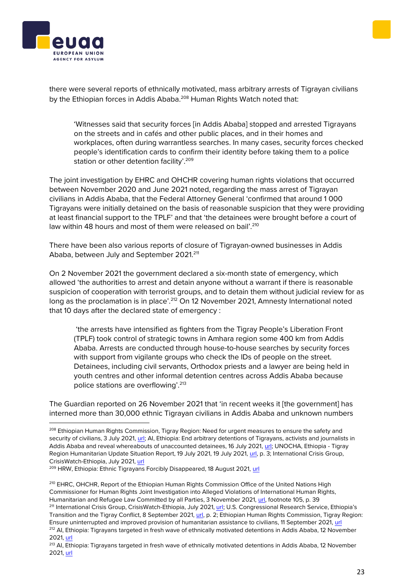



there were several reports of ethnically motivated, mass arbitrary arrests of Tigrayan civilians by the Ethiopian forces in Addis Ababa.<sup>208</sup> Human Rights Watch noted that:

'Witnesses said that security forces [in Addis Ababa] stopped and arrested Tigrayans on the streets and in cafés and other public places, and in their homes and workplaces, often during warrantless searches. In many cases, security forces checked people's identification cards to confirm their identity before taking them to a police station or other detention facility'.<sup>209</sup>

The joint investigation by EHRC and OHCHR covering human rights violations that occurred between November 2020 and June 2021 noted, regarding the mass arrest of Tigrayan civilians in Addis Ababa, that the Federal Attorney General 'confirmed that around 1 000 Tigrayans were initially detained on the basis of reasonable suspicion that they were providing at least financial support to the TPLF' and that 'the detainees were brought before a court of law within 48 hours and most of them were released on bail'.<sup>210</sup>

There have been also various reports of closure of Tigrayan-owned businesses in Addis Ababa, between July and September 2021.<sup>211</sup>

On 2 November 2021 the government declared a six-month state of emergency, which allowed 'the authorities to arrest and detain anyone without a warrant if there is reasonable suspicion of cooperation with terrorist groups, and to detain them without judicial review for as long as the proclamation is in place'.<sup>212</sup> On 12 November 2021, Amnesty International noted that 10 days after the declared state of emergency :

'the arrests have intensified as fighters from the Tigray People's Liberation Front (TPLF) took control of strategic towns in Amhara region some 400 km from Addis Ababa. Arrests are conducted through house-to-house searches by security forces with support from vigilante groups who check the IDs of people on the street. Detainees, including civil servants, Orthodox priests and a lawyer are being held in youth centres and other informal detention centres across Addis Ababa because police stations are overflowing'.<sup>213</sup>

The Guardian reported on 26 November 2021 that 'in recent weeks it [the government] has interned more than 30,000 ethnic Tigrayan civilians in Addis Ababa and unknown numbers

<sup>&</sup>lt;sup>208</sup> Ethiopian Human Rights Commission, Tigray Region: Need for urgent measures to ensure the safety and security of civilians, 3 July 2021, [url;](https://ehrc.org/tigray-region-need-for-urgent-measures-to-ensure-the-safety-and-security-of-civilians/) AI, Ethiopia: End arbitrary detentions of Tigrayans, activists and journalists in Addis Ababa and reveal whereabouts of unaccounted detainees, 16 July 2021, [url;](https://www.amnesty.org/en/latest/news/2021/07/ethiopia-end-arbitrary-detentions-of-tigrayans-activists-and-journalists-in-addis-ababa-and-reveal-whereabouts-of-unaccounted-detainees-2/) UNOCHA, Ethiopia - Tigray Region Humanitarian Update Situation Report, 19 July 2021, 19 July 2021, [url,](https://reliefweb.int/sites/reliefweb.int/files/resources/Situation%20Report%20-%20Ethiopia%20-%20Tigray%20Region%20Humanitarian%20Update%20-%2019%20Jul%202021.pdf) p. 3; International Crisis Group, CrisisWatch-Ethiopia, July 2021[, url](https://www.crisisgroup.org/crisiswatch/database?location%5B%5D=121&date_range=custom&from_month=09&from_year=2020&to_month=10&to_year=2021)

<sup>209</sup> HRW, Ethiopia: Ethnic Tigrayans Forcibly Disappeared, 18 August 2021, [url](https://www.hrw.org/news/2021/08/18/ethiopia-ethnic-tigrayans-forcibly-disappeared)

<sup>&</sup>lt;sup>210</sup> EHRC, OHCHR, Report of the Ethiopian Human Rights Commission Office of the United Nations High Commissioner for Human Rights Joint Investigation into Alleged Violations of International Human Rights, Humanitarian and Refugee Law Committed by all Parties, 3 November 2021, [url,](https://reliefweb.int/sites/reliefweb.int/files/resources/OHCHR-EHRC-Tigray-Report.pdf) footnote 105, p. 39 <sup>211</sup> International Crisis Group, CrisisWatch-Ethiopia, July 2021, [url](https://www.crisisgroup.org/crisiswatch/database?location%5B%5D=121&date_range=custom&from_month=09&from_year=2020&to_month=10&to_year=2021); U.S. Congressional Research Service, Ethiopia's

Transition and the Tigray Conflict, 8 September 2021, [url,](https://sgp.fas.org/crs/row/R46905.pdf) p. 2; Ethiopian Human Rights Commission, Tigray Region: Ensure uninterrupted and improved provision of humanitarian assistance to civilians, 11 September 2021[, url](https://ehrc.org/tigray-region-ensure-uninterrupted-and-improved-provision-of-humanitarian-assistance-to-civilians/) <sup>212</sup> AI, Ethiopia: Tigrayans targeted in fresh wave of ethnically motivated detentions in Addis Ababa, 12 November 2021[, url](https://www.amnesty.org/en/latest/news/2021/11/ethiopia-tigrayans-targeted-in-fresh-wave-of-ethnically-motivated-detentions-in-addis-ababa/)

<sup>&</sup>lt;sup>213</sup> AI, Ethiopia: Tigrayans targeted in fresh wave of ethnically motivated detentions in Addis Ababa, 12 November 2021[, url](https://www.amnesty.org/en/latest/news/2021/11/ethiopia-tigrayans-targeted-in-fresh-wave-of-ethnically-motivated-detentions-in-addis-ababa/)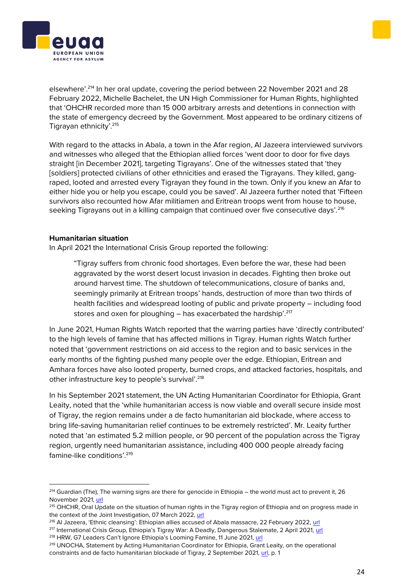elsewhere'.<sup>214</sup> In her oral update, covering the period between 22 November 2021 and 28 February 2022, Michelle Bachelet, the UN High Commissioner for Human Rights, highlighted that 'OHCHR recorded more than 15 000 arbitrary arrests and detentions in connection with the state of emergency decreed by the Government. Most appeared to be ordinary citizens of Tigrayan ethnicity'.<sup>215</sup>

With regard to the attacks in Abala, a town in the Afar region, Al Jazeera interviewed survivors and witnesses who alleged that the Ethiopian allied forces 'went door to door for five days straight [in December 2021], targeting Tigrayans'. One of the witnesses stated that 'they [soldiers] protected civilians of other ethnicities and erased the Tigrayans. They killed, gangraped, looted and arrested every Tigrayan they found in the town. Only if you knew an Afar to either hide you or help you escape, could you be saved'. Al Jazeera further noted that 'Fifteen survivors also recounted how Afar militiamen and Eritrean troops went from house to house, seeking Tigrayans out in a killing campaign that continued over five consecutive days'.<sup>216</sup>

#### **Humanitarian situation**

In April 2021 the International Crisis Group reported the following:

"Tigray suffers from chronic food shortages. Even before the war, these had been aggravated by the worst desert locust invasion in decades. Fighting then broke out around harvest time. The shutdown of telecommunications, closure of banks and, seemingly primarily at Eritrean troops' hands, destruction of more than two thirds of health facilities and widespread looting of public and private property – including food stores and oxen for ploughing - has exacerbated the hardship'.<sup>217</sup>

In June 2021, Human Rights Watch reported that the warring parties have 'directly contributed' to the high levels of famine that has affected millions in Tigray. Human rights Watch further noted that 'government restrictions on aid access to the region and to basic services in the early months of the fighting pushed many people over the edge. Ethiopian, Eritrean and Amhara forces have also looted property, burned crops, and attacked factories, hospitals, and other infrastructure key to people's survival'.<sup>218</sup>

In his September 2021 statement, the UN Acting Humanitarian Coordinator for Ethiopia, Grant Leaity, noted that the 'while humanitarian access is now viable and overall secure inside most of Tigray, the region remains under a de facto humanitarian aid blockade, where access to bring life-saving humanitarian relief continues to be extremely restricted'. Mr. Leaity further noted that 'an estimated 5.2 million people, or 90 percent of the population across the Tigray region, urgently need humanitarian assistance, including 400 000 people already facing famine-like conditions'.<sup>219</sup>

<sup>216</sup> Al Jazeera, 'Ethnic cleansing': Ethiopian allies accused of Abala massacre, 22 February 2022, [url](https://www.aljazeera.com/features/2022/2/25/calculated-ethnic-cleansing-ethiopian-allies-accused-of-killin)





<sup>&</sup>lt;sup>214</sup> Guardian (The), The warning signs are there for genocide in Ethiopia – the world must act to prevent it, 26 November 2021, [url](https://www.theguardian.com/commentisfree/2021/nov/26/ethiopia-genocide-warning-signs-abiy-ahmed)

<sup>&</sup>lt;sup>215</sup> OHCHR, Oral Update on the situation of human rights in the Tigray region of Ethiopia and on progress made in the context of the Joint Investigation, 07 March 2022, [url](https://www.ohchr.org/en/statements/2022/03/oral-update-situation-human-rights-tigray-region-ethiopia-and-progress-made?LangID=E&NewsID=28220)

<sup>217</sup> International Crisis Group, Ethiopia's Tigray War: A Deadly, Dangerous Stalemate, 2 April 2021, [url](https://www.crisisgroup.org/africa/horn-africa/ethiopia/b171-ethiopias-tigray-war-deadly-dangerous-stalemate) <sup>218</sup> HRW, G7 Leaders Can't Ignore Ethiopia's Looming Famine, 11 June 2021, [url](https://www.hrw.org/news/2021/06/11/g7-leaders-cant-ignore-ethiopias-looming-famine)

<sup>&</sup>lt;sup>219</sup> UNOCHA, Statement by Acting Humanitarian Coordinator for Ethiopia, Grant Leaity, on the operational constraints and de facto humanitarian blockade of Tigray, 2 September 2021, [url,](https://reliefweb.int/sites/reliefweb.int/files/resources/Statement%20by%20Acting%20Humanitarian%20Coordinator%20on%20the%20operational%20constraints%20Tigray.pdf) p. 1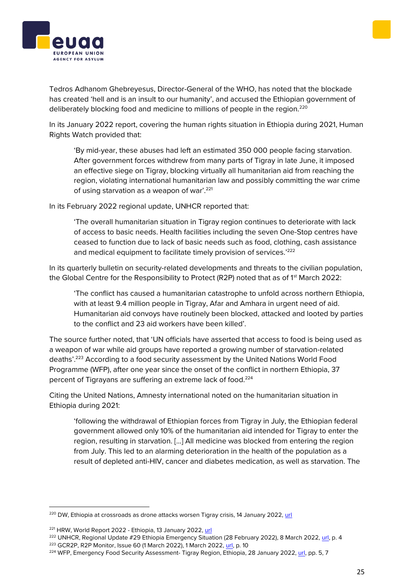Tedros Adhanom Ghebreyesus, Director-General of the WHO, has noted that the blockade has created 'hell and is an insult to our humanity', and accused the Ethiopian government of deliberately blocking food and medicine to millions of people in the region.<sup>220</sup>

In its January 2022 report, covering the human rights situation in Ethiopia during 2021, Human Rights Watch provided that:

'By mid-year, these abuses had left an estimated 350 000 people facing starvation. After government forces withdrew from many parts of Tigray in late June, it imposed an effective siege on Tigray, blocking virtually all humanitarian aid from reaching the region, violating international humanitarian law and possibly committing the war crime of using starvation as a weapon of war'.<sup>221</sup>

In its February 2022 regional update, UNHCR reported that:

'The overall humanitarian situation in Tigray region continues to deteriorate with lack of access to basic needs. Health facilities including the seven One-Stop centres have ceased to function due to lack of basic needs such as food, clothing, cash assistance and medical equipment to facilitate timely provision of services.<sup>'222</sup>

In its quarterly bulletin on security-related developments and threats to the civilian population, the Global Centre for the Responsibility to Protect (R2P) noted that as of 1<sup>st</sup> March 2022:

'The conflict has caused a humanitarian catastrophe to unfold across northern Ethiopia, with at least 9.4 million people in Tigray, Afar and Amhara in urgent need of aid. Humanitarian aid convoys have routinely been blocked, attacked and looted by parties to the conflict and 23 aid workers have been killed'.

The source further noted, that 'UN officials have asserted that access to food is being used as a weapon of war while aid groups have reported a growing number of starvation-related deaths'.<sup>223</sup> According to a food security assessment by the United Nations World Food Programme (WFP), after one year since the onset of the conflict in northern Ethiopia, 37 percent of Tigrayans are suffering an extreme lack of food.<sup>224</sup>

Citing the United Nations, Amnesty international noted on the humanitarian situation in Ethiopia during 2021:

'following the withdrawal of Ethiopian forces from Tigray in July, the Ethiopian federal government allowed only 10% of the humanitarian aid intended for Tigray to enter the region, resulting in starvation. […] All medicine was blocked from entering the region from July. This led to an alarming deterioration in the health of the population as a result of depleted anti-HIV, cancer and diabetes medication, as well as starvation. The

<sup>222</sup> UNHCR, Regional Update #29 Ethiopia Emergency Situation (28 February 2022), 8 March 2022, [url,](https://data2.unhcr.org/en/documents/details/91213) p. 4





<sup>&</sup>lt;sup>220</sup> DW, Ethiopia at crossroads as drone attacks worsen Tigray crisis, 14 January 2022, [url](https://www.dw.com/en/ethiopia-at-crossroads-as-drone-attacks-worsen-tigray-crisis/a-60418585)

<sup>221</sup> HRW, World Report 2022 - Ethiopia, 13 January 2022[, url](https://www.hrw.org/world-report/2022/country-chapters/ethiopia)

<sup>223</sup> GCR2P, R2P Monitor, Issue 60 (1 March 2022), 1 March 2022, [url,](https://reliefweb.int/sites/reliefweb.int/files/resources/R2P_Monitor_March2022_Final.pdf) p. 10

<sup>&</sup>lt;sup>224</sup> WFP, Emergency Food Security Assessment- Tigray Region, Ethiopia, 28 January 2022, [url,](https://reliefweb.int/sites/reliefweb.int/files/resources/WFP-0000136281.pdf) pp. 5, 7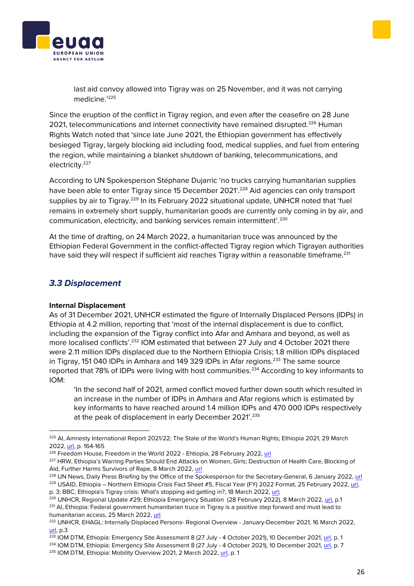

last aid convoy allowed into Tigray was on 25 November, and it was not carrying medicine.'<sup>225</sup>

Since the eruption of the conflict in Tigray region, and even after the ceasefire on 28 June 2021, telecommunications and internet connectivity have remained disrupted.<sup>226</sup> Human Rights Watch noted that 'since late June 2021, the Ethiopian government has effectively besieged Tigray, largely blocking aid including food, medical supplies, and fuel from entering the region, while maintaining a blanket shutdown of banking, telecommunications, and electricity.<sup>227</sup>

According to UN Spokesperson Stéphane Dujarric 'no trucks carrying humanitarian supplies have been able to enter Tigray since 15 December 2021'.<sup>228</sup> Aid agencies can only transport supplies by air to Tigray.<sup>229</sup> In its February 2022 situational update, UNHCR noted that 'fuel remains in extremely short supply, humanitarian goods are currently only coming in by air, and communication, electricity, and banking services remain intermittent'.<sup>230</sup>

At the time of drafting, on 24 March 2022, a humanitarian truce was announced by the Ethiopian Federal Government in the conflict-affected Tigray region which Tigrayan authorities have said they will respect if sufficient aid reaches Tigray within a reasonable timeframe.<sup>231</sup>

## <span id="page-25-0"></span>*3.3 Displacement*

#### **Internal Displacement**

As of 31 December 2021, UNHCR estimated the figure of Internally Displaced Persons (IDPs) in Ethiopia at 4.2 million, reporting that 'most of the internal displacement is due to conflict, including the expansion of the Tigray conflict into Afar and Amhara and beyond, as well as more localised conflicts'.<sup>232</sup> IOM estimated that between 27 July and 4 October 2021 there were 2.11 million IDPs displaced due to the Northern Ethiopia Crisis; 1.8 million IDPs displaced in Tigray, 151 040 IDPs in Amhara and 149 329 IDPs in Afar regions.<sup>233</sup> The same source reported that 78% of IDPs were living with host communities.<sup>234</sup> According to key informants to IOM:

'In the second half of 2021, armed conflict moved further down south which resulted in an increase in the number of IDPs in Amhara and Afar regions which is estimated by key informants to have reached around 1.4 million IDPs and 470 000 IDPs respectively at the peak of displacement in early December 2021'.<sup>235</sup>

<sup>&</sup>lt;sup>225</sup> AI, Amnesty International Report 2021/22; The State of the World's Human Rights; Ethiopia 2021, 29 March 2022[, url,](https://www.amnesty.org/en/documents/pol10/4870/2022/en/) p. 164-165

<sup>&</sup>lt;sup>226</sup> Freedom House, Freedom in the World 2022 - Ehtiopia, 28 February 2022, [url](https://freedomhouse.org/country/ethiopia/freedom-world/2022)

<sup>&</sup>lt;sup>227</sup> HRW, Ethiopia's Warring Parties Should End Attacks on Women, Girls; Destruction of Health Care, Blocking of Aid, Further Harms Survivors of Rape, 8 March 2022, [url](https://www.hrw.org/news/2022/03/08/ethiopias-warring-parties-should-end-attacks-women-girls)

<sup>&</sup>lt;sup>228</sup> UN News, Daily Press Briefing by the Office of the Spokesperson for the Secretary-General, 6 January 2022, [url](https://www.un.org/press/en/2022/db220106.doc.htm) <sup>229</sup> USAID, Ethiopia – Northern Ethiopia Crisis Fact Sheet #5, Fiscal Year (FY) 2022 Format, 25 February 2022, url, p. 3; BBC, Ethiopia's Tigray crisis: What's stopping aid getting in?, 18 March 2022, [url;](https://www.bbc.com/news/57929853)

<sup>&</sup>lt;sup>230</sup> UNHCR, Regional Update #29; Ethiopia Emergency Situation (28 February 2022), 8 March 2022[, url,](https://reliefweb.int/sites/reliefweb.int/files/resources/Ethiopia%20Emergency%20Situation%20External%20Updates%2028%20February%202022.pdf) p.1 <sup>231</sup> Al, Ethiopia: Federal government humanitarian truce in Tigray is a positive step forward and must lead to humanitarian access, 25 March 2022, [url](https://www.amnesty.org/en/latest/news/2022/03/ethiopia-federal-government-humanitarian-truce-in-tigray-is-a-positive-step-forward-and-must-lead-to-humanitarian-access/)

<sup>232</sup> UNHCR, EHAGL: Internally Displaced Persons- Regional Overview - January-December 2021, 16 March 2022, [url,](https://data2.unhcr.org/en/documents/details/91373) p.3

 $\frac{233}{233}$  IOM DTM, Ethiopia: Emergency Site Assessment 8 (27 July - 4 October 2021), 10 December 2021[, url,](https://displacement.iom.int/sites/default/files/public/reports/DTM%20Ethiopia%20Emergency%20Site%20Assessment%20Round%208%20Report_3.pdf) p. 1

<sup>&</sup>lt;sup>234</sup> IOM DTM, Ethiopia: Emergency Site Assessment 8 (27 July - 4 October 2021), 10 December 2021[, url,](https://displacement.iom.int/sites/default/files/public/reports/DTM%20Ethiopia%20Emergency%20Site%20Assessment%20Round%208%20Report_3.pdf) p. 7

<sup>&</sup>lt;sup>235</sup> IOM DTM, Ethiopia: Mobility Overview 2021, 2 March 2022, [url,](https://displacement.iom.int/sites/default/files/public/reports/DTM%20Ethiopia%20Mobility%20Overview%202021.pdf) p. 1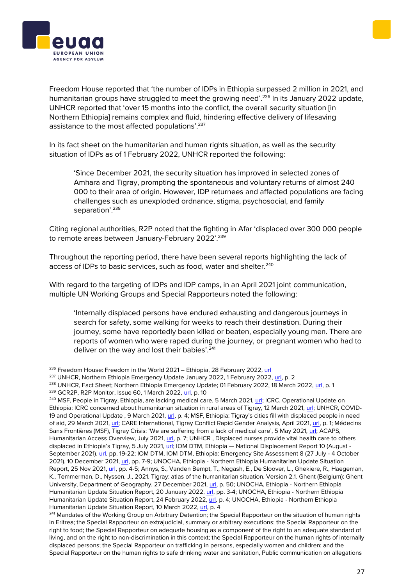



Freedom House reported that 'the number of IDPs in Ethiopia surpassed 2 million in 2021, and humanitarian groups have struggled to meet the growing need'.<sup>236</sup> In its January 2022 update, UNHCR reported that 'over 15 months into the conflict, the overall security situation [in Northern Ethiopia] remains complex and fluid, hindering effective delivery of lifesaving assistance to the most affected populations'.<sup>237</sup>

In its fact sheet on the humanitarian and human rights situation, as well as the security situation of IDPs as of 1 February 2022, UNHCR reported the following:

'Since December 2021, the security situation has improved in selected zones of Amhara and Tigray, prompting the spontaneous and voluntary returns of almost 240 000 to their area of origin. However, IDP returnees and affected populations are facing challenges such as unexploded ordnance, stigma, psychosocial, and family separation'.<sup>238</sup>

Citing regional authorities, R2P noted that the fighting in Afar 'displaced over 300 000 people to remote areas between January-February 2022'.<sup>239</sup>

Throughout the reporting period, there have been several reports highlighting the lack of access of IDPs to basic services, such as food, water and shelter.<sup>240</sup>

With regard to the targeting of IDPs and IDP camps, in an April 2021 joint communication, multiple UN Working Groups and Special Rapporteurs noted the following:

'Internally displaced persons have endured exhausting and dangerous journeys in search for safety, some walking for weeks to reach their destination. During their journey, some have reportedly been killed or beaten, especially young men. There are reports of women who were raped during the journey, or pregnant women who had to deliver on the way and lost their babies'.<sup>241</sup>

<sup>&</sup>lt;sup>236</sup> Freedom House: Freedom in the World 2021 – Ethiopia, 28 February 2022[, url](https://freedomhouse.org/country/ethiopia/freedom-world/2022)

<sup>&</sup>lt;sup>237</sup> UNHCR, Northern Ethiopia Emergency Update January 2022, 1 February 2022, [url,](https://data2.unhcr.org/en/documents/details/91652) p. 2

<sup>&</sup>lt;sup>238</sup> UNHCR, Fact Sheet; Northern Ethiopia Emergency Update; 01 February 2022, 18 March 2022[, url,](https://data2.unhcr.org/en/documents/details/91443) p. 1

<sup>239</sup> GCR2P, R2P Monitor, Issue 60, 1 March 2022[, url,](https://reliefweb.int/sites/reliefweb.int/files/resources/R2P_Monitor_March2022_Final.pdf) p. 10

<sup>&</sup>lt;sup>240</sup> MSF, People in Tigray, Ethiopia, are lacking medical care, 5 March 2021, [url;](https://www.msf.org/people-tigray-ethiopia-are-lacking-medical-care) ICRC, Operational Update on Ethiopia: ICRC concerned about humanitarian situation in rural areas of Tigray, 12 March 2021, [url;](https://www.icrc.org/en/document/operational-update-ethiopia-icrc-concerned-about-humanitarian-situation-rural-areas-tigray) UNHCR, COVID-19 and Operational Update , 9 March 2021, [url](https://data2.unhcr.org/es/documents/details/85325), p. 4; MSF, Ethiopia: Tigray's cities fill with displaced people in need of aid, 29 March 2021[, url;](https://www.msf.org/ethiopia-tigray%E2%80%99s-cities-fill-displaced-people-need-aid) CARE International, Tigray Conflict Rapid Gender Analysis, April 2021, [url,](http://careevaluations.org/wp-content/uploads/Tigray-RGA-Policy-Brief.pdf) p. 1; Médecins Sans Frontières (MSF), Tigray Crisis: 'We are suffering from a lack of medical care', 5 May 2021, [url;](https://www.doctorswithoutborders.org/latest/tigray-crisis-we-are-suffering-lack-medical-care) ACAPS, Humanitarian Access Overview, July 2021[, url,](https://www.acaps.org/sites/acaps/files/products/files/20210719_acaps_humanitarian_access_overview_july_2021.pdf) p. 7; UNHCR , Displaced nurses provide vital health care to others displaced in Ethiopia's Tigray, 5 July 2021, [url;](https://www.unhcr.org/news/stories/2021/7/60daa5954/displaced-nurses-provide-vital-health-care-others-displaced-ethiopias-tigray.html) IOM DTM, Ethiopia — National Displacement Report 10 (August - September 2021)[, url,](https://displacement.iom.int/sites/default/files/public/reports/DTM%20Ethiopia%20National%20Displacement%20Report%2010_For%20uploading.pdf) pp. 19-22; IOM DTM, IOM DTM, Ethiopia: Emergency Site Assessment 8 (27 July - 4 October 2021), 10 December 2021, [url,](https://displacement.iom.int/sites/default/files/public/reports/DTM%20Ethiopia%20Emergency%20Site%20Assessment%20Round%208%20Report_3.pdf) pp. 7-9; UNOCHA, Ethiopia - Northern Ethiopia Humanitarian Update Situation Report, 25 Nov 2021[, url,](https://reliefweb.int/sites/reliefweb.int/files/resources/Situation%20Report%20-%20Ethiopia%20-%20Northern%20Ethiopia%20Humanitarian%20Update%20-%2025%20Nov%202021.pdf) pp. 4-5; Annys, S., Vanden Bempt, T., Negash, E., De Sloover, L., Ghekiere, R., Haegeman, K., Temmerman, D., Nyssen, J., 2021. Tigray: atlas of the humanitarian situation. Version 2.1. Ghent (Belgium): Ghent University, Department of Geography, 27 December 2021, [url,](https://www.researchgate.net/publication/349824181_Tigray_Atlas_of_the_humanitarian_situation) p. 50; UNOCHA, Ethiopia - Northern Ethiopia Humanitarian Update Situation Report, 20 January 2022, [url,](https://reliefweb.int/sites/reliefweb.int/files/resources/Situation%20Report%20-%20Ethiopia%20-%20Northern%20Ethiopia%20Humanitarian%20Update%20-%2020%20Jan%202022.pdf) pp. 3-4; UNOCHA, Ethiopia - Northern Ethiopia Humanitarian Update Situation Report, 24 February 2022[, url,](https://reliefweb.int/report/ethiopia/ethiopia-northern-ethiopia-humanitarian-update-situation-report-24-february-2022) p. 4; UNOCHA, Ethiopia - Northern Ethiopia Humanitarian Update Situation Report, 10 March 2022, [url,](https://reliefweb.int/sites/reliefweb.int/files/resources/Situation%20Report%20-%20Northern%20Ethiopia%20-%20Humanitarian%20Update%20-%2010%20Mar%202022.pdf) p. 4

<sup>&</sup>lt;sup>241</sup> Mandates of the Working Group on Arbitrary Detention; the Special Rapporteur on the situation of human rights in Eritrea; the Special Rapporteur on extrajudicial, summary or arbitrary executions; the Special Rapporteur on the right to food; the Special Rapporteur on adequate housing as a component of the right to an adequate standard of living, and on the right to non-discrimination in this context; the Special Rapporteur on the human rights of internally displaced persons; the Special Rapporteur on trafficking in persons, especially women and children; and the Special Rapporteur on the human rights to safe drinking water and sanitation, Public communication on allegations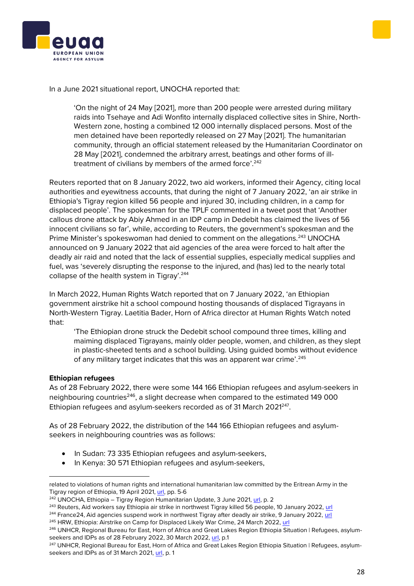



In a June 2021 situational report, UNOCHA reported that:

'On the night of 24 May [2021], more than 200 people were arrested during military raids into Tsehaye and Adi Wonfito internally displaced collective sites in Shire, North-Western zone, hosting a combined 12 000 internally displaced persons. Most of the men detained have been reportedly released on 27 May [2021]. The humanitarian community, through an official statement released by the Humanitarian Coordinator on 28 May [2021], condemned the arbitrary arrest, beatings and other forms of illtreatment of civilians by members of the armed force'.<sup>242</sup>

Reuters reported that on 8 January 2022, two aid workers, informed their Agency, citing local authorities and eyewitness accounts, that during the night of 7 January 2022, 'an air strike in Ethiopia's Tigray region killed 56 people and injured 30, including children, in a camp for displaced people'. The spokesman for the TPLF commented in a tweet post that 'Another callous drone attack by Abiy Ahmed in an IDP camp in Dedebit has claimed the lives of 56 innocent civilians so far', while, according to Reuters, the government's spokesman and the Prime Minister's spokeswoman had denied to comment on the allegations.<sup>243</sup> UNOCHA announced on 9 January 2022 that aid agencies of the area were forced to halt after the deadly air raid and noted that the lack of essential supplies, especially medical supplies and fuel, was 'severely disrupting the response to the injured, and (has) led to the nearly total collapse of the health system in Tigray'.<sup>244</sup>

In March 2022, Human Rights Watch reported that on 7 January 2022, 'an Ethiopian government airstrike hit a school compound hosting thousands of displaced Tigrayans in North-Western Tigray. Laetitia Bader, Horn of Africa director at Human Rights Watch noted that:

'The Ethiopian drone struck the Dedebit school compound three times, killing and maiming displaced Tigrayans, mainly older people, women, and children, as they slept in plastic-sheeted tents and a school building. Using guided bombs without evidence of any military target indicates that this was an apparent war crime'.<sup>245</sup>

#### **Ethiopian refugees**

As of 28 February 2022, there were some 144 166 Ethiopian refugees and asylum-seekers in neighbouring countries<sup>246</sup>, a slight decrease when compared to the estimated 149 000 Ethiopian refugees and asylum-seekers recorded as of 31 March 2021<sup>247</sup>.

As of 28 February 2022, the distribution of the 144 166 Ethiopian refugees and asylumseekers in neighbouring countries was as follows:

- In Sudan: 73 335 Ethiopian refugees and asylum-seekers,
- In Kenya: 30 571 Ethiopian refugees and asylum-seekers,

related to violations of human rights and international humanitarian law committed by the Eritrean Army in the Tigray region of Ethiopia, 19 April 2021, [url,](https://spcommreports.ohchr.org/TMResultsBase/DownLoadPublicCommunicationFile?gId=26352) pp. 5-6

 $242$  UNOCHA, Ethiopia – Tigray Region Humanitarian Update, 3 June 2021[, url,](https://reliefweb.int/sites/reliefweb.int/files/resources/Situation%20Report%20-%20Ethiopia%20-%20Tigray%20Region%20Humanitarian%20Update%20-%203%20Jun%202021.pdf) p. 2

<sup>&</sup>lt;sup>243</sup> Reuters, Aid workers say Ethiopia air strike in northwest Tigray killed 56 people, 10 January 2022, [url](https://www.reuters.com/world/africa/aid-workers-say-ethiopia-air-strike-northwest-tigray-killed-56-people-2022-01-08/)

<sup>&</sup>lt;sup>244</sup> France24, Aid agencies suspend work in northwest Tigray after deadly air strike, 9 January 2022, [url](https://www.france24.com/en/africa/20220109-aid-agencies-suspend-work-in-northwest-tigray-after-deadly-strike)

<sup>&</sup>lt;sup>245</sup> HRW, Ethiopia: Airstrike on Camp for Displaced Likely War Crime, 24 March 2022[, url](https://www.hrw.org/news/2022/03/24/ethiopia-airstrike-camp-displaced-likely-war-crime)

<sup>&</sup>lt;sup>246</sup> UNHCR, Regional Bureau for East, Horn of Africa and Great Lakes Region Ethiopia Situation | Refugees, asylumseekers and IDPs as of 28 February 2022, 30 March 2022[, url,](https://data2.unhcr.org/en/documents/download/91708) p.1

<sup>&</sup>lt;sup>247</sup> UNHCR, Regional Bureau for East, Horn of Africa and Great Lakes Region Ethiopia Situation | Refugees, asylumseekers and IDPs as of 31 March 2021, [url,](https://data2.unhcr.org/en/documents/download/86371) p. 1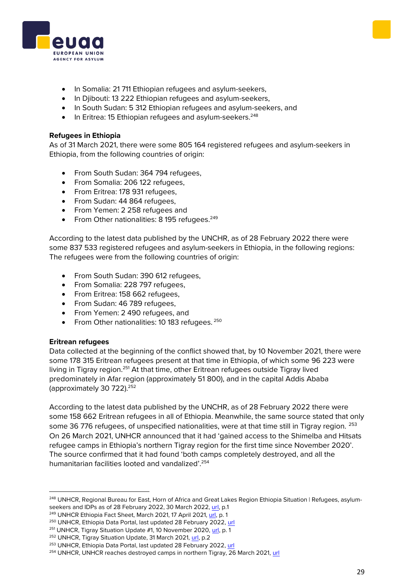

- In Somalia: 21 711 Ethiopian refugees and asylum-seekers,
- In Djibouti: 13 222 Ethiopian refugees and asylum-seekers,
- In South Sudan: 5 312 Ethiopian refugees and asylum-seekers, and
- In Eritrea: 15 Ethiopian refugees and asylum-seekers.<sup>248</sup>

#### **Refugees in Ethiopia**

As of 31 March 2021, there were some 805 164 registered refugees and asylum-seekers in Ethiopia, from the following countries of origin:

- From South Sudan: 364 794 refugees,
- From Somalia: 206 122 refugees,
- From Eritrea: 178 931 refugees,
- From Sudan: 44 864 refugees,
- From Yemen: 2 258 refugees and
- From Other nationalities:  $8195$  refugees.<sup>249</sup>

According to the latest data published by the UNCHR, as of 28 February 2022 there were some 837 533 registered refugees and asylum-seekers in Ethiopia, in the following regions: The refugees were from the following countries of origin:

- From South Sudan: 390 612 refugees,
- From Somalia: 228 797 refugees,
- From Eritrea: 158 662 refugees,
- From Sudan: 46 789 refugees,
- From Yemen: 2 490 refugees, and
- From Other nationalities: 10 183 refugees. <sup>250</sup>

#### **Eritrean refugees**

Data collected at the beginning of the conflict showed that, by 10 November 2021, there were some 178 315 Eritrean refugees present at that time in Ethiopia, of which some 96 223 were living in Tigray region.<sup>251</sup> At that time, other Eritrean refugees outside Tigray lived predominately in Afar region (approximately 51 800), and in the capital Addis Ababa (approximately 30 722).<sup>252</sup>

According to the latest data published by the UNCHR, as of 28 February 2022 there were some 158 662 Eritrean refugees in all of Ethiopia. Meanwhile, the same source stated that only some 36 776 refugees, of unspecified nationalities, were at that time still in Tigray region. <sup>253</sup> On 26 March 2021, UNHCR announced that it had 'gained access to the Shimelba and Hitsats refugee camps in Ethiopia's northern Tigray region for the first time since November 2020'. The source confirmed that it had found 'both camps completely destroyed, and all the humanitarian facilities looted and vandalized'.<sup>254</sup>

<sup>&</sup>lt;sup>248</sup> UNHCR, Regional Bureau for East, Horn of Africa and Great Lakes Region Ethiopia Situation | Refugees, asylum-seekers and IDPs as of 28 February 2022, 30 March 2022[, url,](https://data2.unhcr.org/en/documents/download/91708) p.1

<sup>&</sup>lt;sup>249</sup> UNHCR Ethiopia Fact Sheet, March 2021, 17 April 2021[, url,](https://reliefweb.int/sites/reliefweb.int/files/resources/UNHCR%20Fact%20Sheet%20Ethiopia-March%202021.pdf) p. 1

<sup>&</sup>lt;sup>250</sup> UNHCR, Ethiopia Data Portal, last updated 28 February 2022[, url](https://data2.unhcr.org/en/country/eth)

<sup>&</sup>lt;sup>251</sup> UNHCR, Tigray Situation Update #1, 10 November 2020, [url,](https://reliefweb.int/sites/reliefweb.int/files/resources/UNHCR%20Ethiopia%20Tigray%20Update%2010%20NovemberFINAL.pdf) p. 1

<sup>252</sup> UNHCR, Tigray Situation Update, 31 March 2021[, url,](https://reliefweb.int/sites/reliefweb.int/files/resources/UNHCR%20Ethiopia%20Tigray%20Update%20%237%20-31Mar21.pdf) p.2

<sup>&</sup>lt;sup>253</sup> UNHCR, Ethiopia Data Portal, last updated 28 February 2022, [url](https://data2.unhcr.org/en/country/eth)

<sup>&</sup>lt;sup>254</sup> UNHCR, UNHCR reaches destroyed camps in northern Tigray, 26 March 2021, [url](https://www.unhcr.org/news/briefing/2021/3/605da0564/unhcr-reaches-destroyed-camps-northern-tigray.html)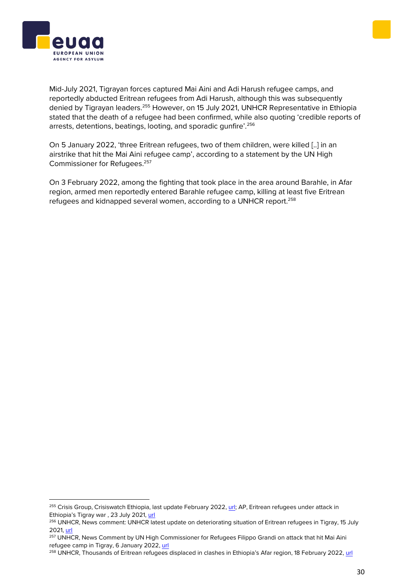



Mid-July 2021, Tigrayan forces captured Mai Aini and Adi Harush refugee camps, and reportedly abducted Eritrean refugees from Adi Harush, although this was subsequently denied by Tigrayan leaders.<sup>255</sup> However, on 15 July 2021, UNHCR Representative in Ethiopia stated that the death of a refugee had been confirmed, while also quoting 'credible reports of arrests, detentions, beatings, looting, and sporadic gunfire'.<sup>256</sup>

On 5 January 2022, 'three Eritrean refugees, two of them children, were killed [..] in an airstrike that hit the Mai Aini refugee camp', according to a statement by the UN High Commissioner for Refugees.<sup>257</sup>

On 3 February 2022, among the fighting that took place in the area around Barahle, in Afar region, armed men reportedly entered Barahle refugee camp, killing at least five Eritrean refugees and kidnapped several women, according to a UNHCR report.<sup>258</sup>

<sup>&</sup>lt;sup>255</sup> Crisis Group, Crisiswatch Ethiopia, last update February 2022[, url;](https://www.crisisgroup.org/crisiswatch/database?location%5B%5D=121&date_range=custom&from_month=03&from_year=2021&to_month=03&to_year=2022) AP, Eritrean refugees under attack in Ethiopia's Tigray war , 23 July 2021, [url](https://apnews.com/article/africa-united-nations-ethiopia-eritrea-edbf5a0a2b903745642d7c73d36b8b17)

<sup>&</sup>lt;sup>256</sup> UNHCR, News comment: UNHCR latest update on deteriorating situation of Eritrean refugees in Tigray, 15 July 2021[, url](https://www.unhcr.org/news/press/2021/7/60f062d04/news-comment-unhcr-latest-update-deteriorating-situation-eritrean-refugees.html)

<sup>&</sup>lt;sup>257</sup> UNHCR, News Comment by UN High Commissioner for Refugees Filippo Grandi on attack that hit Mai Aini refugee camp in Tigray, 6 January 2022, [url](https://www.unhcr.org/news/press/2022/1/61d73df24/news-comment-un-high-commissioner-refugees-filippo-grandi-attack-mai-aini.html)

<sup>258</sup> UNHCR, Thousands of Eritrean refugees displaced in clashes in Ethiopia's Afar region, 18 February 2022, [url](https://www.unhcr.org/news/briefing/2022/2/620f63574/thousands-eritrean-refugees-displaced-clashes-ethiopias-afar-region.html)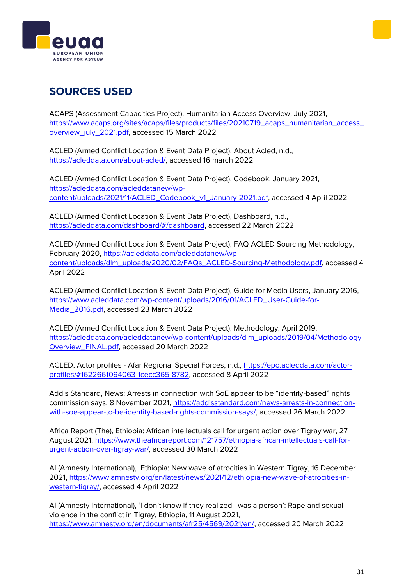



## **SOURCES USED**

ACAPS (Assessment Capacities Project), Humanitarian Access Overview, July 2021, [https://www.acaps.org/sites/acaps/files/products/files/20210719\\_acaps\\_humanitarian\\_access\\_](https://www.acaps.org/sites/acaps/files/products/files/20210719_acaps_humanitarian_access_overview_july_2021.pdf) [overview\\_july\\_2021.pdf,](https://www.acaps.org/sites/acaps/files/products/files/20210719_acaps_humanitarian_access_overview_july_2021.pdf) accessed 15 March 2022

ACLED (Armed Conflict Location & Event Data Project), About Acled, n.d., [https://acleddata.com/about-acled/,](https://acleddata.com/about-acled/) accessed 16 march 2022

ACLED (Armed Conflict Location & Event Data Project), Codebook, January 2021, [https://acleddata.com/acleddatanew/wp](https://acleddata.com/acleddatanew/wp-content/uploads/2021/11/ACLED_Codebook_v1_January-2021.pdf)[content/uploads/2021/11/ACLED\\_Codebook\\_v1\\_January-2021.pdf,](https://acleddata.com/acleddatanew/wp-content/uploads/2021/11/ACLED_Codebook_v1_January-2021.pdf) accessed 4 April 2022

ACLED (Armed Conflict Location & Event Data Project), Dashboard, n.d., [https://acleddata.com/dashboard/#/dashboard,](https://acleddata.com/dashboard/#/dashboard) accessed 22 March 2022

ACLED (Armed Conflict Location & Event Data Project), FAQ ACLED Sourcing Methodology, February 2020, [https://acleddata.com/acleddatanew/wp](https://acleddata.com/acleddatanew/wp-content/uploads/dlm_uploads/2020/02/FAQs_ACLED-Sourcing-Methodology.pdf)[content/uploads/dlm\\_uploads/2020/02/FAQs\\_ACLED-Sourcing-Methodology.pdf,](https://acleddata.com/acleddatanew/wp-content/uploads/dlm_uploads/2020/02/FAQs_ACLED-Sourcing-Methodology.pdf) accessed 4 April 2022

ACLED (Armed Conflict Location & Event Data Project), Guide for Media Users, January 2016, [https://www.acleddata.com/wp-content/uploads/2016/01/ACLED\\_User-Guide-for-](https://www.acleddata.com/wp-content/uploads/2016/01/ACLED_User-Guide-for-Media_2016.pdf)[Media\\_2016.pdf,](https://www.acleddata.com/wp-content/uploads/2016/01/ACLED_User-Guide-for-Media_2016.pdf) accessed 23 March 2022

ACLED (Armed Conflict Location & Event Data Project), Methodology, April 2019, [https://acleddata.com/acleddatanew/wp-content/uploads/dlm\\_uploads/2019/04/Methodology-](https://acleddata.com/acleddatanew/wp-content/uploads/dlm_uploads/2019/04/Methodology-Overview_FINAL.pdf)[Overview\\_FINAL.pdf,](https://acleddata.com/acleddatanew/wp-content/uploads/dlm_uploads/2019/04/Methodology-Overview_FINAL.pdf) accessed 20 March 2022

ACLED, Actor profiles - Afar Regional Special Forces, n.d., [https://epo.acleddata.com/actor](https://epo.acleddata.com/actor-profiles/#1622661094063-1cecc365-8782)[profiles/#1622661094063-1cecc365-8782,](https://epo.acleddata.com/actor-profiles/#1622661094063-1cecc365-8782) accessed 8 April 2022

Addis Standard, News: Arrests in connection with SoE appear to be "identity-based" rights commission says, 8 November 2021, [https://addisstandard.com/news-arrests-in-connection](https://addisstandard.com/news-arrests-in-connection-with-soe-appear-to-be-identity-based-rights-commission-says/)[with-soe-appear-to-be-identity-based-rights-commission-says/,](https://addisstandard.com/news-arrests-in-connection-with-soe-appear-to-be-identity-based-rights-commission-says/) accessed 26 March 2022

Africa Report (The), Ethiopia: African intellectuals call for urgent action over Tigray war, 27 August 2021, [https://www.theafricareport.com/121757/ethiopia-african-intellectuals-call-for](https://www.theafricareport.com/121757/ethiopia-african-intellectuals-call-for-urgent-action-over-tigray-war/)[urgent-action-over-tigray-war/,](https://www.theafricareport.com/121757/ethiopia-african-intellectuals-call-for-urgent-action-over-tigray-war/) accessed 30 March 2022

AI (Amnesty International), Ethiopia: New wave of atrocities in Western Tigray, 16 December 2021, [https://www.amnesty.org/en/latest/news/2021/12/ethiopia-new-wave-of-atrocities-in](https://www.amnesty.org/en/latest/news/2021/12/ethiopia-new-wave-of-atrocities-in-western-tigray/)[western-tigray/,](https://www.amnesty.org/en/latest/news/2021/12/ethiopia-new-wave-of-atrocities-in-western-tigray/) accessed 4 April 2022

AI (Amnesty International), 'I don't know if they realized I was a person': Rape and sexual violence in the conflict in Tigray, Ethiopia, 11 August 2021, [https://www.amnesty.org/en/documents/afr25/4569/2021/en/,](https://www.amnesty.org/en/documents/afr25/4569/2021/en/) accessed 20 March 2022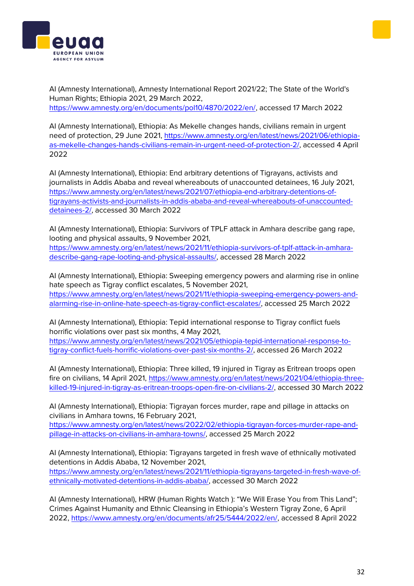



AI (Amnesty International), Amnesty International Report 2021/22; The State of the World's Human Rights; Ethiopia 2021, 29 March 2022, [https://www.amnesty.org/en/documents/pol10/4870/2022/en/,](https://www.amnesty.org/en/documents/pol10/4870/2022/en/) accessed 17 March 2022

AI (Amnesty International), Ethiopia: As Mekelle changes hands, civilians remain in urgent need of protection, 29 June 2021, [https://www.amnesty.org/en/latest/news/2021/06/ethiopia](https://www.amnesty.org/en/latest/news/2021/06/ethiopia-as-mekelle-changes-hands-civilians-remain-in-urgent-need-of-protection-2/)[as-mekelle-changes-hands-civilians-remain-in-urgent-need-of-protection-2/,](https://www.amnesty.org/en/latest/news/2021/06/ethiopia-as-mekelle-changes-hands-civilians-remain-in-urgent-need-of-protection-2/) accessed 4 April 2022

AI (Amnesty International), Ethiopia: End arbitrary detentions of Tigrayans, activists and journalists in Addis Ababa and reveal whereabouts of unaccounted detainees, 16 July 2021, [https://www.amnesty.org/en/latest/news/2021/07/ethiopia-end-arbitrary-detentions-of](https://www.amnesty.org/en/latest/news/2021/07/ethiopia-end-arbitrary-detentions-of-tigrayans-activists-and-journalists-in-addis-ababa-and-reveal-whereabouts-of-unaccounted-detainees-2/)[tigrayans-activists-and-journalists-in-addis-ababa-and-reveal-whereabouts-of-unaccounted](https://www.amnesty.org/en/latest/news/2021/07/ethiopia-end-arbitrary-detentions-of-tigrayans-activists-and-journalists-in-addis-ababa-and-reveal-whereabouts-of-unaccounted-detainees-2/)[detainees-2/,](https://www.amnesty.org/en/latest/news/2021/07/ethiopia-end-arbitrary-detentions-of-tigrayans-activists-and-journalists-in-addis-ababa-and-reveal-whereabouts-of-unaccounted-detainees-2/) accessed 30 March 2022

AI (Amnesty International), Ethiopia: Survivors of TPLF attack in Amhara describe gang rape, looting and physical assaults, 9 November 2021,

[https://www.amnesty.org/en/latest/news/2021/11/ethiopia-survivors-of-tplf-attack-in-amhara](https://www.amnesty.org/en/latest/news/2021/11/ethiopia-survivors-of-tplf-attack-in-amhara-describe-gang-rape-looting-and-physical-assaults/)[describe-gang-rape-looting-and-physical-assaults/,](https://www.amnesty.org/en/latest/news/2021/11/ethiopia-survivors-of-tplf-attack-in-amhara-describe-gang-rape-looting-and-physical-assaults/) accessed 28 March 2022

AI (Amnesty International), Ethiopia: Sweeping emergency powers and alarming rise in online hate speech as Tigray conflict escalates, 5 November 2021, [https://www.amnesty.org/en/latest/news/2021/11/ethiopia-sweeping-emergency-powers-and](https://www.amnesty.org/en/latest/news/2021/11/ethiopia-sweeping-emergency-powers-and-alarming-rise-in-online-hate-speech-as-tigray-conflict-escalates/)[alarming-rise-in-online-hate-speech-as-tigray-conflict-escalates/,](https://www.amnesty.org/en/latest/news/2021/11/ethiopia-sweeping-emergency-powers-and-alarming-rise-in-online-hate-speech-as-tigray-conflict-escalates/) accessed 25 March 2022

AI (Amnesty International), Ethiopia: Tepid international response to Tigray conflict fuels horrific violations over past six months, 4 May 2021,

[https://www.amnesty.org/en/latest/news/2021/05/ethiopia-tepid-international-response-to](https://www.amnesty.org/en/latest/news/2021/05/ethiopia-tepid-international-response-to-tigray-conflict-fuels-horrific-violations-over-past-six-months-2/)[tigray-conflict-fuels-horrific-violations-over-past-six-months-2/,](https://www.amnesty.org/en/latest/news/2021/05/ethiopia-tepid-international-response-to-tigray-conflict-fuels-horrific-violations-over-past-six-months-2/) accessed 26 March 2022

AI (Amnesty International), Ethiopia: Three killed, 19 injured in Tigray as Eritrean troops open fire on civilians, 14 April 2021, [https://www.amnesty.org/en/latest/news/2021/04/ethiopia-three](https://www.amnesty.org/en/latest/news/2021/04/ethiopia-three-killed-19-injured-in-tigray-as-eritrean-troops-open-fire-on-civilians-2/)[killed-19-injured-in-tigray-as-eritrean-troops-open-fire-on-civilians-2/,](https://www.amnesty.org/en/latest/news/2021/04/ethiopia-three-killed-19-injured-in-tigray-as-eritrean-troops-open-fire-on-civilians-2/) accessed 30 March 2022

AI (Amnesty International), Ethiopia: Tigrayan forces murder, rape and pillage in attacks on civilians in Amhara towns, 16 February 2021,

[https://www.amnesty.org/en/latest/news/2022/02/ethiopia-tigrayan-forces-murder-rape-and](https://www.amnesty.org/en/latest/news/2022/02/ethiopia-tigrayan-forces-murder-rape-and-pillage-in-attacks-on-civilians-in-amhara-towns/)[pillage-in-attacks-on-civilians-in-amhara-towns/,](https://www.amnesty.org/en/latest/news/2022/02/ethiopia-tigrayan-forces-murder-rape-and-pillage-in-attacks-on-civilians-in-amhara-towns/) accessed 25 March 2022

AI (Amnesty International), Ethiopia: Tigrayans targeted in fresh wave of ethnically motivated detentions in Addis Ababa, 12 November 2021, [https://www.amnesty.org/en/latest/news/2021/11/ethiopia-tigrayans-targeted-in-fresh-wave-of](https://www.amnesty.org/en/latest/news/2021/11/ethiopia-tigrayans-targeted-in-fresh-wave-of-ethnically-motivated-detentions-in-addis-ababa/)[ethnically-motivated-detentions-in-addis-ababa/,](https://www.amnesty.org/en/latest/news/2021/11/ethiopia-tigrayans-targeted-in-fresh-wave-of-ethnically-motivated-detentions-in-addis-ababa/) accessed 30 March 2022

AI (Amnesty International), HRW (Human Rights Watch ): "We Will Erase You from This Land"; Crimes Against Humanity and Ethnic Cleansing in Ethiopia's Western Tigray Zone, 6 April 2022, [https://www.amnesty.org/en/documents/afr25/5444/2022/en/,](https://www.amnesty.org/en/documents/afr25/5444/2022/en/) accessed 8 April 2022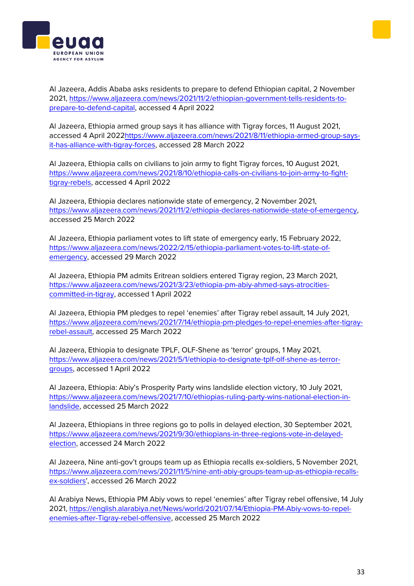Al Jazeera, Addis Ababa asks residents to prepare to defend Ethiopian capital, 2 November 2021, [https://www.aljazeera.com/news/2021/11/2/ethiopian-government-tells-residents-to](https://www.aljazeera.com/news/2021/11/2/ethiopian-government-tells-residents-to-prepare-to-defend-capital)[prepare-to-defend-capital,](https://www.aljazeera.com/news/2021/11/2/ethiopian-government-tells-residents-to-prepare-to-defend-capital) accessed 4 April 2022

Al Jazeera, Ethiopia armed group says it has alliance with Tigray forces, 11 August 2021, accessed 4 April 202[2https://www.aljazeera.com/news/2021/8/11/ethiopia-armed-group-says](https://www.aljazeera.com/news/2021/8/11/ethiopia-armed-group-says-it-has-alliance-with-tigray-forces)[it-has-alliance-with-tigray-forces,](https://www.aljazeera.com/news/2021/8/11/ethiopia-armed-group-says-it-has-alliance-with-tigray-forces) accessed 28 March 2022

Al Jazeera, Ethiopia calls on civilians to join army to fight Tigray forces, 10 August 2021, [https://www.aljazeera.com/news/2021/8/10/ethiopia-calls-on-civilians-to-join-army-to-fight](https://www.aljazeera.com/news/2021/8/10/ethiopia-calls-on-civilians-to-join-army-to-fight-tigray-rebels)[tigray-rebels,](https://www.aljazeera.com/news/2021/8/10/ethiopia-calls-on-civilians-to-join-army-to-fight-tigray-rebels) accessed 4 April 2022

Al Jazeera, Ethiopia declares nationwide state of emergency, 2 November 2021, [https://www.aljazeera.com/news/2021/11/2/ethiopia-declares-nationwide-state-of-emergency,](https://www.aljazeera.com/news/2021/11/2/ethiopia-declares-nationwide-state-of-emergency) accessed 25 March 2022

Al Jazeera, Ethiopia parliament votes to lift state of emergency early, 15 February 2022, [https://www.aljazeera.com/news/2022/2/15/ethiopia-parliament-votes-to-lift-state-of](https://www.aljazeera.com/news/2022/2/15/ethiopia-parliament-votes-to-lift-state-of-emergency)[emergency,](https://www.aljazeera.com/news/2022/2/15/ethiopia-parliament-votes-to-lift-state-of-emergency) accessed 29 March 2022

Al Jazeera, Ethiopia PM admits Eritrean soldiers entered Tigray region, 23 March 2021, [https://www.aljazeera.com/news/2021/3/23/ethiopia-pm-abiy-ahmed-says-atrocities](https://www.aljazeera.com/news/2021/3/23/ethiopia-pm-abiy-ahmed-says-atrocities-committed-in-tigray)[committed-in-tigray,](https://www.aljazeera.com/news/2021/3/23/ethiopia-pm-abiy-ahmed-says-atrocities-committed-in-tigray) accessed 1 April 2022

Al Jazeera, Ethiopia PM pledges to repel 'enemies' after Tigray rebel assault, 14 July 2021, [https://www.aljazeera.com/news/2021/7/14/ethiopia-pm-pledges-to-repel-enemies-after-tigray](https://www.aljazeera.com/news/2021/7/14/ethiopia-pm-pledges-to-repel-enemies-after-tigray-rebel-assault)[rebel-assault,](https://www.aljazeera.com/news/2021/7/14/ethiopia-pm-pledges-to-repel-enemies-after-tigray-rebel-assault) accessed 25 March 2022

Al Jazeera, Ethiopia to designate TPLF, OLF-Shene as 'terror' groups, 1 May 2021, [https://www.aljazeera.com/news/2021/5/1/ethiopia-to-designate-tplf-olf-shene-as-terror](https://www.aljazeera.com/news/2021/5/1/ethiopia-to-designate-tplf-olf-shene-as-terror-groups)[groups,](https://www.aljazeera.com/news/2021/5/1/ethiopia-to-designate-tplf-olf-shene-as-terror-groups) accessed 1 April 2022

Al Jazeera, Ethiopia: Abiy's Prosperity Party wins landslide election victory, 10 July 2021, [https://www.aljazeera.com/news/2021/7/10/ethiopias-ruling-party-wins-national-election-in](https://www.aljazeera.com/news/2021/7/10/ethiopias-ruling-party-wins-national-election-in-landslide)[landslide,](https://www.aljazeera.com/news/2021/7/10/ethiopias-ruling-party-wins-national-election-in-landslide) accessed 25 March 2022

Al Jazeera, Ethiopians in three regions go to polls in delayed election, 30 September 2021, [https://www.aljazeera.com/news/2021/9/30/ethiopians-in-three-regions-vote-in-delayed](https://www.aljazeera.com/news/2021/9/30/ethiopians-in-three-regions-vote-in-delayed-election)[election,](https://www.aljazeera.com/news/2021/9/30/ethiopians-in-three-regions-vote-in-delayed-election) accessed 24 March 2022

Al Jazeera, Nine anti-gov't groups team up as Ethiopia recalls ex-soldiers, 5 November 2021, [https://www.aljazeera.com/news/2021/11/5/nine-anti-abiy-groups-team-up-as-ethiopia-recalls](https://www.aljazeera.com/news/2021/11/5/nine-anti-abiy-groups-team-up-as-ethiopia-recalls-ex-soldiers)[ex-soldiers',](https://www.aljazeera.com/news/2021/11/5/nine-anti-abiy-groups-team-up-as-ethiopia-recalls-ex-soldiers) accessed 26 March 2022

Al Arabiya News, Ethiopia PM Abiy vows to repel 'enemies' after Tigray rebel offensive, 14 July 2021, [https://english.alarabiya.net/News/world/2021/07/14/Ethiopia-PM-Abiy-vows-to-repel](https://english.alarabiya.net/News/world/2021/07/14/Ethiopia-PM-Abiy-vows-to-repel-enemies-after-Tigray-rebel-offensive)[enemies-after-Tigray-rebel-offensive,](https://english.alarabiya.net/News/world/2021/07/14/Ethiopia-PM-Abiy-vows-to-repel-enemies-after-Tigray-rebel-offensive) accessed 25 March 2022



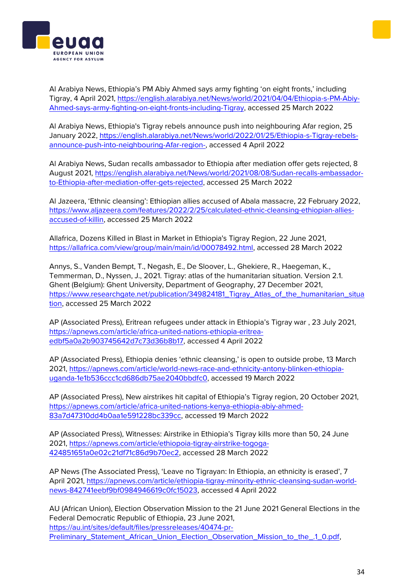Al Arabiya News, Ethiopia's PM Abiy Ahmed says army fighting 'on eight fronts,' including Tigray, 4 April 2021, [https://english.alarabiya.net/News/world/2021/04/04/Ethiopia-s-PM-Abiy-](https://english.alarabiya.net/News/world/2021/04/04/Ethiopia-s-PM-Abiy-Ahmed-says-army-fighting-on-eight-fronts-including-Tigray)[Ahmed-says-army-fighting-on-eight-fronts-including-Tigray,](https://english.alarabiya.net/News/world/2021/04/04/Ethiopia-s-PM-Abiy-Ahmed-says-army-fighting-on-eight-fronts-including-Tigray) accessed 25 March 2022

Al Arabiya News, Ethiopia's Tigray rebels announce push into neighbouring Afar region, 25 January 2022, [https://english.alarabiya.net/News/world/2022/01/25/Ethiopia-s-Tigray-rebels](https://english.alarabiya.net/News/world/2022/01/25/Ethiopia-s-Tigray-rebels-announce-push-into-neighbouring-Afar-region-)[announce-push-into-neighbouring-Afar-region-,](https://english.alarabiya.net/News/world/2022/01/25/Ethiopia-s-Tigray-rebels-announce-push-into-neighbouring-Afar-region-) accessed 4 April 2022

Al Arabiya News, Sudan recalls ambassador to Ethiopia after mediation offer gets rejected, 8 August 2021, [https://english.alarabiya.net/News/world/2021/08/08/Sudan-recalls-ambassador](https://english.alarabiya.net/News/world/2021/08/08/Sudan-recalls-ambassador-to-Ethiopia-after-mediation-offer-gets-rejected)[to-Ethiopia-after-mediation-offer-gets-rejected,](https://english.alarabiya.net/News/world/2021/08/08/Sudan-recalls-ambassador-to-Ethiopia-after-mediation-offer-gets-rejected) accessed 25 March 2022

Al Jazeera, 'Ethnic cleansing': Ethiopian allies accused of Abala massacre, 22 February 2022, [https://www.aljazeera.com/features/2022/2/25/calculated-ethnic-cleansing-ethiopian-allies](https://www.aljazeera.com/features/2022/2/25/calculated-ethnic-cleansing-ethiopian-allies-accused-of-killin)[accused-of-killin,](https://www.aljazeera.com/features/2022/2/25/calculated-ethnic-cleansing-ethiopian-allies-accused-of-killin) accessed 25 March 2022

Allafrica, Dozens Killed in Blast in Market in Ethiopia's Tigray Region, 22 June 2021, [https://allafrica.com/view/group/main/main/id/00078492.html,](https://allafrica.com/view/group/main/main/id/00078492.html) accessed 28 March 2022

Annys, S., Vanden Bempt, T., Negash, E., De Sloover, L., Ghekiere, R., Haegeman, K., Temmerman, D., Nyssen, J., 2021. Tigray: atlas of the humanitarian situation. Version 2.1. Ghent (Belgium): Ghent University, Department of Geography, 27 December 2021, [https://www.researchgate.net/publication/349824181\\_Tigray\\_Atlas\\_of\\_the\\_humanitarian\\_situa](https://www.researchgate.net/publication/349824181_Tigray_Atlas_of_the_humanitarian_situation) [tion,](https://www.researchgate.net/publication/349824181_Tigray_Atlas_of_the_humanitarian_situation) accessed 25 March 2022

AP (Associated Press), Eritrean refugees under attack in Ethiopia's Tigray war , 23 July 2021, [https://apnews.com/article/africa-united-nations-ethiopia-eritrea](https://apnews.com/article/africa-united-nations-ethiopia-eritrea-edbf5a0a2b903745642d7c73d36b8b17)[edbf5a0a2b903745642d7c73d36b8b17,](https://apnews.com/article/africa-united-nations-ethiopia-eritrea-edbf5a0a2b903745642d7c73d36b8b17) accessed 4 April 2022

AP (Associated Press), Ethiopia denies 'ethnic cleansing,' is open to outside probe, 13 March 2021, [https://apnews.com/article/world-news-race-and-ethnicity-antony-blinken-ethiopia](https://apnews.com/article/world-news-race-and-ethnicity-antony-blinken-ethiopia-uganda-1e1b536ccc1cd686db75ae2040bbdfc0)[uganda-1e1b536ccc1cd686db75ae2040bbdfc0,](https://apnews.com/article/world-news-race-and-ethnicity-antony-blinken-ethiopia-uganda-1e1b536ccc1cd686db75ae2040bbdfc0) accessed 19 March 2022

AP (Associated Press), New airstrikes hit capital of Ethiopia's Tigray region, 20 October 2021, [https://apnews.com/article/africa-united-nations-kenya-ethiopia-abiy-ahmed-](https://apnews.com/article/africa-united-nations-kenya-ethiopia-abiy-ahmed-83a7d47310dd4b0aa1e591228bc339cc)[83a7d47310dd4b0aa1e591228bc339cc,](https://apnews.com/article/africa-united-nations-kenya-ethiopia-abiy-ahmed-83a7d47310dd4b0aa1e591228bc339cc) accessed 19 March 2022

AP (Associated Press), Witnesses: Airstrike in Ethiopia's Tigray kills more than 50, 24 June 2021, [https://apnews.com/article/ethiopoia-tigray-airstrike-togoga-](https://apnews.com/article/ethiopoia-tigray-airstrike-togoga-424851651a0e02c21df71c86d9b70ec2)[424851651a0e02c21df71c86d9b70ec2,](https://apnews.com/article/ethiopoia-tigray-airstrike-togoga-424851651a0e02c21df71c86d9b70ec2) accessed 28 March 2022

AP News (The Associated Press), 'Leave no Tigrayan: In Ethiopia, an ethnicity is erased', 7 April 2021, [https://apnews.com/article/ethiopia-tigray-minority-ethnic-cleansing-sudan-world](https://apnews.com/article/ethiopia-tigray-minority-ethnic-cleansing-sudan-world-news-842741eebf9bf0984946619c0fc15023)[news-842741eebf9bf0984946619c0fc15023,](https://apnews.com/article/ethiopia-tigray-minority-ethnic-cleansing-sudan-world-news-842741eebf9bf0984946619c0fc15023) accessed 4 April 2022

AU (African Union), Election Observation Mission to the 21 June 2021 General Elections in the Federal Democratic Republic of Ethiopia, 23 June 2021, [https://au.int/sites/default/files/pressreleases/40474-pr-](https://au.int/sites/default/files/pressreleases/40474-pr-Preliminary_Statement_African_Union_Election_Observation_Mission_to_the_.1_0.pdf)[Preliminary\\_Statement\\_African\\_Union\\_Election\\_Observation\\_Mission\\_to\\_the\\_.1\\_0.pdf,](https://au.int/sites/default/files/pressreleases/40474-pr-Preliminary_Statement_African_Union_Election_Observation_Mission_to_the_.1_0.pdf)



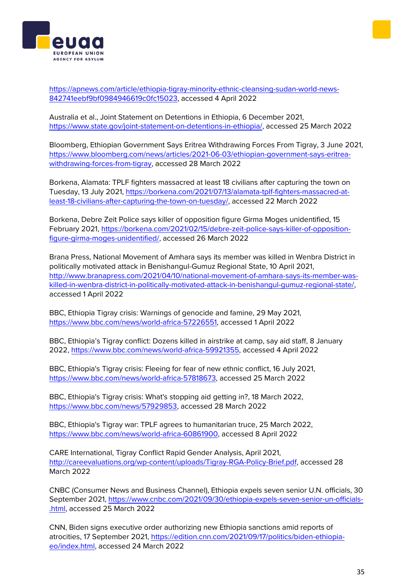[https://apnews.com/article/ethiopia-tigray-minority-ethnic-cleansing-sudan-world-news-](https://apnews.com/article/ethiopia-tigray-minority-ethnic-cleansing-sudan-world-news-842741eebf9bf0984946619c0fc15023)[842741eebf9bf0984946619c0fc15023,](https://apnews.com/article/ethiopia-tigray-minority-ethnic-cleansing-sudan-world-news-842741eebf9bf0984946619c0fc15023) accessed 4 April 2022

Australia et al., Joint Statement on Detentions in Ethiopia, 6 December 2021, [https://www.state.gov/joint-statement-on-detentions-in-ethiopia/,](https://www.state.gov/joint-statement-on-detentions-in-ethiopia/) accessed 25 March 2022

Bloomberg, Ethiopian Government Says Eritrea Withdrawing Forces From Tigray, 3 June 2021, [https://www.bloomberg.com/news/articles/2021-06-03/ethiopian-government-says-eritrea](https://www.bloomberg.com/news/articles/2021-06-03/ethiopian-government-says-eritrea-withdrawing-forces-from-tigray)[withdrawing-forces-from-tigray,](https://www.bloomberg.com/news/articles/2021-06-03/ethiopian-government-says-eritrea-withdrawing-forces-from-tigray) accessed 28 March 2022

Borkena, Alamata: TPLF fighters massacred at least 18 civilians after capturing the town on Tuesday, 13 July 2021, [https://borkena.com/2021/07/13/alamata-tplf-fighters-massacred-at](https://borkena.com/2021/07/13/alamata-tplf-fighters-massacred-at-least-18-civilians-after-capturing-the-town-on-tuesday/)[least-18-civilians-after-capturing-the-town-on-tuesday/,](https://borkena.com/2021/07/13/alamata-tplf-fighters-massacred-at-least-18-civilians-after-capturing-the-town-on-tuesday/) accessed 22 March 2022

Borkena, Debre Zeit Police says killer of opposition figure Girma Moges unidentified, 15 February 2021, [https://borkena.com/2021/02/15/debre-zeit-police-says-killer-of-opposition](https://borkena.com/2021/02/15/debre-zeit-police-says-killer-of-opposition-figure-girma-moges-unidentified/)[figure-girma-moges-unidentified/,](https://borkena.com/2021/02/15/debre-zeit-police-says-killer-of-opposition-figure-girma-moges-unidentified/) accessed 26 March 2022

Brana Press, National Movement of Amhara says its member was killed in Wenbra District in politically motivated attack in Benishangul-Gumuz Regional State, 10 April 2021, [http://www.branapress.com/2021/04/10/national-movement-of-amhara-says-its-member-was](http://www.branapress.com/2021/04/10/national-movement-of-amhara-says-its-member-was-killed-in-wenbra-district-in-politically-motivated-attack-in-benishangul-gumuz-regional-state/)[killed-in-wenbra-district-in-politically-motivated-attack-in-benishangul-gumuz-regional-state/,](http://www.branapress.com/2021/04/10/national-movement-of-amhara-says-its-member-was-killed-in-wenbra-district-in-politically-motivated-attack-in-benishangul-gumuz-regional-state/) accessed 1 April 2022

BBC, Ethiopia Tigray crisis: Warnings of genocide and famine, 29 May 2021, [https://www.bbc.com/news/world-africa-57226551,](https://www.bbc.com/news/world-africa-57226551) accessed 1 April 2022

BBC, Ethiopia's Tigray conflict: Dozens killed in airstrike at camp, say aid staff, 8 January 2022, [https://www.bbc.com/news/world-africa-59921355,](https://www.bbc.com/news/world-africa-59921355) accessed 4 April 2022

BBC, Ethiopia's Tigray crisis: Fleeing for fear of new ethnic conflict, 16 July 2021, [https://www.bbc.com/news/world-africa-57818673,](https://www.bbc.com/news/world-africa-57818673) accessed 25 March 2022

BBC, Ethiopia's Tigray crisis: What's stopping aid getting in?, 18 March 2022, [https://www.bbc.com/news/57929853,](https://www.bbc.com/news/57929853) accessed 28 March 2022

BBC, Ethiopia's Tigray war: TPLF agrees to humanitarian truce, 25 March 2022, [https://www.bbc.com/news/world-africa-60861900,](https://www.bbc.com/news/world-africa-60861900) accessed 8 April 2022

CARE International, Tigray Conflict Rapid Gender Analysis, April 2021, [http://careevaluations.org/wp-content/uploads/Tigray-RGA-Policy-Brief.pdf,](http://careevaluations.org/wp-content/uploads/Tigray-RGA-Policy-Brief.pdf) accessed 28 March 2022

CNBC (Consumer News and Business Channel), Ethiopia expels seven senior U.N. officials, 30 September 2021, [https://www.cnbc.com/2021/09/30/ethiopia-expels-seven-senior-un-officials-](https://www.cnbc.com/2021/09/30/ethiopia-expels-seven-senior-un-officials-.html) [.html,](https://www.cnbc.com/2021/09/30/ethiopia-expels-seven-senior-un-officials-.html) accessed 25 March 2022

CNN, Biden signs executive order authorizing new Ethiopia sanctions amid reports of atrocities, 17 September 2021, [https://edition.cnn.com/2021/09/17/politics/biden-ethiopia](https://edition.cnn.com/2021/09/17/politics/biden-ethiopia-eo/index.html)[eo/index.html,](https://edition.cnn.com/2021/09/17/politics/biden-ethiopia-eo/index.html) accessed 24 March 2022



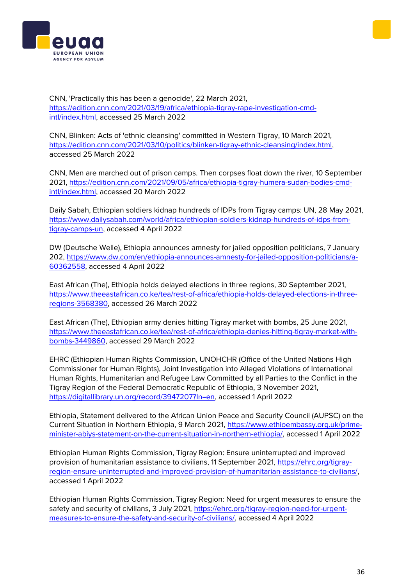



CNN, 'Practically this has been a genocide', 22 March 2021, [https://edition.cnn.com/2021/03/19/africa/ethiopia-tigray-rape-investigation-cmd](https://edition.cnn.com/2021/03/19/africa/ethiopia-tigray-rape-investigation-cmd-intl/index.html)[intl/index.html,](https://edition.cnn.com/2021/03/19/africa/ethiopia-tigray-rape-investigation-cmd-intl/index.html) accessed 25 March 2022

CNN, Blinken: Acts of 'ethnic cleansing' committed in Western Tigray, 10 March 2021, [https://edition.cnn.com/2021/03/10/politics/blinken-tigray-ethnic-cleansing/index.html,](https://edition.cnn.com/2021/03/10/politics/blinken-tigray-ethnic-cleansing/index.html)  accessed 25 March 2022

CNN, Men are marched out of prison camps. Then corpses float down the river, 10 September 2021, [https://edition.cnn.com/2021/09/05/africa/ethiopia-tigray-humera-sudan-bodies-cmd](https://edition.cnn.com/2021/09/05/africa/ethiopia-tigray-humera-sudan-bodies-cmd-intl/index.html)[intl/index.html,](https://edition.cnn.com/2021/09/05/africa/ethiopia-tigray-humera-sudan-bodies-cmd-intl/index.html) accessed 20 March 2022

Daily Sabah, Ethiopian soldiers kidnap hundreds of IDPs from Tigray camps: UN, 28 May 2021, [https://www.dailysabah.com/world/africa/ethiopian-soldiers-kidnap-hundreds-of-idps-from](https://www.dailysabah.com/world/africa/ethiopian-soldiers-kidnap-hundreds-of-idps-from-tigray-camps-un)[tigray-camps-un,](https://www.dailysabah.com/world/africa/ethiopian-soldiers-kidnap-hundreds-of-idps-from-tigray-camps-un) accessed 4 April 2022

DW (Deutsche Welle), Ethiopia announces amnesty for jailed opposition politicians, 7 January 202, [https://www.dw.com/en/ethiopia-announces-amnesty-for-jailed-opposition-politicians/a-](https://www.dw.com/en/ethiopia-announces-amnesty-for-jailed-opposition-politicians/a-60362558)[60362558,](https://www.dw.com/en/ethiopia-announces-amnesty-for-jailed-opposition-politicians/a-60362558) accessed 4 April 2022

East African (The), Ethiopia holds delayed elections in three regions, 30 September 2021, [https://www.theeastafrican.co.ke/tea/rest-of-africa/ethiopia-holds-delayed-elections-in-three](https://www.theeastafrican.co.ke/tea/rest-of-africa/ethiopia-holds-delayed-elections-in-three-regions-3568380)[regions-3568380,](https://www.theeastafrican.co.ke/tea/rest-of-africa/ethiopia-holds-delayed-elections-in-three-regions-3568380) accessed 26 March 2022

East African (The), Ethiopian army denies hitting Tigray market with bombs, 25 June 2021, [https://www.theeastafrican.co.ke/tea/rest-of-africa/ethiopia-denies-hitting-tigray-market-with](https://www.theeastafrican.co.ke/tea/rest-of-africa/ethiopia-denies-hitting-tigray-market-with-bombs-3449860)[bombs-3449860,](https://www.theeastafrican.co.ke/tea/rest-of-africa/ethiopia-denies-hitting-tigray-market-with-bombs-3449860) accessed 29 March 2022

EHRC (Ethiopian Human Rights Commission, UNOHCHR (Office of the United Nations High Commissioner for Human Rights), Joint Investigation into Alleged Violations of International Human Rights, Humanitarian and Refugee Law Committed by all Parties to the Conflict in the Tigray Region of the Federal Democratic Republic of Ethiopia, 3 November 2021, [https://digitallibrary.un.org/record/3947207?ln=en,](https://digitallibrary.un.org/record/3947207?ln=en) accessed 1 April 2022

Ethiopia, Statement delivered to the African Union Peace and Security Council (AUPSC) on the Current Situation in Northern Ethiopia, 9 March 2021, [https://www.ethioembassy.org.uk/prime](https://www.ethioembassy.org.uk/prime-minister-abiys-statement-on-the-current-situation-in-northern-ethiopia/)[minister-abiys-statement-on-the-current-situation-in-northern-ethiopia/,](https://www.ethioembassy.org.uk/prime-minister-abiys-statement-on-the-current-situation-in-northern-ethiopia/) accessed 1 April 2022

Ethiopian Human Rights Commission, Tigray Region: Ensure uninterrupted and improved provision of humanitarian assistance to civilians, 11 September 2021, [https://ehrc.org/tigray](https://ehrc.org/tigray-region-ensure-uninterrupted-and-improved-provision-of-humanitarian-assistance-to-civilians/)[region-ensure-uninterrupted-and-improved-provision-of-humanitarian-assistance-to-civilians/,](https://ehrc.org/tigray-region-ensure-uninterrupted-and-improved-provision-of-humanitarian-assistance-to-civilians/) accessed 1 April 2022

Ethiopian Human Rights Commission, Tigray Region: Need for urgent measures to ensure the safety and security of civilians, 3 July 2021, [https://ehrc.org/tigray-region-need-for-urgent](https://ehrc.org/tigray-region-need-for-urgent-measures-to-ensure-the-safety-and-security-of-civilians/)[measures-to-ensure-the-safety-and-security-of-civilians/,](https://ehrc.org/tigray-region-need-for-urgent-measures-to-ensure-the-safety-and-security-of-civilians/) accessed 4 April 2022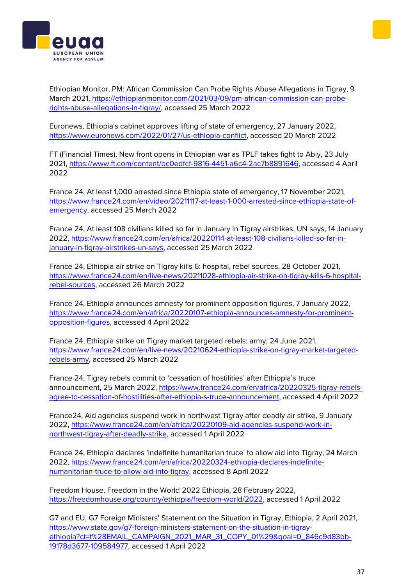



Ethiopian Monitor, PM: African Commission Can Probe Rights Abuse Allegations in Tigray, 9 March 2021, [https://ethiopianmonitor.com/2021/03/09/pm-african-commission-can-probe](https://ethiopianmonitor.com/2021/03/09/pm-african-commission-can-probe-rights-abuse-allegations-in-tigray/)[rights-abuse-allegations-in-tigray/,](https://ethiopianmonitor.com/2021/03/09/pm-african-commission-can-probe-rights-abuse-allegations-in-tigray/) accessed 25 March 2022

Euronews, Ethiopia's cabinet approves lifting of state of emergency, 27 January 2022, [https://www.euronews.com/2022/01/27/us-ethiopia-conflict,](https://www.euronews.com/2022/01/27/us-ethiopia-conflict) accessed 20 March 2022

FT (Financial Times), New front opens in Ethiopian war as TPLF takes fight to Abiy, 23 July 2021, [https://www.ft.com/content/bc0edfcf-9816-4451-a6c4-2ac7b8891646,](https://www.ft.com/content/bc0edfcf-9816-4451-a6c4-2ac7b8891646) accessed 4 April 2022

France 24, At least 1,000 arrested since Ethiopia state of emergency, 17 November 2021, [https://www.france24.com/en/video/20211117-at-least-1-000-arrested-since-ethiopia-state-of](https://www.france24.com/en/video/20211117-at-least-1-000-arrested-since-ethiopia-state-of-emergency)[emergency,](https://www.france24.com/en/video/20211117-at-least-1-000-arrested-since-ethiopia-state-of-emergency) accessed 25 March 2022

France 24, At least 108 civilians killed so far in January in Tigray airstrikes, UN says, 14 January 2022, [https://www.france24.com/en/africa/20220114-at-least-108-civilians-killed-so-far-in](https://www.france24.com/en/africa/20220114-at-least-108-civilians-killed-so-far-in-january-in-tigray-airstrikes-un-says)[january-in-tigray-airstrikes-un-says,](https://www.france24.com/en/africa/20220114-at-least-108-civilians-killed-so-far-in-january-in-tigray-airstrikes-un-says) accessed 25 March 2022

France 24, Ethiopia air strike on Tigray kills 6: hospital, rebel sources, 28 October 2021, [https://www.france24.com/en/live-news/20211028-ethiopia-air-strike-on-tigray-kills-6-hospital](https://www.france24.com/en/live-news/20211028-ethiopia-air-strike-on-tigray-kills-6-hospital-rebel-sources)[rebel-sources,](https://www.france24.com/en/live-news/20211028-ethiopia-air-strike-on-tigray-kills-6-hospital-rebel-sources) accessed 26 March 2022

France 24, Ethiopia announces amnesty for prominent opposition figures, 7 January 2022, [https://www.france24.com/en/africa/20220107-ethiopia-announces-amnesty-for-prominent](https://www.france24.com/en/africa/20220107-ethiopia-announces-amnesty-for-prominent-opposition-figures)[opposition-figures,](https://www.france24.com/en/africa/20220107-ethiopia-announces-amnesty-for-prominent-opposition-figures) accessed 4 April 2022

France 24, Ethiopia strike on Tigray market targeted rebels: army, 24 June 2021, [https://www.france24.com/en/live-news/20210624-ethiopia-strike-on-tigray-market-targeted](https://www.france24.com/en/live-news/20210624-ethiopia-strike-on-tigray-market-targeted-rebels-army)[rebels-army,](https://www.france24.com/en/live-news/20210624-ethiopia-strike-on-tigray-market-targeted-rebels-army) accessed 25 March 2022

France 24, Tigray rebels commit to 'cessation of hostilities' after Ethiopia's truce announcement, 25 March 2022, [https://www.france24.com/en/africa/20220325-tigray-rebels](https://www.france24.com/en/africa/20220325-tigray-rebels-agree-to-cessation-of-hostilities-after-ethiopia-s-truce-announcement)[agree-to-cessation-of-hostilities-after-ethiopia-s-truce-announcement,](https://www.france24.com/en/africa/20220325-tigray-rebels-agree-to-cessation-of-hostilities-after-ethiopia-s-truce-announcement) accessed 4 April 2022

France24, Aid agencies suspend work in northwest Tigray after deadly air strike, 9 January 2022, [https://www.france24.com/en/africa/20220109-aid-agencies-suspend-work-in](https://www.france24.com/en/africa/20220109-aid-agencies-suspend-work-in-northwest-tigray-after-deadly-strike)[northwest-tigray-after-deadly-strike,](https://www.france24.com/en/africa/20220109-aid-agencies-suspend-work-in-northwest-tigray-after-deadly-strike) accessed 1 April 2022

France 24, Ethiopia declares 'indefinite humanitarian truce' to allow aid into Tigray, 24 March 2022, [https://www.france24.com/en/africa/20220324-ethiopia-declares-indefinite](https://www.france24.com/en/africa/20220324-ethiopia-declares-indefinite-humanitarian-truce-to-allow-aid-into-tigray)[humanitarian-truce-to-allow-aid-into-tigray,](https://www.france24.com/en/africa/20220324-ethiopia-declares-indefinite-humanitarian-truce-to-allow-aid-into-tigray) accessed 8 April 2022

Freedom House, Freedom in the World 2022 Ethiopia, 28 February 2022, [https://freedomhouse.org/country/ethiopia/freedom-world/2022,](https://freedomhouse.org/country/ethiopia/freedom-world/2022) accessed 1 April 2022

G7 and EU, G7 Foreign Ministers' Statement on the Situation in Tigray, Ethiopia, 2 April 2021, [https://www.state.gov/g7-foreign-ministers-statement-on-the-situation-in-tigray](https://www.state.gov/g7-foreign-ministers-statement-on-the-situation-in-tigray-ethiopia?ct=t%28EMAIL_CAMPAIGN_2021_MAR_31_COPY_01%29&goal=0_846c9d83bb-19178d3677-109584977)[ethiopia?ct=t%28EMAIL\\_CAMPAIGN\\_2021\\_MAR\\_31\\_COPY\\_01%29&goal=0\\_846c9d83bb-](https://www.state.gov/g7-foreign-ministers-statement-on-the-situation-in-tigray-ethiopia?ct=t%28EMAIL_CAMPAIGN_2021_MAR_31_COPY_01%29&goal=0_846c9d83bb-19178d3677-109584977)[19178d3677-109584977,](https://www.state.gov/g7-foreign-ministers-statement-on-the-situation-in-tigray-ethiopia?ct=t%28EMAIL_CAMPAIGN_2021_MAR_31_COPY_01%29&goal=0_846c9d83bb-19178d3677-109584977) accessed 1 April 2022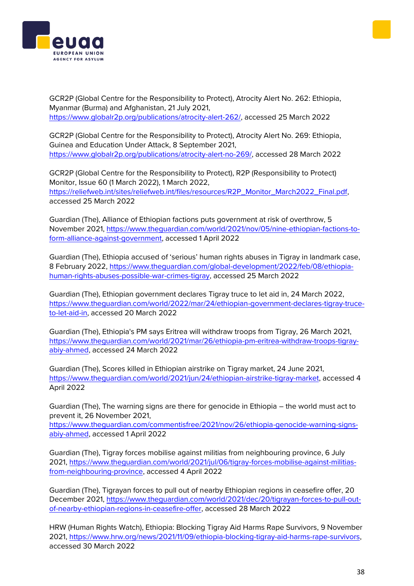



GCR2P (Global Centre for the Responsibility to Protect), Atrocity Alert No. 262: Ethiopia, Myanmar (Burma) and Afghanistan, 21 July 2021, [https://www.globalr2p.org/publications/atrocity-alert-262/,](https://www.globalr2p.org/publications/atrocity-alert-262/) accessed 25 March 2022

GCR2P (Global Centre for the Responsibility to Protect), Atrocity Alert No. 269: Ethiopia, Guinea and Education Under Attack, 8 September 2021, [https://www.globalr2p.org/publications/atrocity-alert-no-269/,](https://www.globalr2p.org/publications/atrocity-alert-no-269/) accessed 28 March 2022

GCR2P (Global Centre for the Responsibility to Protect), R2P (Responsibility to Protect) Monitor, Issue 60 (1 March 2022), 1 March 2022, [https://reliefweb.int/sites/reliefweb.int/files/resources/R2P\\_Monitor\\_March2022\\_Final.pdf,](https://reliefweb.int/sites/reliefweb.int/files/resources/R2P_Monitor_March2022_Final.pdf) accessed 25 March 2022

Guardian (The), Alliance of Ethiopian factions puts government at risk of overthrow, 5 November 2021, [https://www.theguardian.com/world/2021/nov/05/nine-ethiopian-factions-to](https://www.theguardian.com/world/2021/nov/05/nine-ethiopian-factions-to-form-alliance-against-government)[form-alliance-against-government,](https://www.theguardian.com/world/2021/nov/05/nine-ethiopian-factions-to-form-alliance-against-government) accessed 1 April 2022

Guardian (The), Ethiopia accused of 'serious' human rights abuses in Tigray in landmark case, 8 February 2022, [https://www.theguardian.com/global-development/2022/feb/08/ethiopia](https://www.theguardian.com/global-development/2022/feb/08/ethiopia-human-rights-abuses-possible-war-crimes-tigray)[human-rights-abuses-possible-war-crimes-tigray,](https://www.theguardian.com/global-development/2022/feb/08/ethiopia-human-rights-abuses-possible-war-crimes-tigray) accessed 25 March 2022

Guardian (The), Ethiopian government declares Tigray truce to let aid in, 24 March 2022, [https://www.theguardian.com/world/2022/mar/24/ethiopian-government-declares-tigray-truce](https://www.theguardian.com/world/2022/mar/24/ethiopian-government-declares-tigray-truce-to-let-aid-in)[to-let-aid-in,](https://www.theguardian.com/world/2022/mar/24/ethiopian-government-declares-tigray-truce-to-let-aid-in) accessed 20 March 2022

Guardian (The), Ethiopia's PM says Eritrea will withdraw troops from Tigray, 26 March 2021, [https://www.theguardian.com/world/2021/mar/26/ethiopia-pm-eritrea-withdraw-troops-tigray](https://www.theguardian.com/world/2021/mar/26/ethiopia-pm-eritrea-withdraw-troops-tigray-abiy-ahmed)[abiy-ahmed,](https://www.theguardian.com/world/2021/mar/26/ethiopia-pm-eritrea-withdraw-troops-tigray-abiy-ahmed) accessed 24 March 2022

Guardian (The), Scores killed in Ethiopian airstrike on Tigray market, 24 June 2021, [https://www.theguardian.com/world/2021/jun/24/ethiopian-airstrike-tigray-market,](https://www.theguardian.com/world/2021/jun/24/ethiopian-airstrike-tigray-market) accessed 4 April 2022

Guardian (The), The warning signs are there for genocide in Ethiopia – the world must act to prevent it, 26 November 2021,

[https://www.theguardian.com/commentisfree/2021/nov/26/ethiopia-genocide-warning-signs](https://www.theguardian.com/commentisfree/2021/nov/26/ethiopia-genocide-warning-signs-abiy-ahmed)[abiy-ahmed,](https://www.theguardian.com/commentisfree/2021/nov/26/ethiopia-genocide-warning-signs-abiy-ahmed) accessed 1 April 2022

Guardian (The), Tigray forces mobilise against militias from neighbouring province, 6 July 2021, [https://www.theguardian.com/world/2021/jul/06/tigray-forces-mobilise-against-militias](https://www.theguardian.com/world/2021/jul/06/tigray-forces-mobilise-against-militias-from-neighbouring-province)[from-neighbouring-province,](https://www.theguardian.com/world/2021/jul/06/tigray-forces-mobilise-against-militias-from-neighbouring-province) accessed 4 April 2022

Guardian (The), Tigrayan forces to pull out of nearby Ethiopian regions in ceasefire offer, 20 December 2021, [https://www.theguardian.com/world/2021/dec/20/tigrayan-forces-to-pull-out](https://www.theguardian.com/world/2021/dec/20/tigrayan-forces-to-pull-out-of-nearby-ethiopian-regions-in-ceasefire-offer)[of-nearby-ethiopian-regions-in-ceasefire-offer,](https://www.theguardian.com/world/2021/dec/20/tigrayan-forces-to-pull-out-of-nearby-ethiopian-regions-in-ceasefire-offer) accessed 28 March 2022

HRW (Human Rights Watch), Ethiopia: Blocking Tigray Aid Harms Rape Survivors, 9 November 2021, [https://www.hrw.org/news/2021/11/09/ethiopia-blocking-tigray-aid-harms-rape-survivors,](https://www.hrw.org/news/2021/11/09/ethiopia-blocking-tigray-aid-harms-rape-survivors) accessed 30 March 2022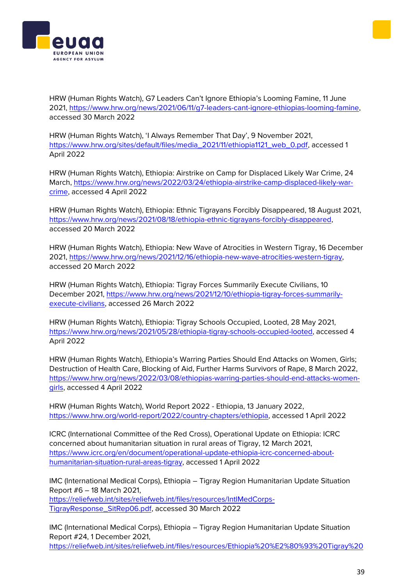



HRW (Human Rights Watch), G7 Leaders Can't Ignore Ethiopia's Looming Famine, 11 June 2021, [https://www.hrw.org/news/2021/06/11/g7-leaders-cant-ignore-ethiopias-looming-famine,](https://www.hrw.org/news/2021/06/11/g7-leaders-cant-ignore-ethiopias-looming-famine) accessed 30 March 2022

HRW (Human Rights Watch), 'I Always Remember That Day', 9 November 2021, [https://www.hrw.org/sites/default/files/media\\_2021/11/ethiopia1121\\_web\\_0.pdf,](https://www.hrw.org/sites/default/files/media_2021/11/ethiopia1121_web_0.pdf) accessed 1 April 2022

HRW (Human Rights Watch), Ethiopia: Airstrike on Camp for Displaced Likely War Crime, 24 March, [https://www.hrw.org/news/2022/03/24/ethiopia-airstrike-camp-displaced-likely-war](https://www.hrw.org/news/2022/03/24/ethiopia-airstrike-camp-displaced-likely-war-crime)[crime,](https://www.hrw.org/news/2022/03/24/ethiopia-airstrike-camp-displaced-likely-war-crime) accessed 4 April 2022

HRW (Human Rights Watch), Ethiopia: Ethnic Tigrayans Forcibly Disappeared, 18 August 2021, [https://www.hrw.org/news/2021/08/18/ethiopia-ethnic-tigrayans-forcibly-disappeared,](https://www.hrw.org/news/2021/08/18/ethiopia-ethnic-tigrayans-forcibly-disappeared) accessed 20 March 2022

HRW (Human Rights Watch), Ethiopia: New Wave of Atrocities in Western Tigray, 16 December 2021, [https://www.hrw.org/news/2021/12/16/ethiopia-new-wave-atrocities-western-tigray,](https://www.hrw.org/news/2021/12/16/ethiopia-new-wave-atrocities-western-tigray) accessed 20 March 2022

HRW (Human Rights Watch), Ethiopia: Tigray Forces Summarily Execute Civilians, 10 December 2021, [https://www.hrw.org/news/2021/12/10/ethiopia-tigray-forces-summarily](https://www.hrw.org/news/2021/12/10/ethiopia-tigray-forces-summarily-execute-civilians)[execute-civilians,](https://www.hrw.org/news/2021/12/10/ethiopia-tigray-forces-summarily-execute-civilians) accessed 26 March 2022

HRW (Human Rights Watch), Ethiopia: Tigray Schools Occupied, Looted, 28 May 2021, [https://www.hrw.org/news/2021/05/28/ethiopia-tigray-schools-occupied-looted,](https://www.hrw.org/news/2021/05/28/ethiopia-tigray-schools-occupied-looted) accessed 4 April 2022

HRW (Human Rights Watch), Ethiopia's Warring Parties Should End Attacks on Women, Girls; Destruction of Health Care, Blocking of Aid, Further Harms Survivors of Rape, 8 March 2022, [https://www.hrw.org/news/2022/03/08/ethiopias-warring-parties-should-end-attacks-women](https://www.hrw.org/news/2022/03/08/ethiopias-warring-parties-should-end-attacks-women-girls)[girls,](https://www.hrw.org/news/2022/03/08/ethiopias-warring-parties-should-end-attacks-women-girls) accessed 4 April 2022

HRW (Human Rights Watch), World Report 2022 - Ethiopia, 13 January 2022, [https://www.hrw.org/world-report/2022/country-chapters/ethiopia,](https://www.hrw.org/world-report/2022/country-chapters/ethiopia) accessed 1 April 2022

ICRC (International Committee of the Red Cross), Operational Update on Ethiopia: ICRC concerned about humanitarian situation in rural areas of Tigray, 12 March 2021, [https://www.icrc.org/en/document/operational-update-ethiopia-icrc-concerned-about](https://www.icrc.org/en/document/operational-update-ethiopia-icrc-concerned-about-humanitarian-situation-rural-areas-tigray)[humanitarian-situation-rural-areas-tigray,](https://www.icrc.org/en/document/operational-update-ethiopia-icrc-concerned-about-humanitarian-situation-rural-areas-tigray) accessed 1 April 2022

IMC (International Medical Corps), Ethiopia – Tigray Region Humanitarian Update Situation Report #6 – 18 March 2021,

[https://reliefweb.int/sites/reliefweb.int/files/resources/IntlMedCorps-](https://reliefweb.int/sites/reliefweb.int/files/resources/IntlMedCorps-TigrayResponse_SitRep06.pdf)[TigrayResponse\\_SitRep06.pdf,](https://reliefweb.int/sites/reliefweb.int/files/resources/IntlMedCorps-TigrayResponse_SitRep06.pdf) accessed 30 March 2022

IMC (International Medical Corps), Ethiopia – Tigray Region Humanitarian Update Situation Report #24, 1 December 2021, [https://reliefweb.int/sites/reliefweb.int/files/resources/Ethiopia%20%E2%80%93%20Tigray%20](https://reliefweb.int/sites/reliefweb.int/files/resources/Ethiopia%20%E2%80%93%20Tigray%20Region%20Humanitarian%20Update%20Situation%20Report%20%2324%20-%20December%2001%2C%202021.pdf)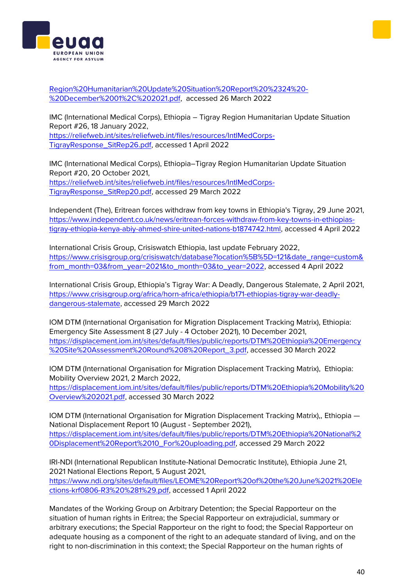[Region%20Humanitarian%20Update%20Situation%20Report%20%2324%20-](https://reliefweb.int/sites/reliefweb.int/files/resources/Ethiopia%20%E2%80%93%20Tigray%20Region%20Humanitarian%20Update%20Situation%20Report%20%2324%20-%20December%2001%2C%202021.pdf) [%20December%2001%2C%202021.pdf,](https://reliefweb.int/sites/reliefweb.int/files/resources/Ethiopia%20%E2%80%93%20Tigray%20Region%20Humanitarian%20Update%20Situation%20Report%20%2324%20-%20December%2001%2C%202021.pdf) accessed 26 March 2022

IMC (International Medical Corps), Ethiopia – Tigray Region Humanitarian Update Situation Report #26, 18 January 2022, [https://reliefweb.int/sites/reliefweb.int/files/resources/IntlMedCorps-](https://reliefweb.int/sites/reliefweb.int/files/resources/IntlMedCorps-TigrayResponse_SitRep26.pdf)

[TigrayResponse\\_SitRep26.pdf,](https://reliefweb.int/sites/reliefweb.int/files/resources/IntlMedCorps-TigrayResponse_SitRep26.pdf) accessed 1 April 2022

IMC (International Medical Corps), Ethiopia–Tigray Region Humanitarian Update Situation Report #20, 20 October 2021, [https://reliefweb.int/sites/reliefweb.int/files/resources/IntlMedCorps-](https://reliefweb.int/sites/reliefweb.int/files/resources/IntlMedCorps-TigrayResponse_SitRep20.pdf)[TigrayResponse\\_SitRep20.pdf,](https://reliefweb.int/sites/reliefweb.int/files/resources/IntlMedCorps-TigrayResponse_SitRep20.pdf) accessed 29 March 2022

Independent (The), Eritrean forces withdraw from key towns in Ethiopia's Tigray, 29 June 2021, [https://www.independent.co.uk/news/eritrean-forces-withdraw-from-key-towns-in-ethiopias](https://www.independent.co.uk/news/eritrean-forces-withdraw-from-key-towns-in-ethiopias-tigray-ethiopia-kenya-abiy-ahmed-shire-united-nations-b1874742.html)[tigray-ethiopia-kenya-abiy-ahmed-shire-united-nations-b1874742.html,](https://www.independent.co.uk/news/eritrean-forces-withdraw-from-key-towns-in-ethiopias-tigray-ethiopia-kenya-abiy-ahmed-shire-united-nations-b1874742.html) accessed 4 April 2022

International Crisis Group, Crisiswatch Ethiopia, last update February 2022, [https://www.crisisgroup.org/crisiswatch/database?location%5B%5D=121&date\\_range=custom&](https://www.crisisgroup.org/crisiswatch/database?location%5B%5D=121&date_range=custom&from_month=03&from_year=2021&to_month=03&to_year=2022) [from\\_month=03&from\\_year=2021&to\\_month=03&to\\_year=2022,](https://www.crisisgroup.org/crisiswatch/database?location%5B%5D=121&date_range=custom&from_month=03&from_year=2021&to_month=03&to_year=2022) accessed 4 April 2022

International Crisis Group, Ethiopia's Tigray War: A Deadly, Dangerous Stalemate, 2 April 2021, [https://www.crisisgroup.org/africa/horn-africa/ethiopia/b171-ethiopias-tigray-war-deadly](https://www.crisisgroup.org/africa/horn-africa/ethiopia/b171-ethiopias-tigray-war-deadly-dangerous-stalemate)[dangerous-stalemate,](https://www.crisisgroup.org/africa/horn-africa/ethiopia/b171-ethiopias-tigray-war-deadly-dangerous-stalemate) accessed 29 March 2022

IOM DTM (International Organisation for Migration Displacement Tracking Matrix), Ethiopia: Emergency Site Assessment 8 (27 July - 4 October 2021), 10 December 2021, [https://displacement.iom.int/sites/default/files/public/reports/DTM%20Ethiopia%20Emergency](https://displacement.iom.int/sites/default/files/public/reports/DTM%20Ethiopia%20Emergency%20Site%20Assessment%20Round%208%20Report_3.pdf) [%20Site%20Assessment%20Round%208%20Report\\_3.pdf,](https://displacement.iom.int/sites/default/files/public/reports/DTM%20Ethiopia%20Emergency%20Site%20Assessment%20Round%208%20Report_3.pdf) accessed 30 March 2022

IOM DTM (International Organisation for Migration Displacement Tracking Matrix), Ethiopia: Mobility Overview 2021, 2 March 2022,

[https://displacement.iom.int/sites/default/files/public/reports/DTM%20Ethiopia%20Mobility%20](https://displacement.iom.int/sites/default/files/public/reports/DTM%20Ethiopia%20Mobility%20Overview%202021.pdf) [Overview%202021.pdf,](https://displacement.iom.int/sites/default/files/public/reports/DTM%20Ethiopia%20Mobility%20Overview%202021.pdf) accessed 30 March 2022

IOM DTM (International Organisation for Migration Displacement Tracking Matrix),, Ethiopia — National Displacement Report 10 (August - September 2021), [https://displacement.iom.int/sites/default/files/public/reports/DTM%20Ethiopia%20National%2](https://displacement.iom.int/sites/default/files/public/reports/DTM%20Ethiopia%20National%20Displacement%20Report%2010_For%20uploading.pdf) [0Displacement%20Report%2010\\_For%20uploading.pdf,](https://displacement.iom.int/sites/default/files/public/reports/DTM%20Ethiopia%20National%20Displacement%20Report%2010_For%20uploading.pdf) accessed 29 March 2022

IRI-NDI (International Republican Institute-National Democratic Institute), Ethiopia June 21, 2021 National Elections Report, 5 August 2021, [https://www.ndi.org/sites/default/files/LEOME%20Report%20of%20the%20June%2021%20Ele](https://www.ndi.org/sites/default/files/LEOME%20Report%20of%20the%20June%2021%20Elections-krf0806-R3%20%281%29.pdf) [ctions-krf0806-R3%20%281%29.pdf,](https://www.ndi.org/sites/default/files/LEOME%20Report%20of%20the%20June%2021%20Elections-krf0806-R3%20%281%29.pdf) accessed 1 April 2022

Mandates of the Working Group on Arbitrary Detention; the Special Rapporteur on the situation of human rights in Eritrea; the Special Rapporteur on extrajudicial, summary or arbitrary executions; the Special Rapporteur on the right to food; the Special Rapporteur on adequate housing as a component of the right to an adequate standard of living, and on the right to non-discrimination in this context; the Special Rapporteur on the human rights of



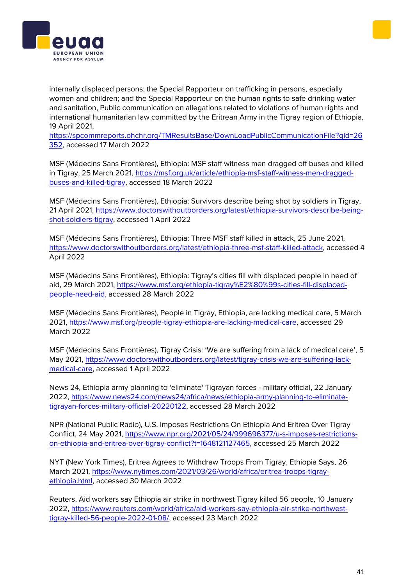



internally displaced persons; the Special Rapporteur on trafficking in persons, especially women and children; and the Special Rapporteur on the human rights to safe drinking water and sanitation, Public communication on allegations related to violations of human rights and international humanitarian law committed by the Eritrean Army in the Tigray region of Ethiopia, 19 April 2021,

[https://spcommreports.ohchr.org/TMResultsBase/DownLoadPublicCommunicationFile?gId=26](https://spcommreports.ohchr.org/TMResultsBase/DownLoadPublicCommunicationFile?gId=26352) [352,](https://spcommreports.ohchr.org/TMResultsBase/DownLoadPublicCommunicationFile?gId=26352) accessed 17 March 2022

MSF (Médecins Sans Frontières), Ethiopia: MSF staff witness men dragged off buses and killed in Tigray, 25 March 2021, [https://msf.org.uk/article/ethiopia-msf-staff-witness-men-dragged](https://msf.org.uk/article/ethiopia-msf-staff-witness-men-dragged-buses-and-killed-tigray)[buses-and-killed-tigray,](https://msf.org.uk/article/ethiopia-msf-staff-witness-men-dragged-buses-and-killed-tigray) accessed 18 March 2022

MSF (Médecins Sans Frontières), Ethiopia: Survivors describe being shot by soldiers in Tigray, 21 April 2021, [https://www.doctorswithoutborders.org/latest/ethiopia-survivors-describe-being](https://www.doctorswithoutborders.org/latest/ethiopia-survivors-describe-being-shot-soldiers-tigray)[shot-soldiers-tigray,](https://www.doctorswithoutborders.org/latest/ethiopia-survivors-describe-being-shot-soldiers-tigray) accessed 1 April 2022

MSF (Médecins Sans Frontières), Ethiopia: Three MSF staff killed in attack, 25 June 2021, [https://www.doctorswithoutborders.org/latest/ethiopia-three-msf-staff-killed-attack,](https://www.doctorswithoutborders.org/latest/ethiopia-three-msf-staff-killed-attack) accessed 4 April 2022

MSF (Médecins Sans Frontières), Ethiopia: Tigray's cities fill with displaced people in need of aid, 29 March 2021, [https://www.msf.org/ethiopia-tigray%E2%80%99s-cities-fill-displaced](https://www.msf.org/ethiopia-tigray%E2%80%99s-cities-fill-displaced-people-need-aid)[people-need-aid,](https://www.msf.org/ethiopia-tigray%E2%80%99s-cities-fill-displaced-people-need-aid) accessed 28 March 2022

MSF (Médecins Sans Frontières), People in Tigray, Ethiopia, are lacking medical care, 5 March 2021, [https://www.msf.org/people-tigray-ethiopia-are-lacking-medical-care,](https://www.msf.org/people-tigray-ethiopia-are-lacking-medical-care) accessed 29 March 2022

MSF (Médecins Sans Frontières), Tigray Crisis: 'We are suffering from a lack of medical care', 5 May 2021, [https://www.doctorswithoutborders.org/latest/tigray-crisis-we-are-suffering-lack](https://www.doctorswithoutborders.org/latest/tigray-crisis-we-are-suffering-lack-medical-care)[medical-care,](https://www.doctorswithoutborders.org/latest/tigray-crisis-we-are-suffering-lack-medical-care) accessed 1 April 2022

News 24, Ethiopia army planning to 'eliminate' Tigrayan forces - military official, 22 January 2022, [https://www.news24.com/news24/africa/news/ethiopia-army-planning-to-eliminate](https://www.news24.com/news24/africa/news/ethiopia-army-planning-to-eliminate-tigrayan-forces-military-official-20220122)[tigrayan-forces-military-official-20220122,](https://www.news24.com/news24/africa/news/ethiopia-army-planning-to-eliminate-tigrayan-forces-military-official-20220122) accessed 28 March 2022

NPR (National Public Radio), U.S. Imposes Restrictions On Ethiopia And Eritrea Over Tigray Conflict, 24 May 2021, [https://www.npr.org/2021/05/24/999696377/u-s-imposes-restrictions](https://www.npr.org/2021/05/24/999696377/u-s-imposes-restrictions-on-ethiopia-and-eritrea-over-tigray-conflict?t=1648121127465)[on-ethiopia-and-eritrea-over-tigray-conflict?t=1648121127465,](https://www.npr.org/2021/05/24/999696377/u-s-imposes-restrictions-on-ethiopia-and-eritrea-over-tigray-conflict?t=1648121127465) accessed 25 March 2022

NYT (New York Times), Eritrea Agrees to Withdraw Troops From Tigray, Ethiopia Says, 26 March 2021, [https://www.nytimes.com/2021/03/26/world/africa/eritrea-troops-tigray](https://www.nytimes.com/2021/03/26/world/africa/eritrea-troops-tigray-ethiopia.html)[ethiopia.html,](https://www.nytimes.com/2021/03/26/world/africa/eritrea-troops-tigray-ethiopia.html) accessed 30 March 2022

Reuters, Aid workers say Ethiopia air strike in northwest Tigray killed 56 people, 10 January 2022, [https://www.reuters.com/world/africa/aid-workers-say-ethiopia-air-strike-northwest](https://www.reuters.com/world/africa/aid-workers-say-ethiopia-air-strike-northwest-tigray-killed-56-people-2022-01-08/)[tigray-killed-56-people-2022-01-08/,](https://www.reuters.com/world/africa/aid-workers-say-ethiopia-air-strike-northwest-tigray-killed-56-people-2022-01-08/) accessed 23 March 2022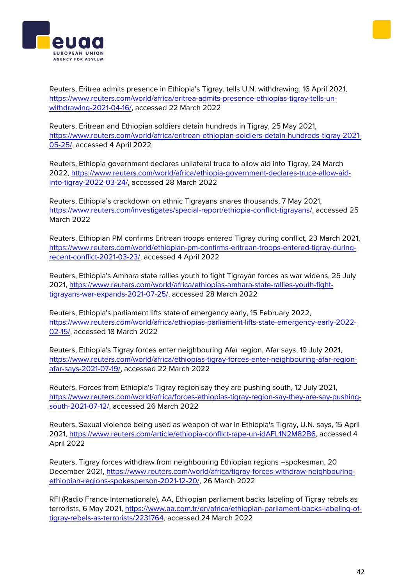



Reuters, Eritrea admits presence in Ethiopia's Tigray, tells U.N. withdrawing, 16 April 2021, [https://www.reuters.com/world/africa/eritrea-admits-presence-ethiopias-tigray-tells-un](https://www.reuters.com/world/africa/eritrea-admits-presence-ethiopias-tigray-tells-un-withdrawing-2021-04-16/)[withdrawing-2021-04-16/,](https://www.reuters.com/world/africa/eritrea-admits-presence-ethiopias-tigray-tells-un-withdrawing-2021-04-16/) accessed 22 March 2022

Reuters, Eritrean and Ethiopian soldiers detain hundreds in Tigray, 25 May 2021, [https://www.reuters.com/world/africa/eritrean-ethiopian-soldiers-detain-hundreds-tigray-2021-](https://www.reuters.com/world/africa/eritrean-ethiopian-soldiers-detain-hundreds-tigray-2021-05-25/) [05-25/,](https://www.reuters.com/world/africa/eritrean-ethiopian-soldiers-detain-hundreds-tigray-2021-05-25/) accessed 4 April 2022

Reuters, Ethiopia government declares unilateral truce to allow aid into Tigray, 24 March 2022, [https://www.reuters.com/world/africa/ethiopia-government-declares-truce-allow-aid](https://www.reuters.com/world/africa/ethiopia-government-declares-truce-allow-aid-into-tigray-2022-03-24/)[into-tigray-2022-03-24/,](https://www.reuters.com/world/africa/ethiopia-government-declares-truce-allow-aid-into-tigray-2022-03-24/) accessed 28 March 2022

Reuters, Ethiopia's crackdown on ethnic Tigrayans snares thousands, 7 May 2021, [https://www.reuters.com/investigates/special-report/ethiopia-conflict-tigrayans/,](https://www.reuters.com/investigates/special-report/ethiopia-conflict-tigrayans/) accessed 25 March 2022

Reuters, Ethiopian PM confirms Eritrean troops entered Tigray during conflict, 23 March 2021, [https://www.reuters.com/world/ethiopian-pm-confirms-eritrean-troops-entered-tigray-during](https://www.reuters.com/world/ethiopian-pm-confirms-eritrean-troops-entered-tigray-during-recent-conflict-2021-03-23/)[recent-conflict-2021-03-23/,](https://www.reuters.com/world/ethiopian-pm-confirms-eritrean-troops-entered-tigray-during-recent-conflict-2021-03-23/) accessed 4 April 2022

Reuters, Ethiopia's Amhara state rallies youth to fight Tigrayan forces as war widens, 25 July 2021, [https://www.reuters.com/world/africa/ethiopias-amhara-state-rallies-youth-fight](https://www.reuters.com/world/africa/ethiopias-amhara-state-rallies-youth-fight-tigrayans-war-expands-2021-07-25/)[tigrayans-war-expands-2021-07-25/,](https://www.reuters.com/world/africa/ethiopias-amhara-state-rallies-youth-fight-tigrayans-war-expands-2021-07-25/) accessed 28 March 2022

Reuters, Ethiopia's parliament lifts state of emergency early, 15 February 2022, [https://www.reuters.com/world/africa/ethiopias-parliament-lifts-state-emergency-early-2022-](https://www.reuters.com/world/africa/ethiopias-parliament-lifts-state-emergency-early-2022-02-15/) [02-15/,](https://www.reuters.com/world/africa/ethiopias-parliament-lifts-state-emergency-early-2022-02-15/) accessed 18 March 2022

Reuters, Ethiopia's Tigray forces enter neighbouring Afar region, Afar says, 19 July 2021, [https://www.reuters.com/world/africa/ethiopias-tigray-forces-enter-neighbouring-afar-region](https://www.reuters.com/world/africa/ethiopias-tigray-forces-enter-neighbouring-afar-region-afar-says-2021-07-19/)[afar-says-2021-07-19/,](https://www.reuters.com/world/africa/ethiopias-tigray-forces-enter-neighbouring-afar-region-afar-says-2021-07-19/) accessed 22 March 2022

Reuters, Forces from Ethiopia's Tigray region say they are pushing south, 12 July 2021, [https://www.reuters.com/world/africa/forces-ethiopias-tigray-region-say-they-are-say-pushing](https://www.reuters.com/world/africa/forces-ethiopias-tigray-region-say-they-are-say-pushing-south-2021-07-12/)[south-2021-07-12/,](https://www.reuters.com/world/africa/forces-ethiopias-tigray-region-say-they-are-say-pushing-south-2021-07-12/) accessed 26 March 2022

Reuters, Sexual violence being used as weapon of war in Ethiopia's Tigray, U.N. says, 15 April 2021, [https://www.reuters.com/article/ethiopia-conflict-rape-un-idAFL1N2M82B6,](https://www.reuters.com/article/ethiopia-conflict-rape-un-idAFL1N2M82B6) accessed 4 April 2022

Reuters, Tigray forces withdraw from neighbouring Ethiopian regions –spokesman, 20 December 2021, [https://www.reuters.com/world/africa/tigray-forces-withdraw-neighbouring](https://www.reuters.com/world/africa/tigray-forces-withdraw-neighbouring-ethiopian-regions-spokesperson-2021-12-20/)[ethiopian-regions-spokesperson-2021-12-20/,](https://www.reuters.com/world/africa/tigray-forces-withdraw-neighbouring-ethiopian-regions-spokesperson-2021-12-20/) 26 March 2022

RFI (Radio France Internationale), AA, Ethiopian parliament backs labeling of Tigray rebels as terrorists, 6 May 2021, [https://www.aa.com.tr/en/africa/ethiopian-parliament-backs-labeling-of](https://www.aa.com.tr/en/africa/ethiopian-parliament-backs-labeling-of-tigray-rebels-as-terrorists/2231764)[tigray-rebels-as-terrorists/2231764,](https://www.aa.com.tr/en/africa/ethiopian-parliament-backs-labeling-of-tigray-rebels-as-terrorists/2231764) accessed 24 March 2022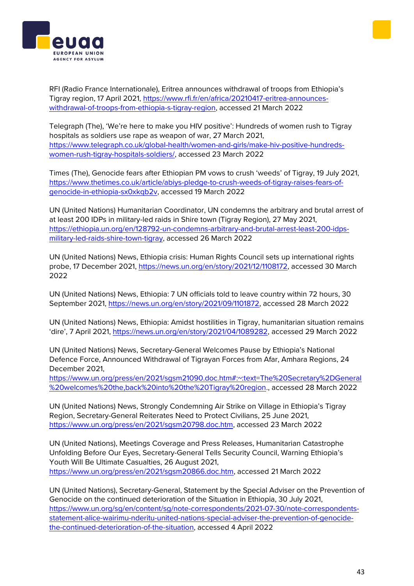



RFI (Radio France Internationale), Eritrea announces withdrawal of troops from Ethiopia's Tigray region, 17 April 2021, [https://www.rfi.fr/en/africa/20210417-eritrea-announces](https://www.rfi.fr/en/africa/20210417-eritrea-announces-withdrawal-of-troops-from-ethiopia-s-tigray-region)[withdrawal-of-troops-from-ethiopia-s-tigray-region,](https://www.rfi.fr/en/africa/20210417-eritrea-announces-withdrawal-of-troops-from-ethiopia-s-tigray-region) accessed 21 March 2022

Telegraph (The), 'We're here to make you HIV positive': Hundreds of women rush to Tigray hospitals as soldiers use rape as weapon of war, 27 March 2021, [https://www.telegraph.co.uk/global-health/women-and-girls/make-hiv-positive-hundreds](https://www.telegraph.co.uk/global-health/women-and-girls/make-hiv-positive-hundreds-women-rush-tigray-hospitals-soldiers/)[women-rush-tigray-hospitals-soldiers/,](https://www.telegraph.co.uk/global-health/women-and-girls/make-hiv-positive-hundreds-women-rush-tigray-hospitals-soldiers/) accessed 23 March 2022

Times (The), Genocide fears after Ethiopian PM vows to crush 'weeds' of Tigray, 19 July 2021, [https://www.thetimes.co.uk/article/abiys-pledge-to-crush-weeds-of-tigray-raises-fears-of](https://www.thetimes.co.uk/article/abiys-pledge-to-crush-weeds-of-tigray-raises-fears-of-genocide-in-ethiopia-sx0xkqb2v)[genocide-in-ethiopia-sx0xkqb2v,](https://www.thetimes.co.uk/article/abiys-pledge-to-crush-weeds-of-tigray-raises-fears-of-genocide-in-ethiopia-sx0xkqb2v) accessed 19 March 2022

UN (United Nations) Humanitarian Coordinator, UN condemns the arbitrary and brutal arrest of at least 200 IDPs in military-led raids in Shire town (Tigray Region), 27 May 2021, [https://ethiopia.un.org/en/128792-un-condemns-arbitrary-and-brutal-arrest-least-200-idps](https://ethiopia.un.org/en/128792-un-condemns-arbitrary-and-brutal-arrest-least-200-idps-military-led-raids-shire-town-tigray)[military-led-raids-shire-town-tigray,](https://ethiopia.un.org/en/128792-un-condemns-arbitrary-and-brutal-arrest-least-200-idps-military-led-raids-shire-town-tigray) accessed 26 March 2022

UN (United Nations) News, Ethiopia crisis: Human Rights Council sets up international rights probe, 17 December 2021, [https://news.un.org/en/story/2021/12/1108172,](https://news.un.org/en/story/2021/12/1108172) accessed 30 March 2022

UN (United Nations) News, Ethiopia: 7 UN officials told to leave country within 72 hours, 30 September 2021, [https://news.un.org/en/story/2021/09/1101872,](https://news.un.org/en/story/2021/09/1101872) accessed 28 March 2022

UN (United Nations) News, Ethiopia: Amidst hostilities in Tigray, humanitarian situation remains 'dire', 7 April 2021, [https://news.un.org/en/story/2021/04/1089282,](https://news.un.org/en/story/2021/04/1089282) accessed 29 March 2022

UN (United Nations) News, Secretary-General Welcomes Pause by Ethiopia's National Defence Force, Announced Withdrawal of Tigrayan Forces from Afar, Amhara Regions, 24 December 2021,

[https://www.un.org/press/en/2021/sgsm21090.doc.htm#:~:text=The%20Secretary%2DGeneral](https://www.un.org/press/en/2021/sgsm21090.doc.htm#:~:text=The%20Secretary%2DGeneral%20welcomes%20the,back%20into%20the%20Tigray%20region) [%20welcomes%20the,back%20into%20the%20Tigray%20region.](https://www.un.org/press/en/2021/sgsm21090.doc.htm#:~:text=The%20Secretary%2DGeneral%20welcomes%20the,back%20into%20the%20Tigray%20region), accessed 28 March 2022

UN (United Nations) News, Strongly Condemning Air Strike on Village in Ethiopia's Tigray Region, Secretary-General Reiterates Need to Protect Civilians, 25 June 2021, [https://www.un.org/press/en/2021/sgsm20798.doc.htm,](https://www.un.org/press/en/2021/sgsm20798.doc.htm) accessed 23 March 2022

UN (United Nations), Meetings Coverage and Press Releases, Humanitarian Catastrophe Unfolding Before Our Eyes, Secretary-General Tells Security Council, Warning Ethiopia's Youth Will Be Ultimate Casualties, 26 August 2021, [https://www.un.org/press/en/2021/sgsm20866.doc.htm,](https://www.un.org/press/en/2021/sgsm20866.doc.htm) accessed 21 March 2022

UN (United Nations), Secretary-General, Statement by the Special Adviser on the Prevention of Genocide on the continued deterioration of the Situation in Ethiopia, 30 July 2021, [https://www.un.org/sg/en/content/sg/note-correspondents/2021-07-30/note-correspondents](https://www.un.org/sg/en/content/sg/note-correspondents/2021-07-30/note-correspondents-statement-alice-wairimu-nderitu-united-nations-special-adviser-the-prevention-of-genocide-the-continued-deterioration-of-the-situation)[statement-alice-wairimu-nderitu-united-nations-special-adviser-the-prevention-of-genocide](https://www.un.org/sg/en/content/sg/note-correspondents/2021-07-30/note-correspondents-statement-alice-wairimu-nderitu-united-nations-special-adviser-the-prevention-of-genocide-the-continued-deterioration-of-the-situation)[the-continued-deterioration-of-the-situation,](https://www.un.org/sg/en/content/sg/note-correspondents/2021-07-30/note-correspondents-statement-alice-wairimu-nderitu-united-nations-special-adviser-the-prevention-of-genocide-the-continued-deterioration-of-the-situation) accessed 4 April 2022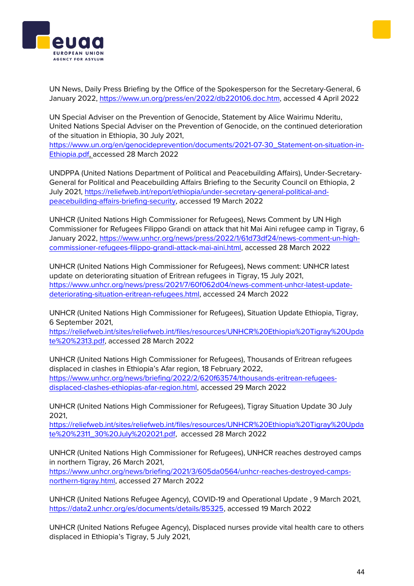



UN News, Daily Press Briefing by the Office of the Spokesperson for the Secretary-General, 6 January 2022, [https://www.un.org/press/en/2022/db220106.doc.htm,](https://www.un.org/press/en/2022/db220106.doc.htm) accessed 4 April 2022

UN Special Adviser on the Prevention of Genocide, Statement by Alice Wairimu Nderitu, United Nations Special Adviser on the Prevention of Genocide, on the continued deterioration of the situation in Ethiopia, 30 July 2021,

[https://www.un.org/en/genocideprevention/documents/2021-07-30\\_Statement-on-situation-in-](https://www.un.org/en/genocideprevention/documents/2021-07-30_Statement-on-situation-in-Ethiopia.pdf)[Ethiopia.pdf,](https://www.un.org/en/genocideprevention/documents/2021-07-30_Statement-on-situation-in-Ethiopia.pdf) accessed 28 March 2022

UNDPPA (United Nations Department of Political and Peacebuilding Affairs), Under-Secretary-General for Political and Peacebuilding Affairs Briefing to the Security Council on Ethiopia, 2 July 2021, [https://reliefweb.int/report/ethiopia/under-secretary-general-political-and](https://reliefweb.int/report/ethiopia/under-secretary-general-political-and-peacebuilding-affairs-briefing-security)[peacebuilding-affairs-briefing-security,](https://reliefweb.int/report/ethiopia/under-secretary-general-political-and-peacebuilding-affairs-briefing-security) accessed 19 March 2022

UNHCR (United Nations High Commissioner for Refugees), News Comment by UN High Commissioner for Refugees Filippo Grandi on attack that hit Mai Aini refugee camp in Tigray, 6 January 2022, [https://www.unhcr.org/news/press/2022/1/61d73df24/news-comment-un-high](https://www.unhcr.org/news/press/2022/1/61d73df24/news-comment-un-high-commissioner-refugees-filippo-grandi-attack-mai-aini.html)[commissioner-refugees-filippo-grandi-attack-mai-aini.html,](https://www.unhcr.org/news/press/2022/1/61d73df24/news-comment-un-high-commissioner-refugees-filippo-grandi-attack-mai-aini.html) accessed 28 March 2022

UNHCR (United Nations High Commissioner for Refugees), News comment: UNHCR latest update on deteriorating situation of Eritrean refugees in Tigray, 15 July 2021, [https://www.unhcr.org/news/press/2021/7/60f062d04/news-comment-unhcr-latest-update](https://www.unhcr.org/news/press/2021/7/60f062d04/news-comment-unhcr-latest-update-deteriorating-situation-eritrean-refugees.html)[deteriorating-situation-eritrean-refugees.html,](https://www.unhcr.org/news/press/2021/7/60f062d04/news-comment-unhcr-latest-update-deteriorating-situation-eritrean-refugees.html) accessed 24 March 2022

UNHCR (United Nations High Commissioner for Refugees), Situation Update Ethiopia, Tigray, 6 September 2021,

[https://reliefweb.int/sites/reliefweb.int/files/resources/UNHCR%20Ethiopia%20Tigray%20Upda](https://reliefweb.int/sites/reliefweb.int/files/resources/UNHCR%20Ethiopia%20Tigray%20Update%20%2313.pdf) [te%20%2313.pdf,](https://reliefweb.int/sites/reliefweb.int/files/resources/UNHCR%20Ethiopia%20Tigray%20Update%20%2313.pdf) accessed 28 March 2022

UNHCR (United Nations High Commissioner for Refugees), Thousands of Eritrean refugees displaced in clashes in Ethiopia's Afar region, 18 February 2022, [https://www.unhcr.org/news/briefing/2022/2/620f63574/thousands-eritrean-refugees](https://www.unhcr.org/news/briefing/2022/2/620f63574/thousands-eritrean-refugees-displaced-clashes-ethiopias-afar-region.html)[displaced-clashes-ethiopias-afar-region.html,](https://www.unhcr.org/news/briefing/2022/2/620f63574/thousands-eritrean-refugees-displaced-clashes-ethiopias-afar-region.html) accessed 29 March 2022

UNHCR (United Nations High Commissioner for Refugees), Tigray Situation Update 30 July 2021,

[https://reliefweb.int/sites/reliefweb.int/files/resources/UNHCR%20Ethiopia%20Tigray%20Upda](https://reliefweb.int/sites/reliefweb.int/files/resources/UNHCR%20Ethiopia%20Tigray%20Update%20%2311_30%20July%202021.pdf) [te%20%2311\\_30%20July%202021.pdf,](https://reliefweb.int/sites/reliefweb.int/files/resources/UNHCR%20Ethiopia%20Tigray%20Update%20%2311_30%20July%202021.pdf) accessed 28 March 2022

UNHCR (United Nations High Commissioner for Refugees), UNHCR reaches destroyed camps in northern Tigray, 26 March 2021, [https://www.unhcr.org/news/briefing/2021/3/605da0564/unhcr-reaches-destroyed-camps](https://www.unhcr.org/news/briefing/2021/3/605da0564/unhcr-reaches-destroyed-camps-northern-tigray.html)[northern-tigray.html,](https://www.unhcr.org/news/briefing/2021/3/605da0564/unhcr-reaches-destroyed-camps-northern-tigray.html) accessed 27 March 2022

UNHCR (United Nations Refugee Agency), COVID-19 and Operational Update , 9 March 2021, [https://data2.unhcr.org/es/documents/details/85325,](https://data2.unhcr.org/es/documents/details/85325) accessed 19 March 2022

UNHCR (United Nations Refugee Agency), Displaced nurses provide vital health care to others displaced in Ethiopia's Tigray, 5 July 2021,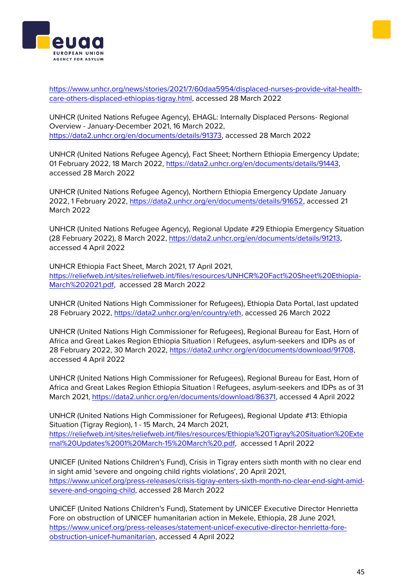[https://www.unhcr.org/news/stories/2021/7/60daa5954/displaced-nurses-provide-vital-health](https://www.unhcr.org/news/stories/2021/7/60daa5954/displaced-nurses-provide-vital-health-care-others-displaced-ethiopias-tigray.html)[care-others-displaced-ethiopias-tigray.html,](https://www.unhcr.org/news/stories/2021/7/60daa5954/displaced-nurses-provide-vital-health-care-others-displaced-ethiopias-tigray.html) accessed 28 March 2022

UNHCR (United Nations Refugee Agency), EHAGL: Internally Displaced Persons- Regional Overview - January-December 2021, 16 March 2022, [https://data2.unhcr.org/en/documents/details/91373,](https://data2.unhcr.org/en/documents/details/91373) accessed 28 March 2022

UNHCR (United Nations Refugee Agency), Fact Sheet; Northern Ethiopia Emergency Update; 01 February 2022, 18 March 2022[, https://data2.unhcr.org/en/documents/details/91443,](https://data2.unhcr.org/en/documents/details/91443) accessed 28 March 2022

UNHCR (United Nations Refugee Agency), Northern Ethiopia Emergency Update January 2022, 1 February 2022, [https://data2.unhcr.org/en/documents/details/91652,](https://data2.unhcr.org/en/documents/details/91652) accessed 21 March 2022

UNHCR (United Nations Refugee Agency), Regional Update #29 Ethiopia Emergency Situation (28 February 2022), 8 March 2022, [https://data2.unhcr.org/en/documents/details/91213,](https://data2.unhcr.org/en/documents/details/91213) accessed 4 April 2022

UNHCR Ethiopia Fact Sheet, March 2021, 17 April 2021, [https://reliefweb.int/sites/reliefweb.int/files/resources/UNHCR%20Fact%20Sheet%20Ethiopia-](https://reliefweb.int/sites/reliefweb.int/files/resources/UNHCR%20Fact%20Sheet%20Ethiopia-March%202021.pdf)[March%202021.pdf,](https://reliefweb.int/sites/reliefweb.int/files/resources/UNHCR%20Fact%20Sheet%20Ethiopia-March%202021.pdf) accessed 28 March 2022

UNHCR (United Nations High Commissioner for Refugees), Ethiopia Data Portal, last updated 28 February 2022, [https://data2.unhcr.org/en/country/eth,](https://data2.unhcr.org/en/country/eth) accessed 26 March 2022

UNHCR (United Nations High Commissioner for Refugees), Regional Bureau for East, Horn of Africa and Great Lakes Region Ethiopia Situation | Refugees, asylum-seekers and IDPs as of 28 February 2022, 30 March 2022, [https://data2.unhcr.org/en/documents/download/91708,](https://data2.unhcr.org/en/documents/download/91708) accessed 4 April 2022

UNHCR (United Nations High Commissioner for Refugees), Regional Bureau for East, Horn of Africa and Great Lakes Region Ethiopia Situation | Refugees, asylum-seekers and IDPs as of 31 March 2021, [https://data2.unhcr.org/en/documents/download/86371,](https://data2.unhcr.org/en/documents/download/86371) accessed 4 April 2022

UNHCR (United Nations High Commissioner for Refugees), Regional Update #13: Ethiopia Situation (Tigray Region), 1 - 15 March, 24 March 2021, [https://reliefweb.int/sites/reliefweb.int/files/resources/Ethiopia%20Tigray%20Situation%20Exte](https://reliefweb.int/sites/reliefweb.int/files/resources/Ethiopia%20Tigray%20Situation%20External%20Updates%2001%20March-15%20March%20.pdf) [rnal%20Updates%2001%20March-15%20March%20.pdf,](https://reliefweb.int/sites/reliefweb.int/files/resources/Ethiopia%20Tigray%20Situation%20External%20Updates%2001%20March-15%20March%20.pdf) accessed 1 April 2022

UNICEF (United Nations Children's Fund), Crisis in Tigray enters sixth month with no clear end in sight amid 'severe and ongoing child rights violations', 20 April 2021, [https://www.unicef.org/press-releases/crisis-tigray-enters-sixth-month-no-clear-end-sight-amid](https://www.unicef.org/press-releases/crisis-tigray-enters-sixth-month-no-clear-end-sight-amid-severe-and-ongoing-child)[severe-and-ongoing-child,](https://www.unicef.org/press-releases/crisis-tigray-enters-sixth-month-no-clear-end-sight-amid-severe-and-ongoing-child) accessed 28 March 2022

UNICEF (United Nations Children's Fund), Statement by UNICEF Executive Director Henrietta Fore on obstruction of UNICEF humanitarian action in Mekele, Ethiopia, 28 June 2021, [https://www.unicef.org/press-releases/statement-unicef-executive-director-henrietta-fore](https://www.unicef.org/press-releases/statement-unicef-executive-director-henrietta-fore-obstruction-unicef-humanitarian)[obstruction-unicef-humanitarian,](https://www.unicef.org/press-releases/statement-unicef-executive-director-henrietta-fore-obstruction-unicef-humanitarian) accessed 4 April 2022



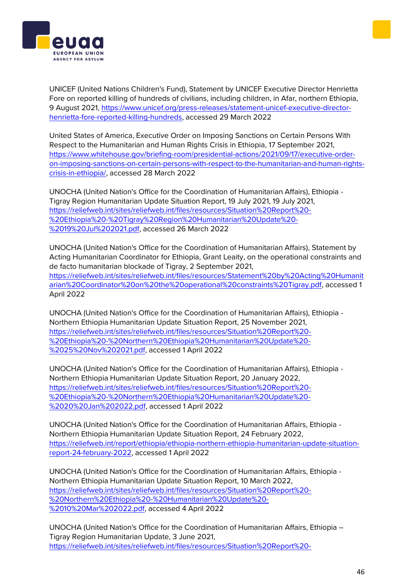



UNICEF (United Nations Children's Fund), Statement by UNICEF Executive Director Henrietta Fore on reported killing of hundreds of civilians, including children, in Afar, northern Ethiopia, 9 August 2021, [https://www.unicef.org/press-releases/statement-unicef-executive-director](https://www.unicef.org/press-releases/statement-unicef-executive-director-henrietta-fore-reported-killing-hundreds)[henrietta-fore-reported-killing-hundreds,](https://www.unicef.org/press-releases/statement-unicef-executive-director-henrietta-fore-reported-killing-hundreds) accessed 29 March 2022

United States of America, Executive Order on Imposing Sanctions on Certain Persons With Respect to the Humanitarian and Human Rights Crisis in Ethiopia, 17 September 2021, [https://www.whitehouse.gov/briefing-room/presidential-actions/2021/09/17/executive-order](https://www.whitehouse.gov/briefing-room/presidential-actions/2021/09/17/executive-order-on-imposing-sanctions-on-certain-persons-with-respect-to-the-humanitarian-and-human-rights-crisis-in-ethiopia/)[on-imposing-sanctions-on-certain-persons-with-respect-to-the-humanitarian-and-human-rights](https://www.whitehouse.gov/briefing-room/presidential-actions/2021/09/17/executive-order-on-imposing-sanctions-on-certain-persons-with-respect-to-the-humanitarian-and-human-rights-crisis-in-ethiopia/)[crisis-in-ethiopia/,](https://www.whitehouse.gov/briefing-room/presidential-actions/2021/09/17/executive-order-on-imposing-sanctions-on-certain-persons-with-respect-to-the-humanitarian-and-human-rights-crisis-in-ethiopia/) accessed 28 March 2022

UNOCHA (United Nation's Office for the Coordination of Humanitarian Affairs), Ethiopia - Tigray Region Humanitarian Update Situation Report, 19 July 2021, 19 July 2021, [https://reliefweb.int/sites/reliefweb.int/files/resources/Situation%20Report%20-](https://reliefweb.int/sites/reliefweb.int/files/resources/Situation%20Report%20-%20Ethiopia%20-%20Tigray%20Region%20Humanitarian%20Update%20-%2019%20Jul%202021.pdf) [%20Ethiopia%20-%20Tigray%20Region%20Humanitarian%20Update%20-](https://reliefweb.int/sites/reliefweb.int/files/resources/Situation%20Report%20-%20Ethiopia%20-%20Tigray%20Region%20Humanitarian%20Update%20-%2019%20Jul%202021.pdf) [%2019%20Jul%202021.pdf,](https://reliefweb.int/sites/reliefweb.int/files/resources/Situation%20Report%20-%20Ethiopia%20-%20Tigray%20Region%20Humanitarian%20Update%20-%2019%20Jul%202021.pdf) accessed 26 March 2022

UNOCHA (United Nation's Office for the Coordination of Humanitarian Affairs), Statement by Acting Humanitarian Coordinator for Ethiopia, Grant Leaity, on the operational constraints and de facto humanitarian blockade of Tigray, 2 September 2021, [https://reliefweb.int/sites/reliefweb.int/files/resources/Statement%20by%20Acting%20Humanit](https://reliefweb.int/sites/reliefweb.int/files/resources/Statement%20by%20Acting%20Humanitarian%20Coordinator%20on%20the%20operational%20constraints%20Tigray.pdf) [arian%20Coordinator%20on%20the%20operational%20constraints%20Tigray.pdf,](https://reliefweb.int/sites/reliefweb.int/files/resources/Statement%20by%20Acting%20Humanitarian%20Coordinator%20on%20the%20operational%20constraints%20Tigray.pdf) accessed 1 April 2022

UNOCHA (United Nation's Office for the Coordination of Humanitarian Affairs), Ethiopia - Northern Ethiopia Humanitarian Update Situation Report, 25 November 2021, [https://reliefweb.int/sites/reliefweb.int/files/resources/Situation%20Report%20-](https://reliefweb.int/sites/reliefweb.int/files/resources/Situation%20Report%20-%20Ethiopia%20-%20Northern%20Ethiopia%20Humanitarian%20Update%20-%2025%20Nov%202021.pdf) [%20Ethiopia%20-%20Northern%20Ethiopia%20Humanitarian%20Update%20-](https://reliefweb.int/sites/reliefweb.int/files/resources/Situation%20Report%20-%20Ethiopia%20-%20Northern%20Ethiopia%20Humanitarian%20Update%20-%2025%20Nov%202021.pdf) [%2025%20Nov%202021.pdf,](https://reliefweb.int/sites/reliefweb.int/files/resources/Situation%20Report%20-%20Ethiopia%20-%20Northern%20Ethiopia%20Humanitarian%20Update%20-%2025%20Nov%202021.pdf) accessed 1 April 2022

UNOCHA (United Nation's Office for the Coordination of Humanitarian Affairs), Ethiopia - Northern Ethiopia Humanitarian Update Situation Report, 20 January 2022, [https://reliefweb.int/sites/reliefweb.int/files/resources/Situation%20Report%20-](https://reliefweb.int/sites/reliefweb.int/files/resources/Situation%20Report%20-%20Ethiopia%20-%20Northern%20Ethiopia%20Humanitarian%20Update%20-%2020%20Jan%202022.pdf) [%20Ethiopia%20-%20Northern%20Ethiopia%20Humanitarian%20Update%20-](https://reliefweb.int/sites/reliefweb.int/files/resources/Situation%20Report%20-%20Ethiopia%20-%20Northern%20Ethiopia%20Humanitarian%20Update%20-%2020%20Jan%202022.pdf) [%2020%20Jan%202022.pdf,](https://reliefweb.int/sites/reliefweb.int/files/resources/Situation%20Report%20-%20Ethiopia%20-%20Northern%20Ethiopia%20Humanitarian%20Update%20-%2020%20Jan%202022.pdf) accessed 1 April 2022

UNOCHA (United Nation's Office for the Coordination of Humanitarian Affairs, Ethiopia - Northern Ethiopia Humanitarian Update Situation Report, 24 February 2022, [https://reliefweb.int/report/ethiopia/ethiopia-northern-ethiopia-humanitarian-update-situation](https://reliefweb.int/report/ethiopia/ethiopia-northern-ethiopia-humanitarian-update-situation-report-24-february-2022)[report-24-february-2022,](https://reliefweb.int/report/ethiopia/ethiopia-northern-ethiopia-humanitarian-update-situation-report-24-february-2022) accessed 1 April 2022

UNOCHA (United Nation's Office for the Coordination of Humanitarian Affairs, Ethiopia - Northern Ethiopia Humanitarian Update Situation Report, 10 March 2022, [https://reliefweb.int/sites/reliefweb.int/files/resources/Situation%20Report%20-](https://reliefweb.int/sites/reliefweb.int/files/resources/Situation%20Report%20-%20Northern%20Ethiopia%20-%20Humanitarian%20Update%20-%2010%20Mar%202022.pdf) [%20Northern%20Ethiopia%20-%20Humanitarian%20Update%20-](https://reliefweb.int/sites/reliefweb.int/files/resources/Situation%20Report%20-%20Northern%20Ethiopia%20-%20Humanitarian%20Update%20-%2010%20Mar%202022.pdf) [%2010%20Mar%202022.pdf,](https://reliefweb.int/sites/reliefweb.int/files/resources/Situation%20Report%20-%20Northern%20Ethiopia%20-%20Humanitarian%20Update%20-%2010%20Mar%202022.pdf) accessed 4 April 2022

UNOCHA (United Nation's Office for the Coordination of Humanitarian Affairs, Ethiopia – Tigray Region Humanitarian Update, 3 June 2021, [https://reliefweb.int/sites/reliefweb.int/files/resources/Situation%20Report%20-](https://reliefweb.int/sites/reliefweb.int/files/resources/Situation%20Report%20-%20Ethiopia%20-%20Tigray%20Region%20Humanitarian%20Update%20-%203%20Jun%202021.pdf)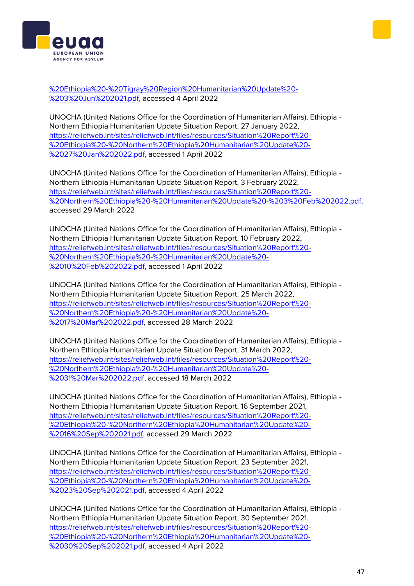

UNOCHA (United Nations Office for the Coordination of Humanitarian Affairs), Ethiopia - Northern Ethiopia Humanitarian Update Situation Report, 27 January 2022, [https://reliefweb.int/sites/reliefweb.int/files/resources/Situation%20Report%20-](https://reliefweb.int/sites/reliefweb.int/files/resources/Situation%20Report%20-%20Ethiopia%20-%20Northern%20Ethiopia%20Humanitarian%20Update%20-%2027%20Jan%202022.pdf) [%20Ethiopia%20-%20Northern%20Ethiopia%20Humanitarian%20Update%20-](https://reliefweb.int/sites/reliefweb.int/files/resources/Situation%20Report%20-%20Ethiopia%20-%20Northern%20Ethiopia%20Humanitarian%20Update%20-%2027%20Jan%202022.pdf) [%2027%20Jan%202022.pdf,](https://reliefweb.int/sites/reliefweb.int/files/resources/Situation%20Report%20-%20Ethiopia%20-%20Northern%20Ethiopia%20Humanitarian%20Update%20-%2027%20Jan%202022.pdf) accessed 1 April 2022

UNOCHA (United Nations Office for the Coordination of Humanitarian Affairs), Ethiopia - Northern Ethiopia Humanitarian Update Situation Report, 3 February 2022, [https://reliefweb.int/sites/reliefweb.int/files/resources/Situation%20Report%20-](https://reliefweb.int/sites/reliefweb.int/files/resources/Situation%20Report%20-%20Northern%20Ethiopia%20-%20Humanitarian%20Update%20-%203%20Feb%202022.pdf) [%20Northern%20Ethiopia%20-%20Humanitarian%20Update%20-%203%20Feb%202022.pdf,](https://reliefweb.int/sites/reliefweb.int/files/resources/Situation%20Report%20-%20Northern%20Ethiopia%20-%20Humanitarian%20Update%20-%203%20Feb%202022.pdf) accessed 29 March 2022

UNOCHA (United Nations Office for the Coordination of Humanitarian Affairs), Ethiopia - Northern Ethiopia Humanitarian Update Situation Report, 10 February 2022, [https://reliefweb.int/sites/reliefweb.int/files/resources/Situation%20Report%20-](https://reliefweb.int/sites/reliefweb.int/files/resources/Situation%20Report%20-%20Northern%20Ethiopia%20-%20Humanitarian%20Update%20-%2010%20Feb%202022.pdf) [%20Northern%20Ethiopia%20-%20Humanitarian%20Update%20-](https://reliefweb.int/sites/reliefweb.int/files/resources/Situation%20Report%20-%20Northern%20Ethiopia%20-%20Humanitarian%20Update%20-%2010%20Feb%202022.pdf) [%2010%20Feb%202022.pdf,](https://reliefweb.int/sites/reliefweb.int/files/resources/Situation%20Report%20-%20Northern%20Ethiopia%20-%20Humanitarian%20Update%20-%2010%20Feb%202022.pdf) accessed 1 April 2022

UNOCHA (United Nations Office for the Coordination of Humanitarian Affairs), Ethiopia - Northern Ethiopia Humanitarian Update Situation Report, 25 March 2022, [https://reliefweb.int/sites/reliefweb.int/files/resources/Situation%20Report%20-](https://reliefweb.int/sites/reliefweb.int/files/resources/Situation%20Report%20-%20Northern%20Ethiopia%20-%20Humanitarian%20Update%20-%2017%20Mar%202022.pdf) [%20Northern%20Ethiopia%20-%20Humanitarian%20Update%20-](https://reliefweb.int/sites/reliefweb.int/files/resources/Situation%20Report%20-%20Northern%20Ethiopia%20-%20Humanitarian%20Update%20-%2017%20Mar%202022.pdf) [%2017%20Mar%202022.pdf,](https://reliefweb.int/sites/reliefweb.int/files/resources/Situation%20Report%20-%20Northern%20Ethiopia%20-%20Humanitarian%20Update%20-%2017%20Mar%202022.pdf) accessed 28 March 2022

UNOCHA (United Nations Office for the Coordination of Humanitarian Affairs), Ethiopia - Northern Ethiopia Humanitarian Update Situation Report, 31 March 2022, [https://reliefweb.int/sites/reliefweb.int/files/resources/Situation%20Report%20-](https://reliefweb.int/sites/reliefweb.int/files/resources/Situation%20Report%20-%20Northern%20Ethiopia%20-%20Humanitarian%20Update%20-%2031%20Mar%202022.pdf) [%20Northern%20Ethiopia%20-%20Humanitarian%20Update%20-](https://reliefweb.int/sites/reliefweb.int/files/resources/Situation%20Report%20-%20Northern%20Ethiopia%20-%20Humanitarian%20Update%20-%2031%20Mar%202022.pdf) [%2031%20Mar%202022.pdf,](https://reliefweb.int/sites/reliefweb.int/files/resources/Situation%20Report%20-%20Northern%20Ethiopia%20-%20Humanitarian%20Update%20-%2031%20Mar%202022.pdf) accessed 18 March 2022

UNOCHA (United Nations Office for the Coordination of Humanitarian Affairs), Ethiopia - Northern Ethiopia Humanitarian Update Situation Report, 16 September 2021, [https://reliefweb.int/sites/reliefweb.int/files/resources/Situation%20Report%20-](https://reliefweb.int/sites/reliefweb.int/files/resources/Situation%20Report%20-%20Ethiopia%20-%20Northern%20Ethiopia%20Humanitarian%20Update%20-%2016%20Sep%202021.pdf) [%20Ethiopia%20-%20Northern%20Ethiopia%20Humanitarian%20Update%20-](https://reliefweb.int/sites/reliefweb.int/files/resources/Situation%20Report%20-%20Ethiopia%20-%20Northern%20Ethiopia%20Humanitarian%20Update%20-%2016%20Sep%202021.pdf) [%2016%20Sep%202021.pdf,](https://reliefweb.int/sites/reliefweb.int/files/resources/Situation%20Report%20-%20Ethiopia%20-%20Northern%20Ethiopia%20Humanitarian%20Update%20-%2016%20Sep%202021.pdf) accessed 29 March 2022

UNOCHA (United Nations Office for the Coordination of Humanitarian Affairs), Ethiopia - Northern Ethiopia Humanitarian Update Situation Report, 23 September 2021, [https://reliefweb.int/sites/reliefweb.int/files/resources/Situation%20Report%20-](https://reliefweb.int/sites/reliefweb.int/files/resources/Situation%20Report%20-%20Ethiopia%20-%20Northern%20Ethiopia%20Humanitarian%20Update%20-%2023%20Sep%202021.pdf) [%20Ethiopia%20-%20Northern%20Ethiopia%20Humanitarian%20Update%20-](https://reliefweb.int/sites/reliefweb.int/files/resources/Situation%20Report%20-%20Ethiopia%20-%20Northern%20Ethiopia%20Humanitarian%20Update%20-%2023%20Sep%202021.pdf) [%2023%20Sep%202021.pdf,](https://reliefweb.int/sites/reliefweb.int/files/resources/Situation%20Report%20-%20Ethiopia%20-%20Northern%20Ethiopia%20Humanitarian%20Update%20-%2023%20Sep%202021.pdf) accessed 4 April 2022

UNOCHA (United Nations Office for the Coordination of Humanitarian Affairs), Ethiopia - Northern Ethiopia Humanitarian Update Situation Report, 30 September 2021, [https://reliefweb.int/sites/reliefweb.int/files/resources/Situation%20Report%20-](https://reliefweb.int/sites/reliefweb.int/files/resources/Situation%20Report%20-%20Ethiopia%20-%20Northern%20Ethiopia%20Humanitarian%20Update%20-%2030%20Sep%202021.pdf) [%20Ethiopia%20-%20Northern%20Ethiopia%20Humanitarian%20Update%20-](https://reliefweb.int/sites/reliefweb.int/files/resources/Situation%20Report%20-%20Ethiopia%20-%20Northern%20Ethiopia%20Humanitarian%20Update%20-%2030%20Sep%202021.pdf) [%2030%20Sep%202021.pdf,](https://reliefweb.int/sites/reliefweb.int/files/resources/Situation%20Report%20-%20Ethiopia%20-%20Northern%20Ethiopia%20Humanitarian%20Update%20-%2030%20Sep%202021.pdf) accessed 4 April 2022



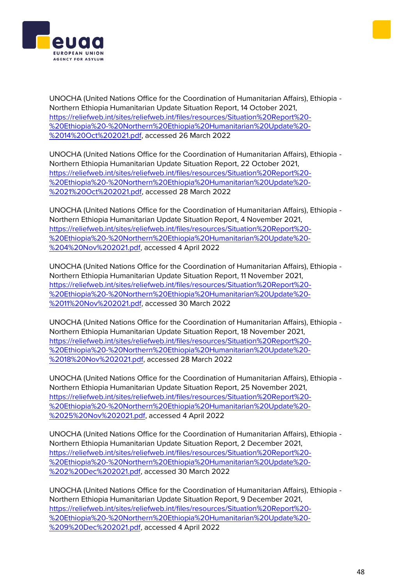



UNOCHA (United Nations Office for the Coordination of Humanitarian Affairs), Ethiopia - Northern Ethiopia Humanitarian Update Situation Report, 14 October 2021, [https://reliefweb.int/sites/reliefweb.int/files/resources/Situation%20Report%20-](https://reliefweb.int/sites/reliefweb.int/files/resources/Situation%20Report%20-%20Ethiopia%20-%20Northern%20Ethiopia%20Humanitarian%20Update%20-%2014%20Oct%202021.pdf) [%20Ethiopia%20-%20Northern%20Ethiopia%20Humanitarian%20Update%20-](https://reliefweb.int/sites/reliefweb.int/files/resources/Situation%20Report%20-%20Ethiopia%20-%20Northern%20Ethiopia%20Humanitarian%20Update%20-%2014%20Oct%202021.pdf) [%2014%20Oct%202021.pdf,](https://reliefweb.int/sites/reliefweb.int/files/resources/Situation%20Report%20-%20Ethiopia%20-%20Northern%20Ethiopia%20Humanitarian%20Update%20-%2014%20Oct%202021.pdf) accessed 26 March 2022

UNOCHA (United Nations Office for the Coordination of Humanitarian Affairs), Ethiopia - Northern Ethiopia Humanitarian Update Situation Report, 22 October 2021, [https://reliefweb.int/sites/reliefweb.int/files/resources/Situation%20Report%20-](https://reliefweb.int/sites/reliefweb.int/files/resources/Situation%20Report%20-%20Ethiopia%20-%20Northern%20Ethiopia%20Humanitarian%20Update%20-%2021%20Oct%202021.pdf) [%20Ethiopia%20-%20Northern%20Ethiopia%20Humanitarian%20Update%20-](https://reliefweb.int/sites/reliefweb.int/files/resources/Situation%20Report%20-%20Ethiopia%20-%20Northern%20Ethiopia%20Humanitarian%20Update%20-%2021%20Oct%202021.pdf) [%2021%20Oct%202021.pdf,](https://reliefweb.int/sites/reliefweb.int/files/resources/Situation%20Report%20-%20Ethiopia%20-%20Northern%20Ethiopia%20Humanitarian%20Update%20-%2021%20Oct%202021.pdf) accessed 28 March 2022

UNOCHA (United Nations Office for the Coordination of Humanitarian Affairs), Ethiopia - Northern Ethiopia Humanitarian Update Situation Report, 4 November 2021, [https://reliefweb.int/sites/reliefweb.int/files/resources/Situation%20Report%20-](https://reliefweb.int/sites/reliefweb.int/files/resources/Situation%20Report%20-%20Ethiopia%20-%20Northern%20Ethiopia%20Humanitarian%20Update%20-%204%20Nov%202021.pdf) [%20Ethiopia%20-%20Northern%20Ethiopia%20Humanitarian%20Update%20-](https://reliefweb.int/sites/reliefweb.int/files/resources/Situation%20Report%20-%20Ethiopia%20-%20Northern%20Ethiopia%20Humanitarian%20Update%20-%204%20Nov%202021.pdf) [%204%20Nov%202021.pdf,](https://reliefweb.int/sites/reliefweb.int/files/resources/Situation%20Report%20-%20Ethiopia%20-%20Northern%20Ethiopia%20Humanitarian%20Update%20-%204%20Nov%202021.pdf) accessed 4 April 2022

UNOCHA (United Nations Office for the Coordination of Humanitarian Affairs), Ethiopia - Northern Ethiopia Humanitarian Update Situation Report, 11 November 2021, [https://reliefweb.int/sites/reliefweb.int/files/resources/Situation%20Report%20-](https://reliefweb.int/sites/reliefweb.int/files/resources/Situation%20Report%20-%20Ethiopia%20-%20Northern%20Ethiopia%20Humanitarian%20Update%20-%2011%20Nov%202021.pdf) [%20Ethiopia%20-%20Northern%20Ethiopia%20Humanitarian%20Update%20-](https://reliefweb.int/sites/reliefweb.int/files/resources/Situation%20Report%20-%20Ethiopia%20-%20Northern%20Ethiopia%20Humanitarian%20Update%20-%2011%20Nov%202021.pdf) [%2011%20Nov%202021.pdf,](https://reliefweb.int/sites/reliefweb.int/files/resources/Situation%20Report%20-%20Ethiopia%20-%20Northern%20Ethiopia%20Humanitarian%20Update%20-%2011%20Nov%202021.pdf) accessed 30 March 2022

UNOCHA (United Nations Office for the Coordination of Humanitarian Affairs), Ethiopia - Northern Ethiopia Humanitarian Update Situation Report, 18 November 2021, [https://reliefweb.int/sites/reliefweb.int/files/resources/Situation%20Report%20-](https://reliefweb.int/sites/reliefweb.int/files/resources/Situation%20Report%20-%20Ethiopia%20-%20Northern%20Ethiopia%20Humanitarian%20Update%20-%2018%20Nov%202021.pdf) [%20Ethiopia%20-%20Northern%20Ethiopia%20Humanitarian%20Update%20-](https://reliefweb.int/sites/reliefweb.int/files/resources/Situation%20Report%20-%20Ethiopia%20-%20Northern%20Ethiopia%20Humanitarian%20Update%20-%2018%20Nov%202021.pdf) [%2018%20Nov%202021.pdf,](https://reliefweb.int/sites/reliefweb.int/files/resources/Situation%20Report%20-%20Ethiopia%20-%20Northern%20Ethiopia%20Humanitarian%20Update%20-%2018%20Nov%202021.pdf) accessed 28 March 2022

UNOCHA (United Nations Office for the Coordination of Humanitarian Affairs), Ethiopia - Northern Ethiopia Humanitarian Update Situation Report, 25 November 2021, [https://reliefweb.int/sites/reliefweb.int/files/resources/Situation%20Report%20-](https://reliefweb.int/sites/reliefweb.int/files/resources/Situation%20Report%20-%20Ethiopia%20-%20Northern%20Ethiopia%20Humanitarian%20Update%20-%2025%20Nov%202021.pdf) [%20Ethiopia%20-%20Northern%20Ethiopia%20Humanitarian%20Update%20-](https://reliefweb.int/sites/reliefweb.int/files/resources/Situation%20Report%20-%20Ethiopia%20-%20Northern%20Ethiopia%20Humanitarian%20Update%20-%2025%20Nov%202021.pdf) [%2025%20Nov%202021.pdf,](https://reliefweb.int/sites/reliefweb.int/files/resources/Situation%20Report%20-%20Ethiopia%20-%20Northern%20Ethiopia%20Humanitarian%20Update%20-%2025%20Nov%202021.pdf) accessed 4 April 2022

UNOCHA (United Nations Office for the Coordination of Humanitarian Affairs), Ethiopia - Northern Ethiopia Humanitarian Update Situation Report, 2 December 2021, [https://reliefweb.int/sites/reliefweb.int/files/resources/Situation%20Report%20-](https://reliefweb.int/sites/reliefweb.int/files/resources/Situation%20Report%20-%20Ethiopia%20-%20Northern%20Ethiopia%20Humanitarian%20Update%20-%202%20Dec%202021.pdf) [%20Ethiopia%20-%20Northern%20Ethiopia%20Humanitarian%20Update%20-](https://reliefweb.int/sites/reliefweb.int/files/resources/Situation%20Report%20-%20Ethiopia%20-%20Northern%20Ethiopia%20Humanitarian%20Update%20-%202%20Dec%202021.pdf) [%202%20Dec%202021.pdf,](https://reliefweb.int/sites/reliefweb.int/files/resources/Situation%20Report%20-%20Ethiopia%20-%20Northern%20Ethiopia%20Humanitarian%20Update%20-%202%20Dec%202021.pdf) accessed 30 March 2022

UNOCHA (United Nations Office for the Coordination of Humanitarian Affairs), Ethiopia - Northern Ethiopia Humanitarian Update Situation Report, 9 December 2021, [https://reliefweb.int/sites/reliefweb.int/files/resources/Situation%20Report%20-](https://reliefweb.int/sites/reliefweb.int/files/resources/Situation%20Report%20-%20Ethiopia%20-%20Northern%20Ethiopia%20Humanitarian%20Update%20-%209%20Dec%202021.pdf) [%20Ethiopia%20-%20Northern%20Ethiopia%20Humanitarian%20Update%20-](https://reliefweb.int/sites/reliefweb.int/files/resources/Situation%20Report%20-%20Ethiopia%20-%20Northern%20Ethiopia%20Humanitarian%20Update%20-%209%20Dec%202021.pdf) [%209%20Dec%202021.pdf,](https://reliefweb.int/sites/reliefweb.int/files/resources/Situation%20Report%20-%20Ethiopia%20-%20Northern%20Ethiopia%20Humanitarian%20Update%20-%209%20Dec%202021.pdf) accessed 4 April 2022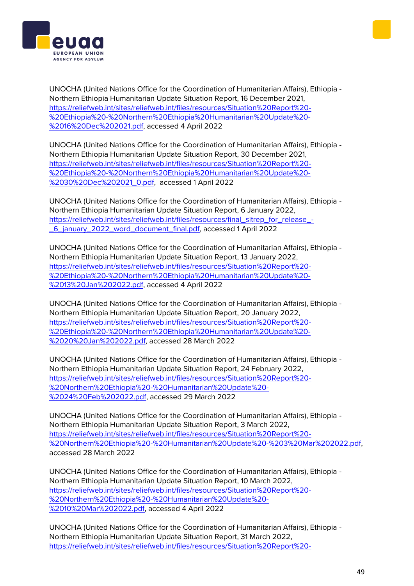



UNOCHA (United Nations Office for the Coordination of Humanitarian Affairs), Ethiopia - Northern Ethiopia Humanitarian Update Situation Report, 16 December 2021, [https://reliefweb.int/sites/reliefweb.int/files/resources/Situation%20Report%20-](https://reliefweb.int/sites/reliefweb.int/files/resources/Situation%20Report%20-%20Ethiopia%20-%20Northern%20Ethiopia%20Humanitarian%20Update%20-%2016%20Dec%202021.pdf) [%20Ethiopia%20-%20Northern%20Ethiopia%20Humanitarian%20Update%20-](https://reliefweb.int/sites/reliefweb.int/files/resources/Situation%20Report%20-%20Ethiopia%20-%20Northern%20Ethiopia%20Humanitarian%20Update%20-%2016%20Dec%202021.pdf) [%2016%20Dec%202021.pdf,](https://reliefweb.int/sites/reliefweb.int/files/resources/Situation%20Report%20-%20Ethiopia%20-%20Northern%20Ethiopia%20Humanitarian%20Update%20-%2016%20Dec%202021.pdf) accessed 4 April 2022

UNOCHA (United Nations Office for the Coordination of Humanitarian Affairs), Ethiopia - Northern Ethiopia Humanitarian Update Situation Report, 30 December 2021, [https://reliefweb.int/sites/reliefweb.int/files/resources/Situation%20Report%20-](https://reliefweb.int/sites/reliefweb.int/files/resources/Situation%20Report%20-%20Ethiopia%20-%20Northern%20Ethiopia%20Humanitarian%20Update%20-%2030%20Dec%202021_0.pdf) [%20Ethiopia%20-%20Northern%20Ethiopia%20Humanitarian%20Update%20-](https://reliefweb.int/sites/reliefweb.int/files/resources/Situation%20Report%20-%20Ethiopia%20-%20Northern%20Ethiopia%20Humanitarian%20Update%20-%2030%20Dec%202021_0.pdf) [%2030%20Dec%202021\\_0.pdf,](https://reliefweb.int/sites/reliefweb.int/files/resources/Situation%20Report%20-%20Ethiopia%20-%20Northern%20Ethiopia%20Humanitarian%20Update%20-%2030%20Dec%202021_0.pdf) accessed 1 April 2022

UNOCHA (United Nations Office for the Coordination of Humanitarian Affairs), Ethiopia - Northern Ethiopia Humanitarian Update Situation Report, 6 January 2022, [https://reliefweb.int/sites/reliefweb.int/files/resources/final\\_sitrep\\_for\\_release\\_-](https://reliefweb.int/sites/reliefweb.int/files/resources/final_sitrep_for_release_-_6_january_2022_word_document_final.pdf) [\\_6\\_january\\_2022\\_word\\_document\\_final.pdf,](https://reliefweb.int/sites/reliefweb.int/files/resources/final_sitrep_for_release_-_6_january_2022_word_document_final.pdf) accessed 1 April 2022

UNOCHA (United Nations Office for the Coordination of Humanitarian Affairs), Ethiopia - Northern Ethiopia Humanitarian Update Situation Report, 13 January 2022, [https://reliefweb.int/sites/reliefweb.int/files/resources/Situation%20Report%20-](https://reliefweb.int/sites/reliefweb.int/files/resources/Situation%20Report%20-%20Ethiopia%20-%20Northern%20Ethiopia%20Humanitarian%20Update%20-%2013%20Jan%202022.pdf) [%20Ethiopia%20-%20Northern%20Ethiopia%20Humanitarian%20Update%20-](https://reliefweb.int/sites/reliefweb.int/files/resources/Situation%20Report%20-%20Ethiopia%20-%20Northern%20Ethiopia%20Humanitarian%20Update%20-%2013%20Jan%202022.pdf) [%2013%20Jan%202022.pdf,](https://reliefweb.int/sites/reliefweb.int/files/resources/Situation%20Report%20-%20Ethiopia%20-%20Northern%20Ethiopia%20Humanitarian%20Update%20-%2013%20Jan%202022.pdf) accessed 4 April 2022

UNOCHA (United Nations Office for the Coordination of Humanitarian Affairs), Ethiopia - Northern Ethiopia Humanitarian Update Situation Report, 20 January 2022, [https://reliefweb.int/sites/reliefweb.int/files/resources/Situation%20Report%20-](https://reliefweb.int/sites/reliefweb.int/files/resources/Situation%20Report%20-%20Ethiopia%20-%20Northern%20Ethiopia%20Humanitarian%20Update%20-%2020%20Jan%202022.pdf) [%20Ethiopia%20-%20Northern%20Ethiopia%20Humanitarian%20Update%20-](https://reliefweb.int/sites/reliefweb.int/files/resources/Situation%20Report%20-%20Ethiopia%20-%20Northern%20Ethiopia%20Humanitarian%20Update%20-%2020%20Jan%202022.pdf) [%2020%20Jan%202022.pdf,](https://reliefweb.int/sites/reliefweb.int/files/resources/Situation%20Report%20-%20Ethiopia%20-%20Northern%20Ethiopia%20Humanitarian%20Update%20-%2020%20Jan%202022.pdf) accessed 28 March 2022

UNOCHA (United Nations Office for the Coordination of Humanitarian Affairs), Ethiopia - Northern Ethiopia Humanitarian Update Situation Report, 24 February 2022, [https://reliefweb.int/sites/reliefweb.int/files/resources/Situation%20Report%20-](https://reliefweb.int/sites/reliefweb.int/files/resources/Situation%20Report%20-%20Northern%20Ethiopia%20-%20Humanitarian%20Update%20-%2024%20Feb%202022.pdf) [%20Northern%20Ethiopia%20-%20Humanitarian%20Update%20-](https://reliefweb.int/sites/reliefweb.int/files/resources/Situation%20Report%20-%20Northern%20Ethiopia%20-%20Humanitarian%20Update%20-%2024%20Feb%202022.pdf) [%2024%20Feb%202022.pdf,](https://reliefweb.int/sites/reliefweb.int/files/resources/Situation%20Report%20-%20Northern%20Ethiopia%20-%20Humanitarian%20Update%20-%2024%20Feb%202022.pdf) accessed 29 March 2022

UNOCHA (United Nations Office for the Coordination of Humanitarian Affairs), Ethiopia - Northern Ethiopia Humanitarian Update Situation Report, 3 March 2022, [https://reliefweb.int/sites/reliefweb.int/files/resources/Situation%20Report%20-](https://reliefweb.int/sites/reliefweb.int/files/resources/Situation%20Report%20-%20Northern%20Ethiopia%20-%20Humanitarian%20Update%20-%203%20Mar%202022.pdf) [%20Northern%20Ethiopia%20-%20Humanitarian%20Update%20-%203%20Mar%202022.pdf,](https://reliefweb.int/sites/reliefweb.int/files/resources/Situation%20Report%20-%20Northern%20Ethiopia%20-%20Humanitarian%20Update%20-%203%20Mar%202022.pdf) accessed 28 March 2022

UNOCHA (United Nations Office for the Coordination of Humanitarian Affairs), Ethiopia - Northern Ethiopia Humanitarian Update Situation Report, 10 March 2022, [https://reliefweb.int/sites/reliefweb.int/files/resources/Situation%20Report%20-](https://reliefweb.int/sites/reliefweb.int/files/resources/Situation%20Report%20-%20Northern%20Ethiopia%20-%20Humanitarian%20Update%20-%2010%20Mar%202022.pdf) [%20Northern%20Ethiopia%20-%20Humanitarian%20Update%20-](https://reliefweb.int/sites/reliefweb.int/files/resources/Situation%20Report%20-%20Northern%20Ethiopia%20-%20Humanitarian%20Update%20-%2010%20Mar%202022.pdf) [%2010%20Mar%202022.pdf,](https://reliefweb.int/sites/reliefweb.int/files/resources/Situation%20Report%20-%20Northern%20Ethiopia%20-%20Humanitarian%20Update%20-%2010%20Mar%202022.pdf) accessed 4 April 2022

UNOCHA (United Nations Office for the Coordination of Humanitarian Affairs), Ethiopia - Northern Ethiopia Humanitarian Update Situation Report, 31 March 2022, [https://reliefweb.int/sites/reliefweb.int/files/resources/Situation%20Report%20-](https://reliefweb.int/sites/reliefweb.int/files/resources/Situation%20Report%20-%20Northern%20Ethiopia%20-%20Humanitarian%20Update%20-%2031%20Mar%202022.pdf)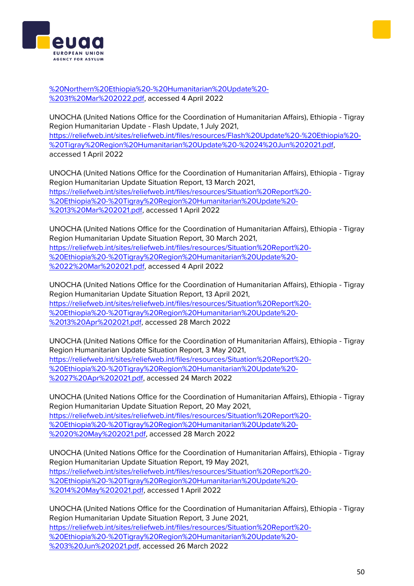[%20Northern%20Ethiopia%20-%20Humanitarian%20Update%20-](https://reliefweb.int/sites/reliefweb.int/files/resources/Situation%20Report%20-%20Northern%20Ethiopia%20-%20Humanitarian%20Update%20-%2031%20Mar%202022.pdf) [%2031%20Mar%202022.pdf,](https://reliefweb.int/sites/reliefweb.int/files/resources/Situation%20Report%20-%20Northern%20Ethiopia%20-%20Humanitarian%20Update%20-%2031%20Mar%202022.pdf) accessed 4 April 2022

UNOCHA (United Nations Office for the Coordination of Humanitarian Affairs), Ethiopia - Tigray Region Humanitarian Update - Flash Update, 1 July 2021, [https://reliefweb.int/sites/reliefweb.int/files/resources/Flash%20Update%20-%20Ethiopia%20-](https://reliefweb.int/sites/reliefweb.int/files/resources/Flash%20Update%20-%20Ethiopia%20-%20Tigray%20Region%20Humanitarian%20Update%20-%2024%20Jun%202021.pdf) [%20Tigray%20Region%20Humanitarian%20Update%20-%2024%20Jun%202021.pdf,](https://reliefweb.int/sites/reliefweb.int/files/resources/Flash%20Update%20-%20Ethiopia%20-%20Tigray%20Region%20Humanitarian%20Update%20-%2024%20Jun%202021.pdf) accessed 1 April 2022

UNOCHA (United Nations Office for the Coordination of Humanitarian Affairs), Ethiopia - Tigray Region Humanitarian Update Situation Report, 13 March 2021, [https://reliefweb.int/sites/reliefweb.int/files/resources/Situation%20Report%20-](https://reliefweb.int/sites/reliefweb.int/files/resources/Situation%20Report%20-%20Ethiopia%20-%20Tigray%20Region%20Humanitarian%20Update%20-%2013%20Mar%202021.pdf) [%20Ethiopia%20-%20Tigray%20Region%20Humanitarian%20Update%20-](https://reliefweb.int/sites/reliefweb.int/files/resources/Situation%20Report%20-%20Ethiopia%20-%20Tigray%20Region%20Humanitarian%20Update%20-%2013%20Mar%202021.pdf) [%2013%20Mar%202021.pdf,](https://reliefweb.int/sites/reliefweb.int/files/resources/Situation%20Report%20-%20Ethiopia%20-%20Tigray%20Region%20Humanitarian%20Update%20-%2013%20Mar%202021.pdf) accessed 1 April 2022

UNOCHA (United Nations Office for the Coordination of Humanitarian Affairs), Ethiopia - Tigray Region Humanitarian Update Situation Report, 30 March 2021, [https://reliefweb.int/sites/reliefweb.int/files/resources/Situation%20Report%20-](https://reliefweb.int/sites/reliefweb.int/files/resources/Situation%20Report%20-%20Ethiopia%20-%20Tigray%20Region%20Humanitarian%20Update%20-%2022%20Mar%202021.pdf) [%20Ethiopia%20-%20Tigray%20Region%20Humanitarian%20Update%20-](https://reliefweb.int/sites/reliefweb.int/files/resources/Situation%20Report%20-%20Ethiopia%20-%20Tigray%20Region%20Humanitarian%20Update%20-%2022%20Mar%202021.pdf) [%2022%20Mar%202021.pdf,](https://reliefweb.int/sites/reliefweb.int/files/resources/Situation%20Report%20-%20Ethiopia%20-%20Tigray%20Region%20Humanitarian%20Update%20-%2022%20Mar%202021.pdf) accessed 4 April 2022

UNOCHA (United Nations Office for the Coordination of Humanitarian Affairs), Ethiopia - Tigray Region Humanitarian Update Situation Report, 13 April 2021, [https://reliefweb.int/sites/reliefweb.int/files/resources/Situation%20Report%20-](https://reliefweb.int/sites/reliefweb.int/files/resources/Situation%20Report%20-%20Ethiopia%20-%20Tigray%20Region%20Humanitarian%20Update%20-%2013%20Apr%202021.pdf) [%20Ethiopia%20-%20Tigray%20Region%20Humanitarian%20Update%20-](https://reliefweb.int/sites/reliefweb.int/files/resources/Situation%20Report%20-%20Ethiopia%20-%20Tigray%20Region%20Humanitarian%20Update%20-%2013%20Apr%202021.pdf) [%2013%20Apr%202021.pdf,](https://reliefweb.int/sites/reliefweb.int/files/resources/Situation%20Report%20-%20Ethiopia%20-%20Tigray%20Region%20Humanitarian%20Update%20-%2013%20Apr%202021.pdf) accessed 28 March 2022

UNOCHA (United Nations Office for the Coordination of Humanitarian Affairs), Ethiopia - Tigray Region Humanitarian Update Situation Report, 3 May 2021, [https://reliefweb.int/sites/reliefweb.int/files/resources/Situation%20Report%20-](https://reliefweb.int/sites/reliefweb.int/files/resources/Situation%20Report%20-%20Ethiopia%20-%20Tigray%20Region%20Humanitarian%20Update%20-%2027%20Apr%202021.pdf) [%20Ethiopia%20-%20Tigray%20Region%20Humanitarian%20Update%20-](https://reliefweb.int/sites/reliefweb.int/files/resources/Situation%20Report%20-%20Ethiopia%20-%20Tigray%20Region%20Humanitarian%20Update%20-%2027%20Apr%202021.pdf) [%2027%20Apr%202021.pdf,](https://reliefweb.int/sites/reliefweb.int/files/resources/Situation%20Report%20-%20Ethiopia%20-%20Tigray%20Region%20Humanitarian%20Update%20-%2027%20Apr%202021.pdf) accessed 24 March 2022

UNOCHA (United Nations Office for the Coordination of Humanitarian Affairs), Ethiopia - Tigray Region Humanitarian Update Situation Report, 20 May 2021, [https://reliefweb.int/sites/reliefweb.int/files/resources/Situation%20Report%20-](https://reliefweb.int/sites/reliefweb.int/files/resources/Situation%20Report%20-%20Ethiopia%20-%20Tigray%20Region%20Humanitarian%20Update%20-%2020%20May%202021.pdf) [%20Ethiopia%20-%20Tigray%20Region%20Humanitarian%20Update%20-](https://reliefweb.int/sites/reliefweb.int/files/resources/Situation%20Report%20-%20Ethiopia%20-%20Tigray%20Region%20Humanitarian%20Update%20-%2020%20May%202021.pdf) [%2020%20May%202021.pdf,](https://reliefweb.int/sites/reliefweb.int/files/resources/Situation%20Report%20-%20Ethiopia%20-%20Tigray%20Region%20Humanitarian%20Update%20-%2020%20May%202021.pdf) accessed 28 March 2022

UNOCHA (United Nations Office for the Coordination of Humanitarian Affairs), Ethiopia - Tigray Region Humanitarian Update Situation Report, 19 May 2021, [https://reliefweb.int/sites/reliefweb.int/files/resources/Situation%20Report%20-](https://reliefweb.int/sites/reliefweb.int/files/resources/Situation%20Report%20-%20Ethiopia%20-%20Tigray%20Region%20Humanitarian%20Update%20-%2014%20May%202021.pdf) [%20Ethiopia%20-%20Tigray%20Region%20Humanitarian%20Update%20-](https://reliefweb.int/sites/reliefweb.int/files/resources/Situation%20Report%20-%20Ethiopia%20-%20Tigray%20Region%20Humanitarian%20Update%20-%2014%20May%202021.pdf) [%2014%20May%202021.pdf,](https://reliefweb.int/sites/reliefweb.int/files/resources/Situation%20Report%20-%20Ethiopia%20-%20Tigray%20Region%20Humanitarian%20Update%20-%2014%20May%202021.pdf) accessed 1 April 2022

UNOCHA (United Nations Office for the Coordination of Humanitarian Affairs), Ethiopia - Tigray Region Humanitarian Update Situation Report, 3 June 2021, [https://reliefweb.int/sites/reliefweb.int/files/resources/Situation%20Report%20-](https://reliefweb.int/sites/reliefweb.int/files/resources/Situation%20Report%20-%20Ethiopia%20-%20Tigray%20Region%20Humanitarian%20Update%20-%203%20Jun%202021.pdf) [%20Ethiopia%20-%20Tigray%20Region%20Humanitarian%20Update%20-](https://reliefweb.int/sites/reliefweb.int/files/resources/Situation%20Report%20-%20Ethiopia%20-%20Tigray%20Region%20Humanitarian%20Update%20-%203%20Jun%202021.pdf) [%203%20Jun%202021.pdf,](https://reliefweb.int/sites/reliefweb.int/files/resources/Situation%20Report%20-%20Ethiopia%20-%20Tigray%20Region%20Humanitarian%20Update%20-%203%20Jun%202021.pdf) accessed 26 March 2022



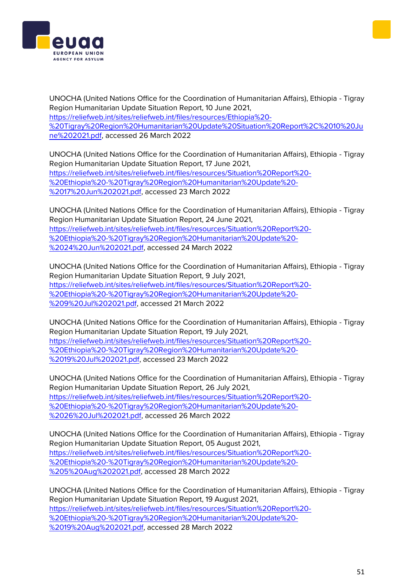

UNOCHA (United Nations Office for the Coordination of Humanitarian Affairs), Ethiopia - Tigray Region Humanitarian Update Situation Report, 10 June 2021, [https://reliefweb.int/sites/reliefweb.int/files/resources/Ethiopia%20-](https://reliefweb.int/sites/reliefweb.int/files/resources/Ethiopia%20-%20Tigray%20Region%20Humanitarian%20Update%20Situation%20Report%2C%2010%20June%202021.pdf) [%20Tigray%20Region%20Humanitarian%20Update%20Situation%20Report%2C%2010%20Ju](https://reliefweb.int/sites/reliefweb.int/files/resources/Ethiopia%20-%20Tigray%20Region%20Humanitarian%20Update%20Situation%20Report%2C%2010%20June%202021.pdf) [ne%202021.pdf,](https://reliefweb.int/sites/reliefweb.int/files/resources/Ethiopia%20-%20Tigray%20Region%20Humanitarian%20Update%20Situation%20Report%2C%2010%20June%202021.pdf) accessed 26 March 2022

UNOCHA (United Nations Office for the Coordination of Humanitarian Affairs), Ethiopia - Tigray Region Humanitarian Update Situation Report, 17 June 2021, [https://reliefweb.int/sites/reliefweb.int/files/resources/Situation%20Report%20-](https://reliefweb.int/sites/reliefweb.int/files/resources/Situation%20Report%20-%20Ethiopia%20-%20Tigray%20Region%20Humanitarian%20Update%20-%2017%20Jun%202021.pdf) [%20Ethiopia%20-%20Tigray%20Region%20Humanitarian%20Update%20-](https://reliefweb.int/sites/reliefweb.int/files/resources/Situation%20Report%20-%20Ethiopia%20-%20Tigray%20Region%20Humanitarian%20Update%20-%2017%20Jun%202021.pdf) [%2017%20Jun%202021.pdf,](https://reliefweb.int/sites/reliefweb.int/files/resources/Situation%20Report%20-%20Ethiopia%20-%20Tigray%20Region%20Humanitarian%20Update%20-%2017%20Jun%202021.pdf) accessed 23 March 2022

UNOCHA (United Nations Office for the Coordination of Humanitarian Affairs), Ethiopia - Tigray Region Humanitarian Update Situation Report, 24 June 2021, [https://reliefweb.int/sites/reliefweb.int/files/resources/Situation%20Report%20-](https://reliefweb.int/sites/reliefweb.int/files/resources/Situation%20Report%20-%20Ethiopia%20-%20Tigray%20Region%20Humanitarian%20Update%20-%2024%20Jun%202021.pdf) [%20Ethiopia%20-%20Tigray%20Region%20Humanitarian%20Update%20-](https://reliefweb.int/sites/reliefweb.int/files/resources/Situation%20Report%20-%20Ethiopia%20-%20Tigray%20Region%20Humanitarian%20Update%20-%2024%20Jun%202021.pdf) [%2024%20Jun%202021.pdf,](https://reliefweb.int/sites/reliefweb.int/files/resources/Situation%20Report%20-%20Ethiopia%20-%20Tigray%20Region%20Humanitarian%20Update%20-%2024%20Jun%202021.pdf) accessed 24 March 2022

UNOCHA (United Nations Office for the Coordination of Humanitarian Affairs), Ethiopia - Tigray Region Humanitarian Update Situation Report, 9 July 2021, [https://reliefweb.int/sites/reliefweb.int/files/resources/Situation%20Report%20-](https://reliefweb.int/sites/reliefweb.int/files/resources/Situation%20Report%20-%20Ethiopia%20-%20Tigray%20Region%20Humanitarian%20Update%20-%209%20Jul%202021.pdf) [%20Ethiopia%20-%20Tigray%20Region%20Humanitarian%20Update%20-](https://reliefweb.int/sites/reliefweb.int/files/resources/Situation%20Report%20-%20Ethiopia%20-%20Tigray%20Region%20Humanitarian%20Update%20-%209%20Jul%202021.pdf) [%209%20Jul%202021.pdf,](https://reliefweb.int/sites/reliefweb.int/files/resources/Situation%20Report%20-%20Ethiopia%20-%20Tigray%20Region%20Humanitarian%20Update%20-%209%20Jul%202021.pdf) accessed 21 March 2022

UNOCHA (United Nations Office for the Coordination of Humanitarian Affairs), Ethiopia - Tigray Region Humanitarian Update Situation Report, 19 July 2021, [https://reliefweb.int/sites/reliefweb.int/files/resources/Situation%20Report%20-](https://reliefweb.int/sites/reliefweb.int/files/resources/Situation%20Report%20-%20Ethiopia%20-%20Tigray%20Region%20Humanitarian%20Update%20-%2019%20Jul%202021.pdf) [%20Ethiopia%20-%20Tigray%20Region%20Humanitarian%20Update%20-](https://reliefweb.int/sites/reliefweb.int/files/resources/Situation%20Report%20-%20Ethiopia%20-%20Tigray%20Region%20Humanitarian%20Update%20-%2019%20Jul%202021.pdf) [%2019%20Jul%202021.pdf,](https://reliefweb.int/sites/reliefweb.int/files/resources/Situation%20Report%20-%20Ethiopia%20-%20Tigray%20Region%20Humanitarian%20Update%20-%2019%20Jul%202021.pdf) accessed 23 March 2022

UNOCHA (United Nations Office for the Coordination of Humanitarian Affairs), Ethiopia - Tigray Region Humanitarian Update Situation Report, 26 July 2021, [https://reliefweb.int/sites/reliefweb.int/files/resources/Situation%20Report%20-](https://reliefweb.int/sites/reliefweb.int/files/resources/Situation%20Report%20-%20Ethiopia%20-%20Tigray%20Region%20Humanitarian%20Update%20-%2026%20Jul%202021.pdf) [%20Ethiopia%20-%20Tigray%20Region%20Humanitarian%20Update%20-](https://reliefweb.int/sites/reliefweb.int/files/resources/Situation%20Report%20-%20Ethiopia%20-%20Tigray%20Region%20Humanitarian%20Update%20-%2026%20Jul%202021.pdf) [%2026%20Jul%202021.pdf,](https://reliefweb.int/sites/reliefweb.int/files/resources/Situation%20Report%20-%20Ethiopia%20-%20Tigray%20Region%20Humanitarian%20Update%20-%2026%20Jul%202021.pdf) accessed 26 March 2022

UNOCHA (United Nations Office for the Coordination of Humanitarian Affairs), Ethiopia - Tigray Region Humanitarian Update Situation Report, 05 August 2021, [https://reliefweb.int/sites/reliefweb.int/files/resources/Situation%20Report%20-](https://reliefweb.int/sites/reliefweb.int/files/resources/Situation%20Report%20-%20Ethiopia%20-%20Tigray%20Region%20Humanitarian%20Update%20-%205%20Aug%202021.pdf) [%20Ethiopia%20-%20Tigray%20Region%20Humanitarian%20Update%20-](https://reliefweb.int/sites/reliefweb.int/files/resources/Situation%20Report%20-%20Ethiopia%20-%20Tigray%20Region%20Humanitarian%20Update%20-%205%20Aug%202021.pdf) [%205%20Aug%202021.pdf,](https://reliefweb.int/sites/reliefweb.int/files/resources/Situation%20Report%20-%20Ethiopia%20-%20Tigray%20Region%20Humanitarian%20Update%20-%205%20Aug%202021.pdf) accessed 28 March 2022

UNOCHA (United Nations Office for the Coordination of Humanitarian Affairs), Ethiopia - Tigray Region Humanitarian Update Situation Report, 19 August 2021, [https://reliefweb.int/sites/reliefweb.int/files/resources/Situation%20Report%20-](https://reliefweb.int/sites/reliefweb.int/files/resources/Situation%20Report%20-%20Ethiopia%20-%20Tigray%20Region%20Humanitarian%20Update%20-%2019%20Aug%202021.pdf) [%20Ethiopia%20-%20Tigray%20Region%20Humanitarian%20Update%20-](https://reliefweb.int/sites/reliefweb.int/files/resources/Situation%20Report%20-%20Ethiopia%20-%20Tigray%20Region%20Humanitarian%20Update%20-%2019%20Aug%202021.pdf) [%2019%20Aug%202021.pdf,](https://reliefweb.int/sites/reliefweb.int/files/resources/Situation%20Report%20-%20Ethiopia%20-%20Tigray%20Region%20Humanitarian%20Update%20-%2019%20Aug%202021.pdf) accessed 28 March 2022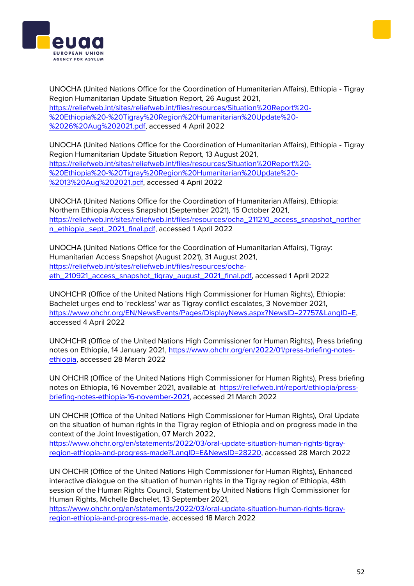

UNOCHA (United Nations Office for the Coordination of Humanitarian Affairs), Ethiopia - Tigray Region Humanitarian Update Situation Report, 26 August 2021, [https://reliefweb.int/sites/reliefweb.int/files/resources/Situation%20Report%20-](https://reliefweb.int/sites/reliefweb.int/files/resources/Situation%20Report%20-%20Ethiopia%20-%20Tigray%20Region%20Humanitarian%20Update%20-%2026%20Aug%202021.pdf) [%20Ethiopia%20-%20Tigray%20Region%20Humanitarian%20Update%20-](https://reliefweb.int/sites/reliefweb.int/files/resources/Situation%20Report%20-%20Ethiopia%20-%20Tigray%20Region%20Humanitarian%20Update%20-%2026%20Aug%202021.pdf) [%2026%20Aug%202021.pdf,](https://reliefweb.int/sites/reliefweb.int/files/resources/Situation%20Report%20-%20Ethiopia%20-%20Tigray%20Region%20Humanitarian%20Update%20-%2026%20Aug%202021.pdf) accessed 4 April 2022

UNOCHA (United Nations Office for the Coordination of Humanitarian Affairs), Ethiopia - Tigray Region Humanitarian Update Situation Report, 13 August 2021, [https://reliefweb.int/sites/reliefweb.int/files/resources/Situation%20Report%20-](https://reliefweb.int/sites/reliefweb.int/files/resources/Situation%20Report%20-%20Ethiopia%20-%20Tigray%20Region%20Humanitarian%20Update%20-%2013%20Aug%202021.pdf) [%20Ethiopia%20-%20Tigray%20Region%20Humanitarian%20Update%20-](https://reliefweb.int/sites/reliefweb.int/files/resources/Situation%20Report%20-%20Ethiopia%20-%20Tigray%20Region%20Humanitarian%20Update%20-%2013%20Aug%202021.pdf) [%2013%20Aug%202021.pdf,](https://reliefweb.int/sites/reliefweb.int/files/resources/Situation%20Report%20-%20Ethiopia%20-%20Tigray%20Region%20Humanitarian%20Update%20-%2013%20Aug%202021.pdf) accessed 4 April 2022

UNOCHA (United Nations Office for the Coordination of Humanitarian Affairs), Ethiopia: Northern Ethiopia Access Snapshot (September 2021), 15 October 2021, [https://reliefweb.int/sites/reliefweb.int/files/resources/ocha\\_211210\\_access\\_snapshot\\_norther](https://reliefweb.int/sites/reliefweb.int/files/resources/ocha_211210_access_snapshot_northern_ethiopia_sept_2021_final.pdf) [n\\_ethiopia\\_sept\\_2021\\_final.pdf,](https://reliefweb.int/sites/reliefweb.int/files/resources/ocha_211210_access_snapshot_northern_ethiopia_sept_2021_final.pdf) accessed 1 April 2022

UNOCHA (United Nations Office for the Coordination of Humanitarian Affairs), Tigray: Humanitarian Access Snapshot (August 2021), 31 August 2021, [https://reliefweb.int/sites/reliefweb.int/files/resources/ocha](https://reliefweb.int/sites/reliefweb.int/files/resources/ocha-eth_210921_access_snapshot_tigray_august_2021_final.pdf)[eth\\_210921\\_access\\_snapshot\\_tigray\\_august\\_2021\\_final.pdf,](https://reliefweb.int/sites/reliefweb.int/files/resources/ocha-eth_210921_access_snapshot_tigray_august_2021_final.pdf) accessed 1 April 2022

UNOHCHR (Office of the United Nations High Commissioner for Human Rights), Ethiopia: Bachelet urges end to 'reckless' war as Tigray conflict escalates, 3 November 2021, [https://www.ohchr.org/EN/NewsEvents/Pages/DisplayNews.aspx?NewsID=27757&LangID=E,](https://www.ohchr.org/EN/NewsEvents/Pages/DisplayNews.aspx?NewsID=27757&LangID=E) accessed 4 April 2022

UNOHCHR (Office of the United Nations High Commissioner for Human Rights), Press briefing notes on Ethiopia, 14 January 2021, [https://www.ohchr.org/en/2022/01/press-briefing-notes](https://www.ohchr.org/en/2022/01/press-briefing-notes-ethiopia)[ethiopia,](https://www.ohchr.org/en/2022/01/press-briefing-notes-ethiopia) accessed 28 March 2022

UN OHCHR (Office of the United Nations High Commissioner for Human Rights), Press briefing notes on Ethiopia, 16 November 2021, available at [https://reliefweb.int/report/ethiopia/press](https://reliefweb.int/report/ethiopia/press-briefing-notes-ethiopia-16-november-2021)[briefing-notes-ethiopia-16-november-2021,](https://reliefweb.int/report/ethiopia/press-briefing-notes-ethiopia-16-november-2021) accessed 21 March 2022

UN OHCHR (Office of the United Nations High Commissioner for Human Rights), Oral Update on the situation of human rights in the Tigray region of Ethiopia and on progress made in the context of the Joint Investigation, 07 March 2022,

[https://www.ohchr.org/en/statements/2022/03/oral-update-situation-human-rights-tigray](https://www.ohchr.org/en/statements/2022/03/oral-update-situation-human-rights-tigray-region-ethiopia-and-progress-made?LangID=E&NewsID=28220)[region-ethiopia-and-progress-made?LangID=E&NewsID=28220,](https://www.ohchr.org/en/statements/2022/03/oral-update-situation-human-rights-tigray-region-ethiopia-and-progress-made?LangID=E&NewsID=28220) accessed 28 March 2022

UN OHCHR (Office of the United Nations High Commissioner for Human Rights), Enhanced interactive dialogue on the situation of human rights in the Tigray region of Ethiopia, 48th session of the Human Rights Council, Statement by United Nations High Commissioner for Human Rights, Michelle Bachelet, 13 September 2021,

[https://www.ohchr.org/en/statements/2022/03/oral-update-situation-human-rights-tigray](https://www.ohchr.org/en/statements/2022/03/oral-update-situation-human-rights-tigray-region-ethiopia-and-progress-made)[region-ethiopia-and-progress-made,](https://www.ohchr.org/en/statements/2022/03/oral-update-situation-human-rights-tigray-region-ethiopia-and-progress-made) accessed 18 March 2022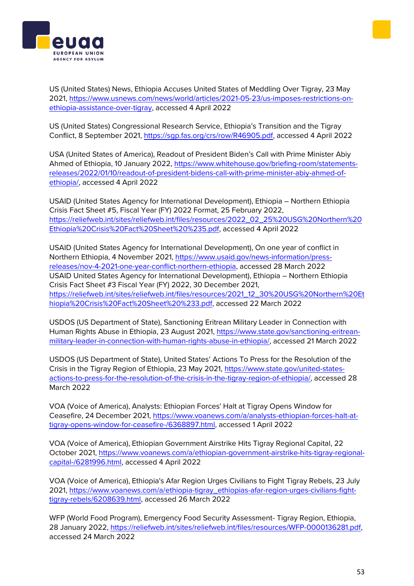



US (United States) News, Ethiopia Accuses United States of Meddling Over Tigray, 23 May 2021, [https://www.usnews.com/news/world/articles/2021-05-23/us-imposes-restrictions-on](https://www.usnews.com/news/world/articles/2021-05-23/us-imposes-restrictions-on-ethiopia-assistance-over-tigray)[ethiopia-assistance-over-tigray,](https://www.usnews.com/news/world/articles/2021-05-23/us-imposes-restrictions-on-ethiopia-assistance-over-tigray) accessed 4 April 2022

US (United States) Congressional Research Service, Ethiopia's Transition and the Tigray Conflict, 8 September 2021, [https://sgp.fas.org/crs/row/R46905.pdf,](https://sgp.fas.org/crs/row/R46905.pdf) accessed 4 April 2022

USA (United States of America), Readout of President Biden's Call with Prime Minister Abiy Ahmed of Ethiopia, 10 January 2022, [https://www.whitehouse.gov/briefing-room/statements](https://www.whitehouse.gov/briefing-room/statements-releases/2022/01/10/readout-of-president-bidens-call-with-prime-minister-abiy-ahmed-of-ethiopia/)[releases/2022/01/10/readout-of-president-bidens-call-with-prime-minister-abiy-ahmed-of](https://www.whitehouse.gov/briefing-room/statements-releases/2022/01/10/readout-of-president-bidens-call-with-prime-minister-abiy-ahmed-of-ethiopia/)[ethiopia/,](https://www.whitehouse.gov/briefing-room/statements-releases/2022/01/10/readout-of-president-bidens-call-with-prime-minister-abiy-ahmed-of-ethiopia/) accessed 4 April 2022

USAID (United States Agency for International Development), Ethiopia – Northern Ethiopia Crisis Fact Sheet #5, Fiscal Year (FY) 2022 Format, 25 February 2022, [https://reliefweb.int/sites/reliefweb.int/files/resources/2022\\_02\\_25%20USG%20Northern%20](https://reliefweb.int/sites/reliefweb.int/files/resources/2022_02_25%20USG%20Northern%20Ethiopia%20Crisis%20Fact%20Sheet%20%235.pdf) [Ethiopia%20Crisis%20Fact%20Sheet%20%235.pdf,](https://reliefweb.int/sites/reliefweb.int/files/resources/2022_02_25%20USG%20Northern%20Ethiopia%20Crisis%20Fact%20Sheet%20%235.pdf) accessed 4 April 2022

USAID (United States Agency for International Development), On one year of conflict in Northern Ethiopia, 4 November 2021, [https://www.usaid.gov/news-information/press](https://www.usaid.gov/news-information/press-releases/nov-4-2021-one-year-conflict-northern-ethiopia)[releases/nov-4-2021-one-year-conflict-northern-ethiopia,](https://www.usaid.gov/news-information/press-releases/nov-4-2021-one-year-conflict-northern-ethiopia) accessed 28 March 2022 USAID United States Agency for International Development), Ethiopia – Northern Ethiopia Crisis Fact Sheet #3 Fiscal Year (FY) 2022, 30 December 2021, [https://reliefweb.int/sites/reliefweb.int/files/resources/2021\\_12\\_30%20USG%20Northern%20Et](https://reliefweb.int/sites/reliefweb.int/files/resources/2021_12_30%20USG%20Northern%20Ethiopia%20Crisis%20Fact%20Sheet%20%233.pdf) [hiopia%20Crisis%20Fact%20Sheet%20%233.pdf,](https://reliefweb.int/sites/reliefweb.int/files/resources/2021_12_30%20USG%20Northern%20Ethiopia%20Crisis%20Fact%20Sheet%20%233.pdf) accessed 22 March 2022

USDOS (US Department of State), Sanctioning Eritrean Military Leader in Connection with Human Rights Abuse in Ethiopia, 23 August 2021, [https://www.state.gov/sanctioning-eritrean](https://www.state.gov/sanctioning-eritrean-military-leader-in-connection-with-human-rights-abuse-in-ethiopia/)[military-leader-in-connection-with-human-rights-abuse-in-ethiopia/,](https://www.state.gov/sanctioning-eritrean-military-leader-in-connection-with-human-rights-abuse-in-ethiopia/) accessed 21 March 2022

USDOS (US Department of State), United States' Actions To Press for the Resolution of the Crisis in the Tigray Region of Ethiopia, 23 May 2021, [https://www.state.gov/united-states](https://www.state.gov/united-states-actions-to-press-for-the-resolution-of-the-crisis-in-the-tigray-region-of-ethiopia/)[actions-to-press-for-the-resolution-of-the-crisis-in-the-tigray-region-of-ethiopia/,](https://www.state.gov/united-states-actions-to-press-for-the-resolution-of-the-crisis-in-the-tigray-region-of-ethiopia/) accessed 28 March 2022

VOA (Voice of America), Analysts: Ethiopian Forces' Halt at Tigray Opens Window for Ceasefire, 24 December 2021, [https://www.voanews.com/a/analysts-ethiopian-forces-halt-at](https://www.voanews.com/a/analysts-ethiopian-forces-halt-at-tigray-opens-window-for-ceasefire-/6368897.html)[tigray-opens-window-for-ceasefire-/6368897.html,](https://www.voanews.com/a/analysts-ethiopian-forces-halt-at-tigray-opens-window-for-ceasefire-/6368897.html) accessed 1 April 2022

VOA (Voice of America), Ethiopian Government Airstrike Hits Tigray Regional Capital, 22 October 2021, [https://www.voanews.com/a/ethiopian-government-airstrike-hits-tigray-regional](https://www.voanews.com/a/ethiopian-government-airstrike-hits-tigray-regional-capital-/6281996.html)[capital-/6281996.html,](https://www.voanews.com/a/ethiopian-government-airstrike-hits-tigray-regional-capital-/6281996.html) accessed 4 April 2022

VOA (Voice of America), Ethiopia's Afar Region Urges Civilians to Fight Tigray Rebels, 23 July 2021, [https://www.voanews.com/a/ethiopia-tigray\\_ethiopias-afar-region-urges-civilians-fight](https://www.voanews.com/a/ethiopia-tigray_ethiopias-afar-region-urges-civilians-fight-tigray-rebels/6208639.html)[tigray-rebels/6208639.html,](https://www.voanews.com/a/ethiopia-tigray_ethiopias-afar-region-urges-civilians-fight-tigray-rebels/6208639.html) accessed 26 March 2022

WFP (World Food Program), Emergency Food Security Assessment- Tigray Region, Ethiopia, 28 January 2022, [https://reliefweb.int/sites/reliefweb.int/files/resources/WFP-0000136281.pdf,](https://reliefweb.int/sites/reliefweb.int/files/resources/WFP-0000136281.pdf) accessed 24 March 2022